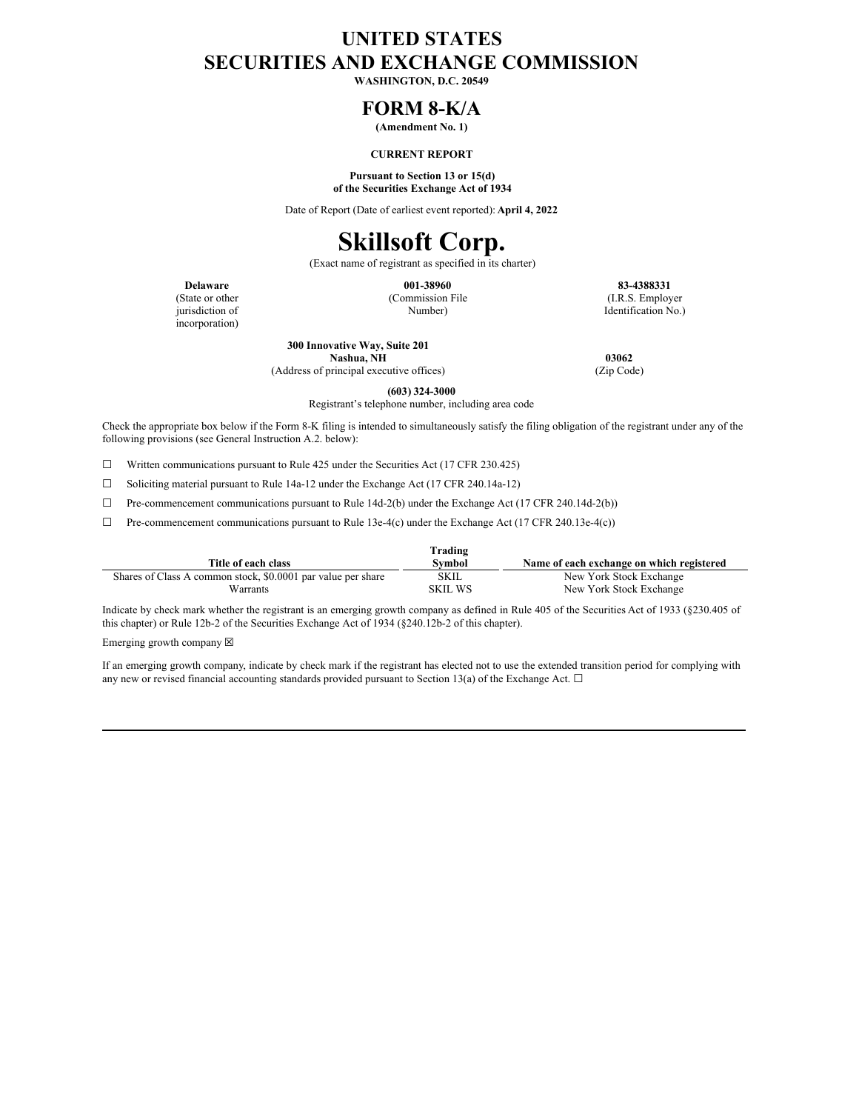# **UNITED STATES SECURITIES AND EXCHANGE COMMISSION**

**WASHINGTON, D.C. 20549**

# **FORM 8-K/A**

**(Amendment No. 1)**

### **CURRENT REPORT**

#### **Pursuant to Section 13 or 15(d) of the Securities Exchange Act of 1934**

Date of Report (Date of earliest event reported): **April 4, 2022**

# **Skillsoft Corp.**

(Exact name of registrant as specified in its charter)

(State or other jurisdiction of incorporation) (Commission File Number)

**Delaware 001-38960 83-4388331** (I.R.S. Employer Identification No.)

> **300 Innovative Way, Suite 201 Nashua, NH 03062**

(Address of principal executive offices) (Zip Code)

**(603) 324-3000**

Registrant's telephone number, including area code

Check the appropriate box below if the Form 8-K filing is intended to simultaneously satisfy the filing obligation of the registrant under any of the following provisions (see General Instruction A.2. below):

☐ Written communications pursuant to Rule 425 under the Securities Act (17 CFR 230.425)

☐ Soliciting material pursuant to Rule 14a-12 under the Exchange Act (17 CFR 240.14a-12)

☐ Pre-commencement communications pursuant to Rule 14d-2(b) under the Exchange Act (17 CFR 240.14d-2(b))

 $\Box$  Pre-commencement communications pursuant to Rule 13e-4(c) under the Exchange Act (17 CFR 240.13e-4(c))

|                                                              | Trading |                                           |
|--------------------------------------------------------------|---------|-------------------------------------------|
| Title of each class                                          | Symbol  | Name of each exchange on which registered |
| Shares of Class A common stock, \$0,0001 par value per share | SKIL    | New York Stock Exchange                   |
| Warrants                                                     | SKIL WS | New York Stock Exchange                   |

Indicate by check mark whether the registrant is an emerging growth company as defined in Rule 405 of the Securities Act of 1933 (§230.405 of this chapter) or Rule 12b-2 of the Securities Exchange Act of 1934 (§240.12b-2 of this chapter).

Emerging growth company  $\boxtimes$ 

If an emerging growth company, indicate by check mark if the registrant has elected not to use the extended transition period for complying with any new or revised financial accounting standards provided pursuant to Section 13(a) of the Exchange Act.  $\Box$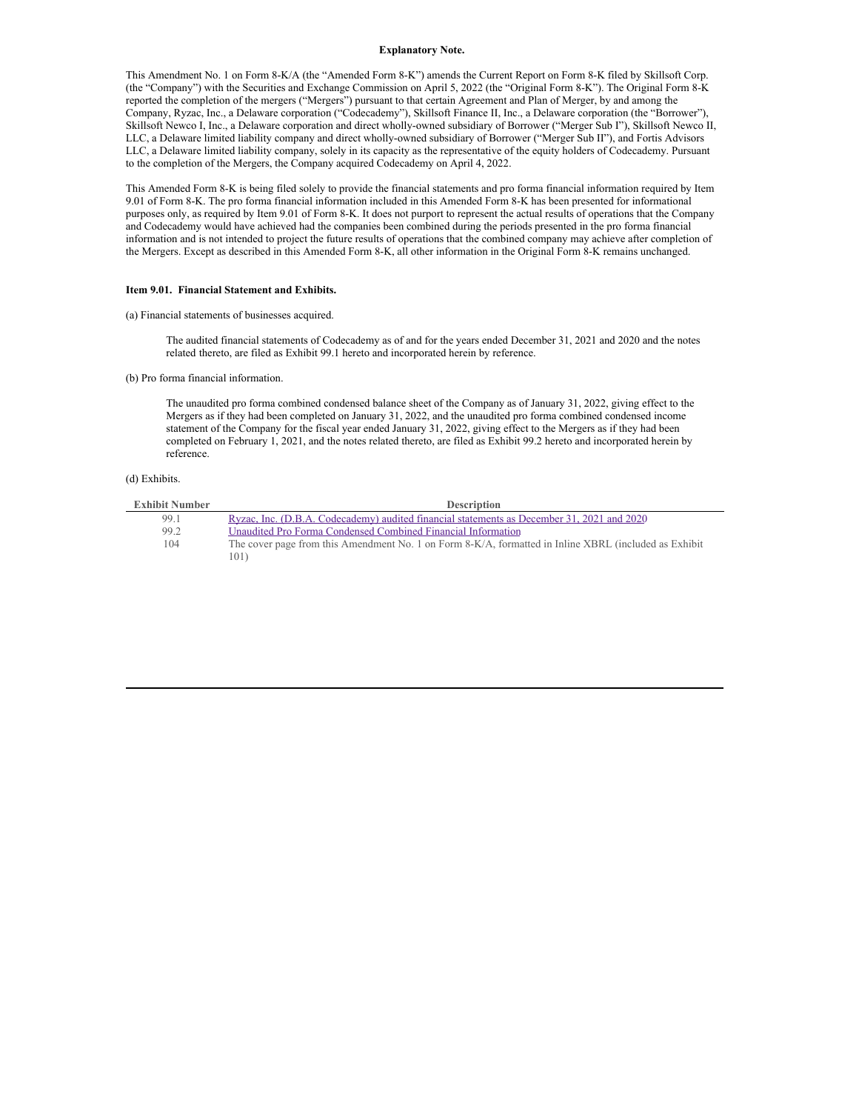#### **Explanatory Note.**

This Amendment No. 1 on Form 8-K/A (the "Amended Form 8-K") amends the Current Report on Form 8-K filed by Skillsoft Corp. (the "Company") with the Securities and Exchange Commission on April 5, 2022 (the "Original Form 8-K"). The Original Form 8-K reported the completion of the mergers ("Mergers") pursuant to that certain Agreement and Plan of Merger, by and among the Company, Ryzac, Inc., a Delaware corporation ("Codecademy"), Skillsoft Finance II, Inc., a Delaware corporation (the "Borrower"), Skillsoft Newco I, Inc., a Delaware corporation and direct wholly-owned subsidiary of Borrower ("Merger Sub I"), Skillsoft Newco II, LLC, a Delaware limited liability company and direct wholly-owned subsidiary of Borrower ("Merger Sub II"), and Fortis Advisors LLC, a Delaware limited liability company, solely in its capacity as the representative of the equity holders of Codecademy. Pursuant to the completion of the Mergers, the Company acquired Codecademy on April 4, 2022.

This Amended Form 8-K is being filed solely to provide the financial statements and pro forma financial information required by Item 9.01 of Form 8-K. The pro forma financial information included in this Amended Form 8-K has been presented for informational purposes only, as required by Item 9.01 of Form 8-K. It does not purport to represent the actual results of operations that the Company and Codecademy would have achieved had the companies been combined during the periods presented in the pro forma financial information and is not intended to project the future results of operations that the combined company may achieve after completion of the Mergers. Except as described in this Amended Form 8-K, all other information in the Original Form 8-K remains unchanged.

### **Item 9.01. Financial Statement and Exhibits.**

(a) Financial statements of businesses acquired.

The audited financial statements of Codecademy as of and for the years ended December 31, 2021 and 2020 and the notes related thereto, are filed as Exhibit 99.1 hereto and incorporated herein by reference.

(b) Pro forma financial information.

The unaudited pro forma combined condensed balance sheet of the Company as of January 31, 2022, giving effect to the Mergers as if they had been completed on January 31, 2022, and the unaudited pro forma combined condensed income statement of the Company for the fiscal year ended January 31, 2022, giving effect to the Mergers as if they had been completed on February 1, 2021, and the notes related thereto, are filed as Exhibit 99.2 hereto and incorporated herein by reference.

### (d) Exhibits.

| <b>Exhibit Number</b> | <b>Description</b>                                                                                            |
|-----------------------|---------------------------------------------------------------------------------------------------------------|
| 99.1                  | Ryzac, Inc. (D.B.A. Codecademy) audited financial statements as December 31, 2021 and 2020                    |
| 99.2                  | Unaudited Pro Forma Condensed Combined Financial Information                                                  |
| 104                   | The cover page from this Amendment No. 1 on Form 8-K/A, formatted in Inline XBRL (included as Exhibit<br>101) |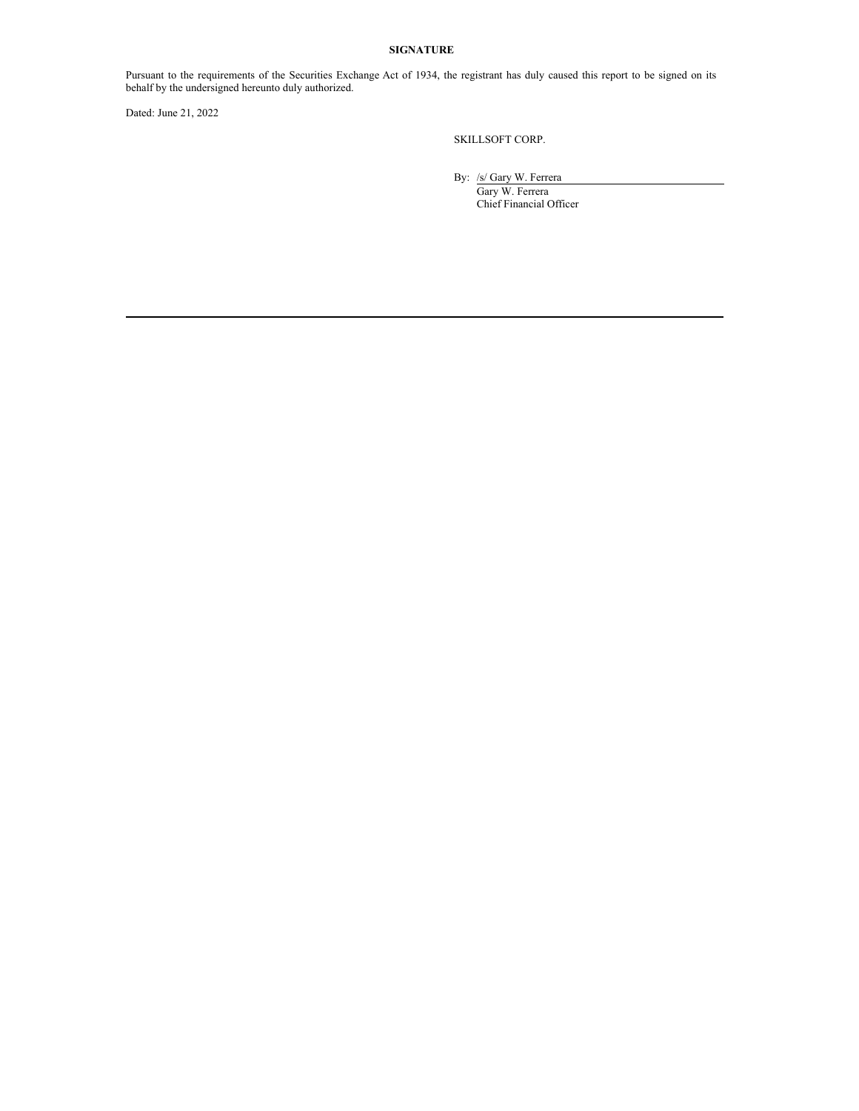### **SIGNATURE**

Pursuant to the requirements of the Securities Exchange Act of 1934, the registrant has duly caused this report to be signed on its behalf by the undersigned hereunto duly authorized.

Dated: June 21, 2022

SKILLSOFT CORP.

By: /s/ Gary W. Ferrera Gary W. Ferrera Chief Financial Officer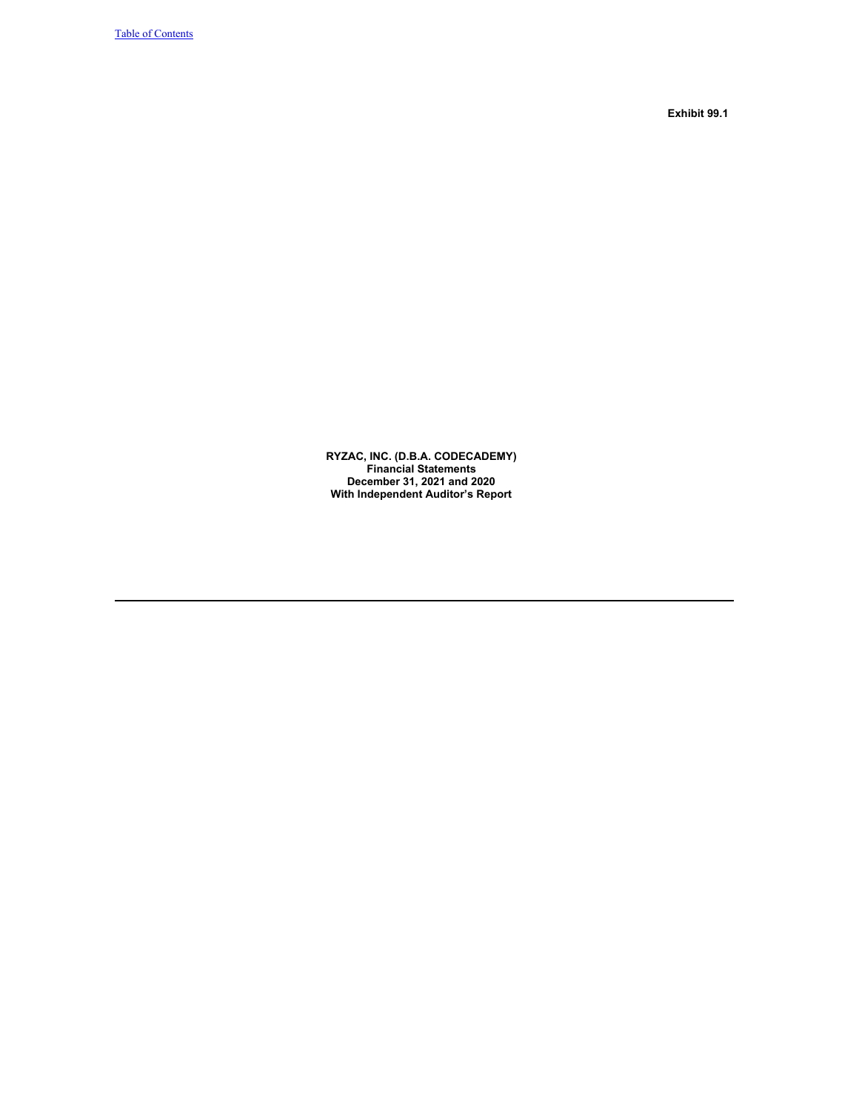**Exhibit 99.1**

**RYZAC, INC. (D.B.A. CODECADEMY) Financial Statements December 31, 2021 and 2020 With Independent Auditor's Report**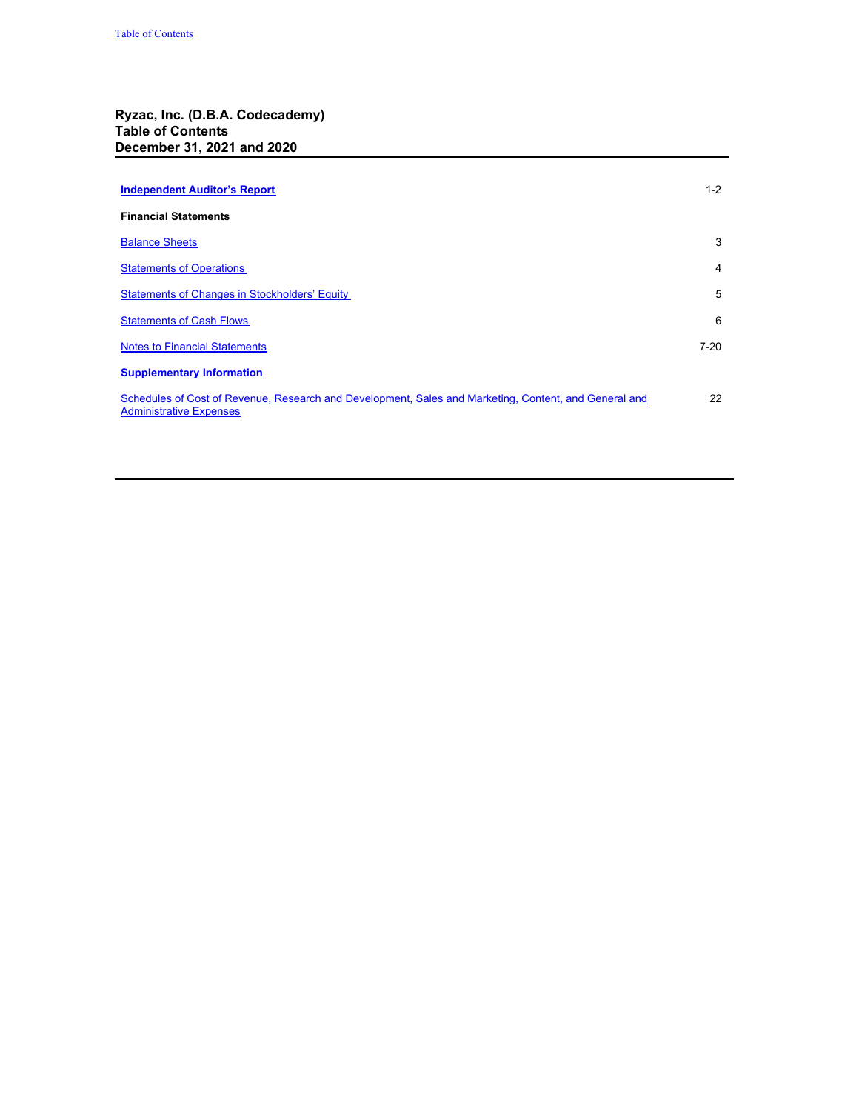### <span id="page-4-0"></span>**Ryzac, Inc. (D.B.A. Codecademy) Table of Contents December 31, 2021 and 2020**

| <b>Independent Auditor's Report</b>                                                                                                     | $1 - 2$ |
|-----------------------------------------------------------------------------------------------------------------------------------------|---------|
| <b>Financial Statements</b>                                                                                                             |         |
| <b>Balance Sheets</b>                                                                                                                   | 3       |
| <b>Statements of Operations</b>                                                                                                         | 4       |
| Statements of Changes in Stockholders' Equity                                                                                           | 5       |
| <b>Statements of Cash Flows</b>                                                                                                         | 6       |
| <b>Notes to Financial Statements</b>                                                                                                    | $7-20$  |
| <b>Supplementary Information</b>                                                                                                        |         |
| Schedules of Cost of Revenue, Research and Development, Sales and Marketing, Content, and General and<br><b>Administrative Expenses</b> | 22      |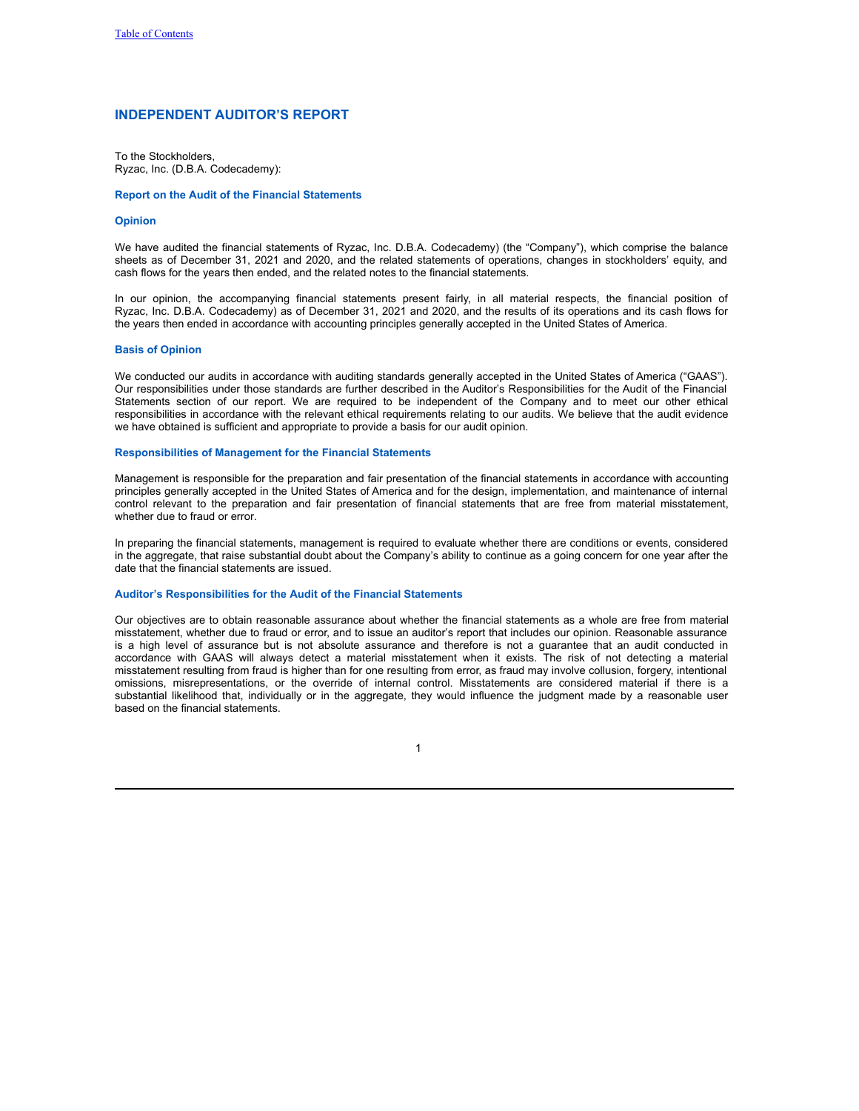### <span id="page-5-0"></span>**INDEPENDENT AUDITOR'S REPORT**

To the Stockholders, Ryzac, Inc. (D.B.A. Codecademy):

#### **Report on the Audit of the Financial Statements**

### **Opinion**

We have audited the financial statements of Ryzac, Inc. D.B.A. Codecademy) (the "Company"), which comprise the balance sheets as of December 31, 2021 and 2020, and the related statements of operations, changes in stockholders' equity, and cash flows for the years then ended, and the related notes to the financial statements.

In our opinion, the accompanying financial statements present fairly, in all material respects, the financial position of Ryzac, Inc. D.B.A. Codecademy) as of December 31, 2021 and 2020, and the results of its operations and its cash flows for the years then ended in accordance with accounting principles generally accepted in the United States of America.

#### **Basis of Opinion**

We conducted our audits in accordance with auditing standards generally accepted in the United States of America ("GAAS"). Our responsibilities under those standards are further described in the Auditor's Responsibilities for the Audit of the Financial Statements section of our report. We are required to be independent of the Company and to meet our other ethical responsibilities in accordance with the relevant ethical requirements relating to our audits. We believe that the audit evidence we have obtained is sufficient and appropriate to provide a basis for our audit opinion.

#### **Responsibilities of Management for the Financial Statements**

Management is responsible for the preparation and fair presentation of the financial statements in accordance with accounting principles generally accepted in the United States of America and for the design, implementation, and maintenance of internal control relevant to the preparation and fair presentation of financial statements that are free from material misstatement, whether due to fraud or error.

In preparing the financial statements, management is required to evaluate whether there are conditions or events, considered in the aggregate, that raise substantial doubt about the Company's ability to continue as a going concern for one year after the date that the financial statements are issued.

#### **Auditor's Responsibilities for the Audit of the Financial Statements**

Our objectives are to obtain reasonable assurance about whether the financial statements as a whole are free from material misstatement, whether due to fraud or error, and to issue an auditor's report that includes our opinion. Reasonable assurance is a high level of assurance but is not absolute assurance and therefore is not a guarantee that an audit conducted in accordance with GAAS will always detect a material misstatement when it exists. The risk of not detecting a material misstatement resulting from fraud is higher than for one resulting from error, as fraud may involve collusion, forgery, intentional omissions, misrepresentations, or the override of internal control. Misstatements are considered material if there is a substantial likelihood that, individually or in the aggregate, they would influence the judgment made by a reasonable user based on the financial statements.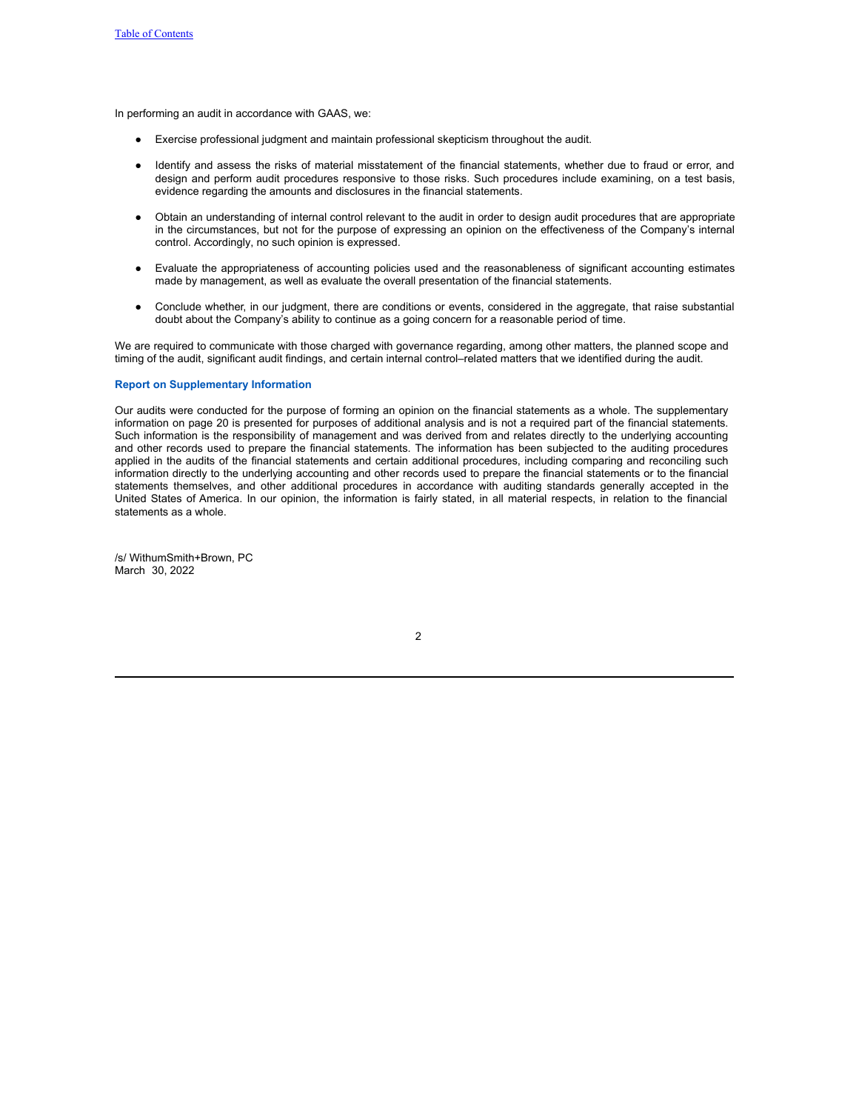In performing an audit in accordance with GAAS, we:

- Exercise professional judgment and maintain professional skepticism throughout the audit.
- Identify and assess the risks of material misstatement of the financial statements, whether due to fraud or error, and design and perform audit procedures responsive to those risks. Such procedures include examining, on a test basis, evidence regarding the amounts and disclosures in the financial statements.
- Obtain an understanding of internal control relevant to the audit in order to design audit procedures that are appropriate in the circumstances, but not for the purpose of expressing an opinion on the effectiveness of the Company's internal control. Accordingly, no such opinion is expressed.
- Evaluate the appropriateness of accounting policies used and the reasonableness of significant accounting estimates made by management, as well as evaluate the overall presentation of the financial statements.
- Conclude whether, in our judgment, there are conditions or events, considered in the aggregate, that raise substantial doubt about the Company's ability to continue as a going concern for a reasonable period of time.

We are required to communicate with those charged with governance regarding, among other matters, the planned scope and timing of the audit, significant audit findings, and certain internal control–related matters that we identified during the audit.

### **Report on Supplementary Information**

Our audits were conducted for the purpose of forming an opinion on the financial statements as a whole. The supplementary information on page 20 is presented for purposes of additional analysis and is not a required part of the financial statements. Such information is the responsibility of management and was derived from and relates directly to the underlying accounting and other records used to prepare the financial statements. The information has been subjected to the auditing procedures applied in the audits of the financial statements and certain additional procedures, including comparing and reconciling such information directly to the underlying accounting and other records used to prepare the financial statements or to the financial statements themselves, and other additional procedures in accordance with auditing standards generally accepted in the United States of America. In our opinion, the information is fairly stated, in all material respects, in relation to the financial statements as a whole.

/s/ WithumSmith+Brown, PC March 30, 2022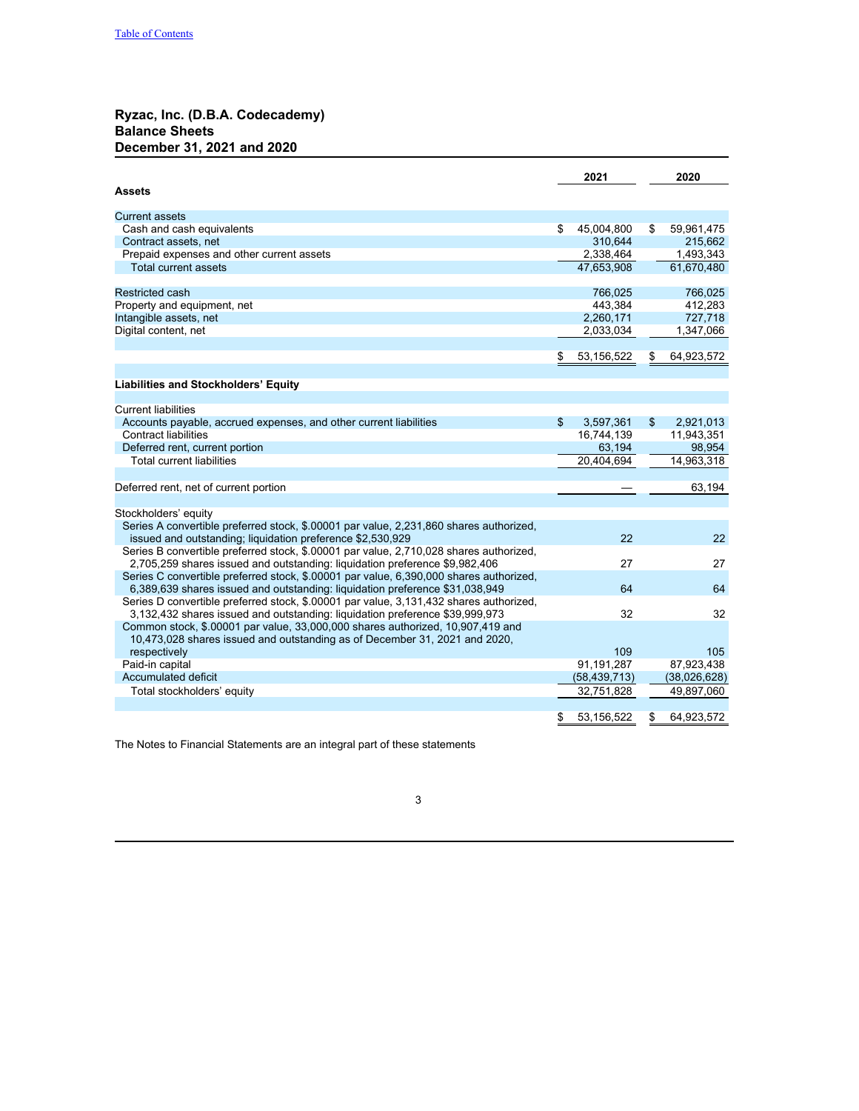### <span id="page-7-0"></span>**Ryzac, Inc. (D.B.A. Codecademy) Balance Sheets December 31, 2021 and 2020**

|                                                                                                                                                                        |                           | 2021           | 2020             |
|------------------------------------------------------------------------------------------------------------------------------------------------------------------------|---------------------------|----------------|------------------|
| <b>Assets</b>                                                                                                                                                          |                           |                |                  |
| <b>Current assets</b>                                                                                                                                                  |                           |                |                  |
| Cash and cash equivalents                                                                                                                                              | \$                        | 45,004,800     | \$<br>59,961,475 |
| Contract assets, net                                                                                                                                                   |                           | 310,644        | 215,662          |
| Prepaid expenses and other current assets                                                                                                                              |                           | 2,338,464      | 1,493,343        |
| <b>Total current assets</b>                                                                                                                                            |                           | 47.653.908     | 61.670.480       |
| <b>Restricted cash</b>                                                                                                                                                 |                           | 766,025        | 766,025          |
| Property and equipment, net                                                                                                                                            |                           | 443,384        | 412,283          |
| Intangible assets, net                                                                                                                                                 |                           | 2,260,171      | 727,718          |
| Digital content, net                                                                                                                                                   |                           | 2,033,034      | 1,347,066        |
|                                                                                                                                                                        | \$                        | 53,156,522     | \$<br>64,923,572 |
|                                                                                                                                                                        |                           |                |                  |
| <b>Liabilities and Stockholders' Equity</b>                                                                                                                            |                           |                |                  |
| <b>Current liabilities</b>                                                                                                                                             |                           |                |                  |
| Accounts payable, accrued expenses, and other current liabilities                                                                                                      | $\boldsymbol{\mathsf{S}}$ | 3,597,361      | \$<br>2,921,013  |
| <b>Contract liabilities</b>                                                                                                                                            |                           | 16,744,139     | 11,943,351       |
| Deferred rent, current portion                                                                                                                                         |                           | 63,194         | 98,954           |
| Total current liabilities                                                                                                                                              |                           | 20.404.694     | 14.963.318       |
|                                                                                                                                                                        |                           |                |                  |
| Deferred rent, net of current portion                                                                                                                                  |                           |                | 63,194           |
| Stockholders' equity                                                                                                                                                   |                           |                |                  |
| Series A convertible preferred stock, \$.00001 par value, 2,231,860 shares authorized,                                                                                 |                           |                |                  |
| issued and outstanding; liquidation preference \$2,530,929                                                                                                             |                           | 22             | 22               |
| Series B convertible preferred stock, \$.00001 par value, 2,710,028 shares authorized,                                                                                 |                           |                |                  |
| 2,705,259 shares issued and outstanding: liquidation preference \$9,982,406                                                                                            |                           | 27             | 27               |
| Series C convertible preferred stock, \$.00001 par value, 6,390,000 shares authorized,                                                                                 |                           | 64             | 64               |
| 6,389,639 shares issued and outstanding: liquidation preference \$31,038,949<br>Series D convertible preferred stock, \$.00001 par value, 3,131,432 shares authorized, |                           |                |                  |
| 3,132,432 shares issued and outstanding: liquidation preference \$39,999,973                                                                                           |                           | 32             | 32               |
| Common stock, \$.00001 par value, 33,000,000 shares authorized, 10,907,419 and                                                                                         |                           |                |                  |
| 10,473,028 shares issued and outstanding as of December 31, 2021 and 2020,                                                                                             |                           |                |                  |
| respectively                                                                                                                                                           |                           | 109            | 105              |
| Paid-in capital                                                                                                                                                        |                           | 91,191,287     | 87,923,438       |
| <b>Accumulated deficit</b>                                                                                                                                             |                           | (58, 439, 713) | (38,026,628)     |
| Total stockholders' equity                                                                                                                                             |                           | 32,751,828     | 49,897,060       |
|                                                                                                                                                                        | \$                        | 53,156,522     | \$<br>64,923,572 |

The Notes to Financial Statements are an integral part of these statements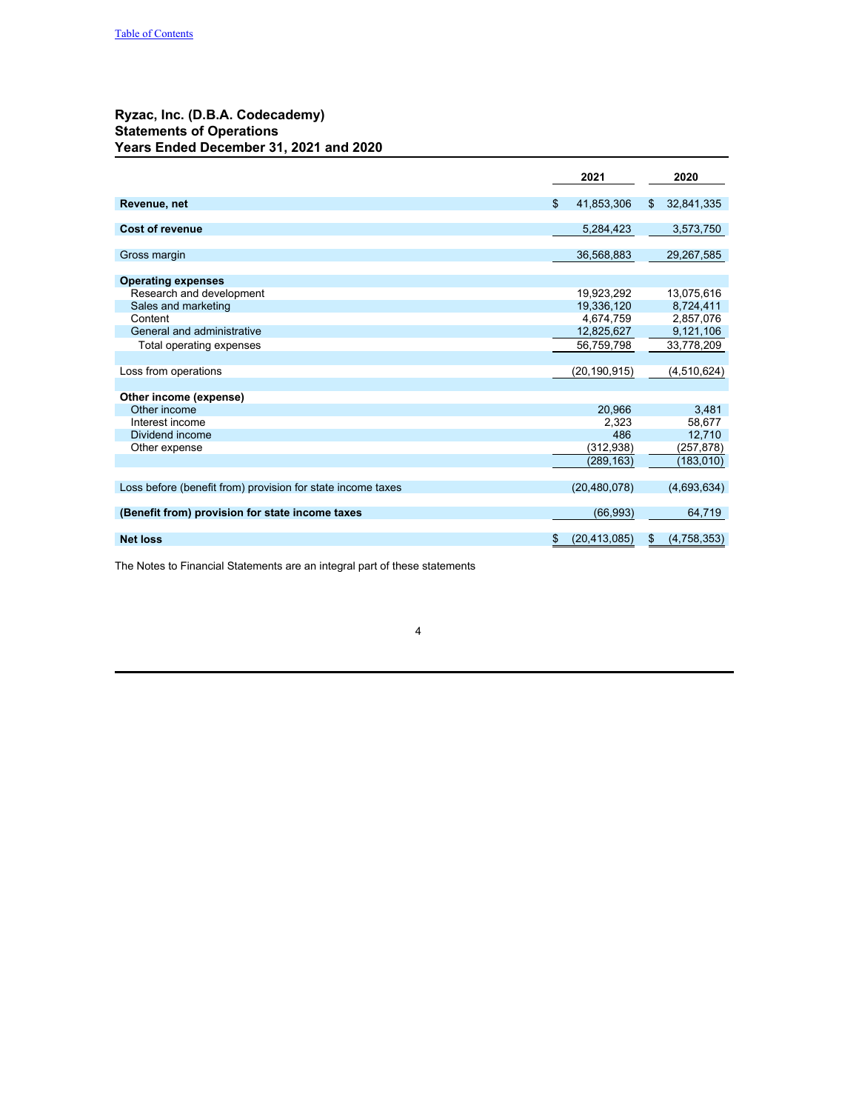### <span id="page-8-0"></span>**Ryzac, Inc. (D.B.A. Codecademy) Statements of Operations Years Ended December 31, 2021 and 2020**

|                                                             | 2021                 | 2020              |
|-------------------------------------------------------------|----------------------|-------------------|
| Revenue, net                                                | \$<br>41,853,306     | \$<br>32,841,335  |
|                                                             |                      |                   |
| <b>Cost of revenue</b>                                      | 5,284,423            | 3,573,750         |
|                                                             |                      |                   |
| Gross margin                                                | 36,568,883           | 29,267,585        |
|                                                             |                      |                   |
| <b>Operating expenses</b>                                   |                      |                   |
| Research and development                                    | 19,923,292           | 13,075,616        |
| Sales and marketing                                         | 19,336,120           | 8,724,411         |
| Content                                                     | 4,674,759            | 2,857,076         |
| General and administrative                                  | 12,825,627           | 9,121,106         |
| Total operating expenses                                    | 56,759,798           | 33,778,209        |
|                                                             |                      |                   |
| Loss from operations                                        | (20,190,915)         | (4,510,624)       |
|                                                             |                      |                   |
| Other income (expense)                                      |                      |                   |
| Other income                                                | 20,966               | 3,481             |
| Interest income                                             | 2.323                | 58,677            |
| Dividend income                                             | 486                  | 12,710            |
| Other expense                                               | (312, 938)           | (257, 878)        |
|                                                             | (289, 163)           | (183, 010)        |
|                                                             |                      |                   |
| Loss before (benefit from) provision for state income taxes | (20, 480, 078)       | (4,693,634)       |
|                                                             |                      |                   |
| (Benefit from) provision for state income taxes             | (66, 993)            | 64,719            |
|                                                             |                      |                   |
| <b>Net loss</b>                                             | \$<br>(20, 413, 085) | \$<br>(4,758,353) |

The Notes to Financial Statements are an integral part of these statements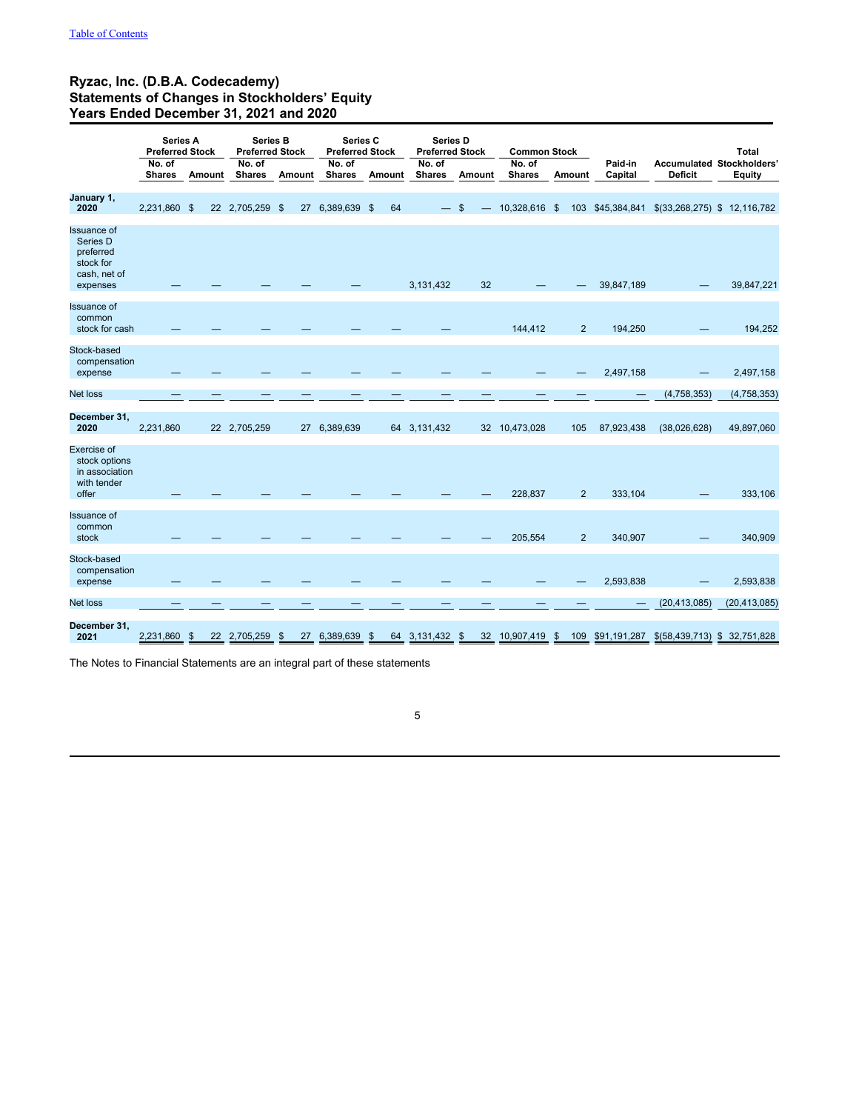### <span id="page-9-0"></span>**Ryzac, Inc. (D.B.A. Codecademy) Statements of Changes in Stockholders' Equity Years Ended December 31, 2021 and 2020**

|                                                                                      | <b>Series A</b><br><b>Preferred Stock</b> |                        | <b>Series B</b><br><b>Preferred Stock</b> |          | Series <sub>C</sub><br><b>Preferred Stock</b> |            | <b>Series D</b><br><b>Preferred Stock</b> |        | <b>Common Stock</b>     |                       |                    |                               | <b>Total</b>                               |
|--------------------------------------------------------------------------------------|-------------------------------------------|------------------------|-------------------------------------------|----------|-----------------------------------------------|------------|-------------------------------------------|--------|-------------------------|-----------------------|--------------------|-------------------------------|--------------------------------------------|
|                                                                                      | No. of<br><b>Shares</b>                   | Amount                 | No. of<br><b>Shares</b>                   | Amount   | No. of<br><b>Shares</b>                       | Amount     | No. of<br><b>Shares</b>                   | Amount | No. of<br><b>Shares</b> | Amount                | Paid-in<br>Capital | <b>Deficit</b>                | <b>Accumulated Stockholders'</b><br>Equity |
| January 1,<br>2020                                                                   | 2,231,860 \$                              |                        | 22 2,705,259 \$                           | 27       | 6,389,639 \$                                  | 64         |                                           | \$     | 10,328,616 \$           |                       | 103 \$45,384,841   | $$(33,268,275)$ \$ 12,116,782 |                                            |
| <b>Issuance of</b><br>Series D<br>preferred<br>stock for<br>cash, net of<br>expenses |                                           |                        |                                           |          |                                               |            | 3,131,432                                 | 32     |                         |                       | 39,847,189         |                               | 39,847,221                                 |
| <b>Issuance of</b><br>common<br>stock for cash                                       |                                           |                        |                                           |          |                                               |            |                                           |        | 144,412                 | $\overline{2}$        | 194,250            |                               | 194,252                                    |
| Stock-based<br>compensation<br>expense                                               |                                           |                        |                                           |          |                                               |            |                                           |        |                         |                       | 2,497,158          |                               | 2,497,158                                  |
| <b>Net loss</b>                                                                      |                                           |                        |                                           |          |                                               |            |                                           |        |                         |                       |                    | (4,758,353)                   | (4, 758, 353)                              |
| December 31,<br>2020                                                                 | 2,231,860                                 |                        | 22 2,705,259                              | 27       | 6,389,639                                     |            | 64 3,131,432                              |        | 32 10,473,028           | 105                   | 87,923,438         | (38,026,628)                  | 49,897,060                                 |
| Exercise of<br>stock options<br>in association<br>with tender<br>offer               |                                           |                        |                                           |          |                                               |            |                                           |        | 228,837                 | $\overline{2}$        | 333,104            |                               | 333,106                                    |
| <b>Issuance of</b><br>common<br>stock                                                |                                           |                        |                                           |          |                                               |            |                                           |        | 205,554                 | $\overline{2}$        | 340,907            |                               | 340,909                                    |
| Stock-based<br>compensation<br>expense                                               |                                           |                        |                                           |          |                                               |            |                                           |        |                         |                       | 2,593,838          |                               | 2,593,838                                  |
| <b>Net loss</b>                                                                      |                                           |                        |                                           |          |                                               |            |                                           |        |                         |                       |                    | (20, 413, 085)                | (20, 413, 085)                             |
| December 31,<br>2021                                                                 | 2,231,860                                 | -\$<br>22 <sub>2</sub> | 2,705,259                                 | \$<br>27 | 6,389,639                                     | - \$<br>64 | 3,131,432 \$                              | 32     | 10,907,419              | $\mathfrak{F}$<br>109 | \$91,191,287       | \$(58,439,713) \$ 32,751,828  |                                            |

The Notes to Financial Statements are an integral part of these statements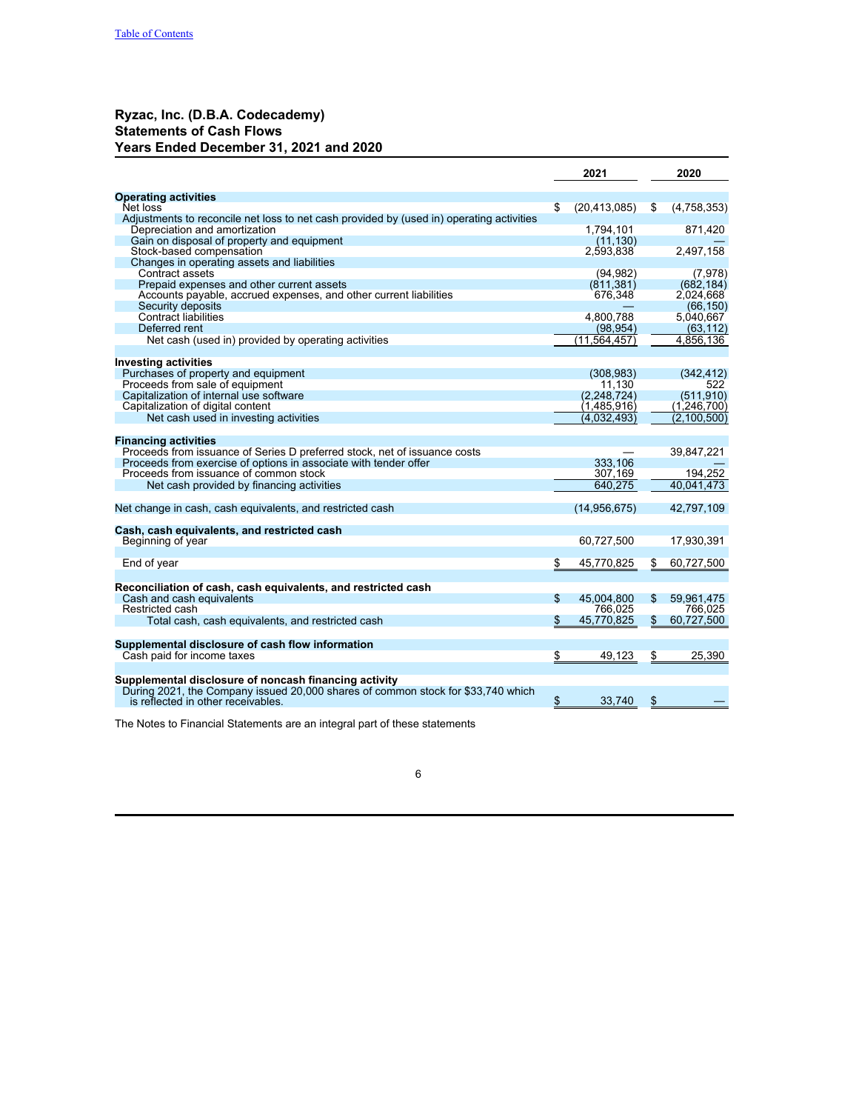### <span id="page-10-0"></span>**Ryzac, Inc. (D.B.A. Codecademy) Statements of Cash Flows Years Ended December 31, 2021 and 2020**

|                                                                                          |    | 2021           |    | 2020        |  |
|------------------------------------------------------------------------------------------|----|----------------|----|-------------|--|
|                                                                                          |    |                |    |             |  |
| <b>Operating activities</b>                                                              |    |                |    |             |  |
| Net loss                                                                                 | \$ | (20, 413, 085) | S  | (4,758,353) |  |
| Adjustments to reconcile net loss to net cash provided by (used in) operating activities |    |                |    |             |  |
| Depreciation and amortization                                                            |    | 1,794,101      |    | 871,420     |  |
| Gain on disposal of property and equipment                                               |    | (11, 130)      |    |             |  |
| Stock-based compensation                                                                 |    | 2.593.838      |    | 2,497,158   |  |
| Changes in operating assets and liabilities                                              |    |                |    |             |  |
| Contract assets                                                                          |    | (94, 982)      |    | (7,978)     |  |
| Prepaid expenses and other current assets                                                |    | (811.381)      |    | (682.184)   |  |
| Accounts payable, accrued expenses, and other current liabilities                        |    | 676.348        |    | 2,024,668   |  |
| Security deposits                                                                        |    |                |    | (66, 150)   |  |
| <b>Contract liabilities</b>                                                              |    | 4.800.788      |    | 5,040,667   |  |
| Deferred rent                                                                            |    | (98, 954)      |    | (63, 112)   |  |
| Net cash (used in) provided by operating activities                                      |    | (11.564.457)   |    | 4.856.136   |  |
|                                                                                          |    |                |    |             |  |
| <b>Investing activities</b>                                                              |    |                |    |             |  |
| Purchases of property and equipment                                                      |    | (308, 983)     |    | (342, 412)  |  |
| Proceeds from sale of equipment                                                          |    | 11,130         |    | 522         |  |
| Capitalization of internal use software                                                  |    | (2, 248, 724)  |    | (511, 910)  |  |
| Capitalization of digital content                                                        |    | (1,485,916)    |    | (1,246,700) |  |
| Net cash used in investing activities                                                    |    | (4,032,493)    |    | (2,100,500) |  |
|                                                                                          |    |                |    |             |  |
| <b>Financing activities</b>                                                              |    |                |    |             |  |
| Proceeds from issuance of Series D preferred stock, net of issuance costs                |    |                |    | 39,847,221  |  |
| Proceeds from exercise of options in associate with tender offer                         |    | 333,106        |    |             |  |
| Proceeds from issuance of common stock                                                   |    | 307,169        |    | 194,252     |  |
| Net cash provided by financing activities                                                |    | 640.275        |    | 40.041.473  |  |
|                                                                                          |    |                |    |             |  |
| Net change in cash, cash equivalents, and restricted cash                                |    | (14, 956, 675) |    | 42,797,109  |  |
|                                                                                          |    |                |    |             |  |
| Cash, cash equivalents, and restricted cash                                              |    |                |    |             |  |
| Beginning of year                                                                        |    | 60,727,500     |    | 17,930,391  |  |
|                                                                                          |    |                |    |             |  |
| End of year                                                                              | S  | 45,770,825     | S  | 60,727,500  |  |
|                                                                                          |    |                |    |             |  |
| Reconciliation of cash, cash equivalents, and restricted cash                            |    |                |    |             |  |
| Cash and cash equivalents                                                                | \$ | 45,004,800     | \$ | 59,961,475  |  |
| Restricted cash                                                                          |    | 766.025        |    | 766.025     |  |
| Total cash, cash equivalents, and restricted cash                                        | \$ | 45,770,825     | \$ | 60,727,500  |  |
|                                                                                          |    |                |    |             |  |
| Supplemental disclosure of cash flow information                                         |    |                |    |             |  |
| Cash paid for income taxes                                                               | \$ | 49,123         | S  | 25,390      |  |
|                                                                                          |    |                |    |             |  |
| Supplemental disclosure of noncash financing activity                                    |    |                |    |             |  |
| During 2021, the Company issued 20,000 shares of common stock for \$33,740 which         |    |                |    |             |  |
| is reflected in other receivables.                                                       | \$ | 33.740         | \$ |             |  |
|                                                                                          |    |                |    |             |  |

The Notes to Financial Statements are an integral part of these statements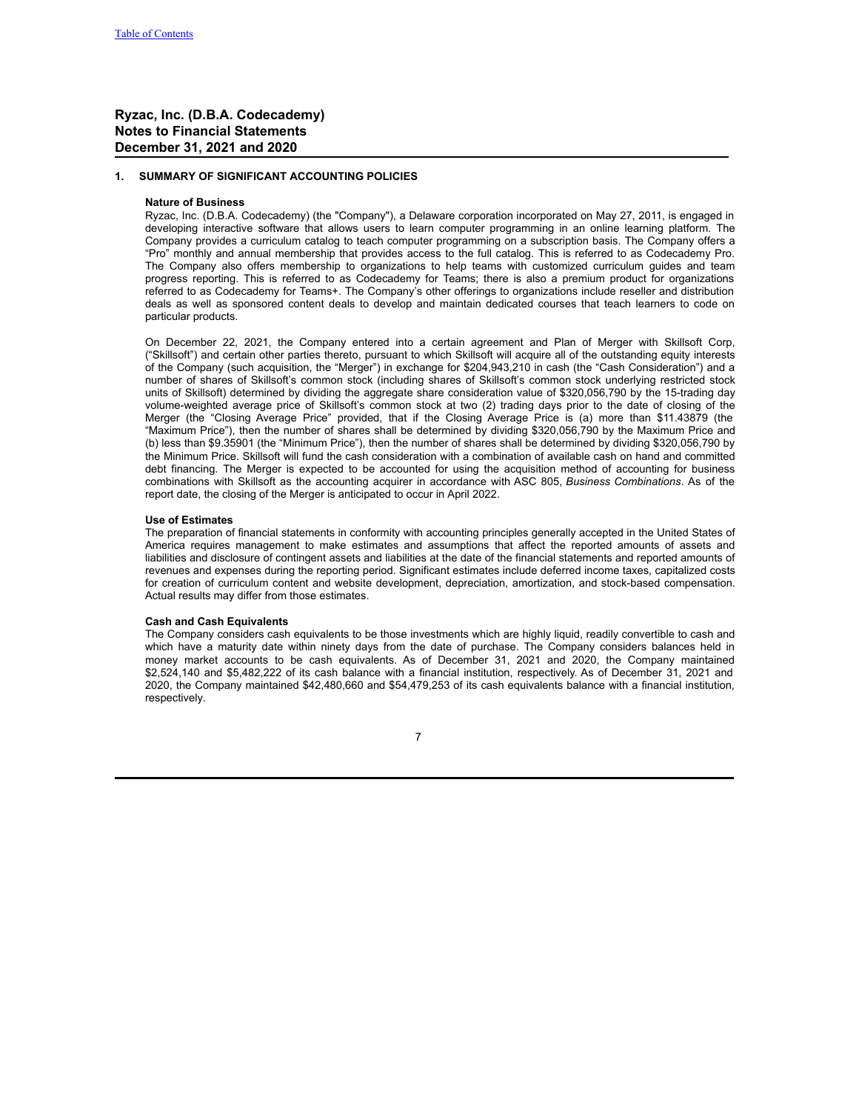### **1. SUMMARY OF SIGNIFICANT ACCOUNTING POLICIES**

#### <span id="page-11-0"></span>**Nature of Business**

Ryzac, Inc. (D.B.A. Codecademy) (the "Company"), a Delaware corporation incorporated on May 27, 2011, is engaged in developing interactive software that allows users to learn computer programming in an online learning platform. The Company provides a curriculum catalog to teach computer programming on a subscription basis. The Company offers a "Pro" monthly and annual membership that provides access to the full catalog. This is referred to as Codecademy Pro. The Company also offers membership to organizations to help teams with customized curriculum guides and team progress reporting. This is referred to as Codecademy for Teams; there is also a premium product for organizations referred to as Codecademy for Teams+. The Company's other offerings to organizations include reseller and distribution deals as well as sponsored content deals to develop and maintain dedicated courses that teach learners to code on particular products.

On December 22, 2021, the Company entered into a certain agreement and Plan of Merger with Skillsoft Corp, ("Skillsoft") and certain other parties thereto, pursuant to which Skillsoft will acquire all of the outstanding equity interests of the Company (such acquisition, the "Merger") in exchange for \$204,943,210 in cash (the "Cash Consideration") and a number of shares of Skillsoft's common stock (including shares of Skillsoft's common stock underlying restricted stock units of Skillsoft) determined by dividing the aggregate share consideration value of \$320,056,790 by the 15-trading day volume-weighted average price of Skillsoft's common stock at two (2) trading days prior to the date of closing of the Merger (the "Closing Average Price" provided, that if the Closing Average Price is (a) more than \$11.43879 (the "Maximum Price"), then the number of shares shall be determined by dividing \$320,056,790 by the Maximum Price and (b) less than \$9.35901 (the "Minimum Price"), then the number of shares shall be determined by dividing \$320,056,790 by the Minimum Price. Skillsoft will fund the cash consideration with a combination of available cash on hand and committed debt financing. The Merger is expected to be accounted for using the acquisition method of accounting for business combinations with Skillsoft as the accounting acquirer in accordance with ASC 805, *Business Combinations*. As of the report date, the closing of the Merger is anticipated to occur in April 2022.

#### **Use of Estimates**

The preparation of financial statements in conformity with accounting principles generally accepted in the United States of America requires management to make estimates and assumptions that affect the reported amounts of assets and liabilities and disclosure of contingent assets and liabilities at the date of the financial statements and reported amounts of revenues and expenses during the reporting period. Significant estimates include deferred income taxes, capitalized costs for creation of curriculum content and website development, depreciation, amortization, and stock-based compensation. Actual results may differ from those estimates.

### **Cash and Cash Equivalents**

The Company considers cash equivalents to be those investments which are highly liquid, readily convertible to cash and which have a maturity date within ninety days from the date of purchase. The Company considers balances held in money market accounts to be cash equivalents. As of December 31, 2021 and 2020, the Company maintained \$2,524,140 and \$5,482,222 of its cash balance with a financial institution, respectively. As of December 31, 2021 and 2020, the Company maintained \$42,480,660 and \$54,479,253 of its cash equivalents balance with a financial institution, respectively.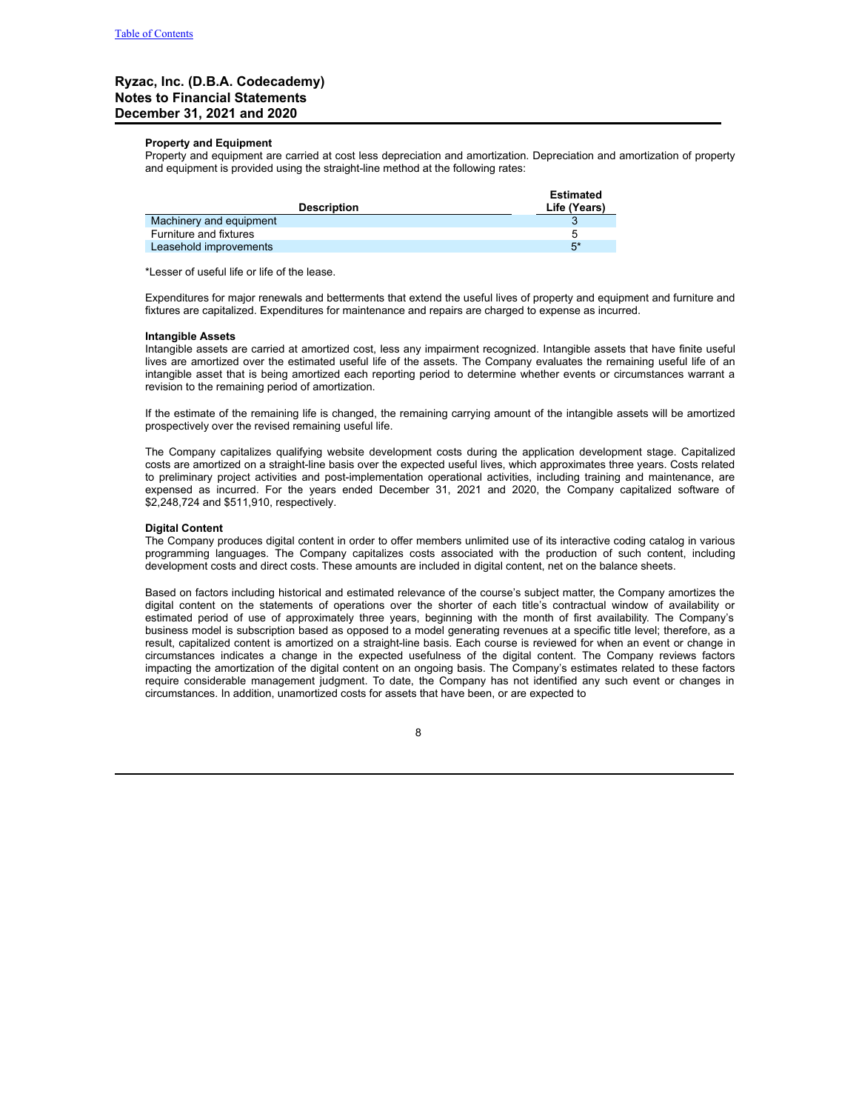### **Property and Equipment**

Property and equipment are carried at cost less depreciation and amortization. Depreciation and amortization of property and equipment is provided using the straight-line method at the following rates:

| <b>Description</b>      | Estimated<br>Life (Years) |
|-------------------------|---------------------------|
| Machinery and equipment |                           |
| Furniture and fixtures  | 5                         |
| Leasehold improvements  | $5^*$                     |

\*Lesser of useful life or life of the lease.

Expenditures for major renewals and betterments that extend the useful lives of property and equipment and furniture and fixtures are capitalized. Expenditures for maintenance and repairs are charged to expense as incurred.

### **Intangible Assets**

Intangible assets are carried at amortized cost, less any impairment recognized. Intangible assets that have finite useful lives are amortized over the estimated useful life of the assets. The Company evaluates the remaining useful life of an intangible asset that is being amortized each reporting period to determine whether events or circumstances warrant a revision to the remaining period of amortization.

If the estimate of the remaining life is changed, the remaining carrying amount of the intangible assets will be amortized prospectively over the revised remaining useful life.

The Company capitalizes qualifying website development costs during the application development stage. Capitalized costs are amortized on a straight-line basis over the expected useful lives, which approximates three years. Costs related to preliminary project activities and post-implementation operational activities, including training and maintenance, are expensed as incurred. For the years ended December 31, 2021 and 2020, the Company capitalized software of \$2,248,724 and \$511,910, respectively.

### **Digital Content**

The Company produces digital content in order to offer members unlimited use of its interactive coding catalog in various programming languages. The Company capitalizes costs associated with the production of such content, including development costs and direct costs. These amounts are included in digital content, net on the balance sheets.

Based on factors including historical and estimated relevance of the course's subject matter, the Company amortizes the digital content on the statements of operations over the shorter of each title's contractual window of availability or estimated period of use of approximately three years, beginning with the month of first availability. The Company's business model is subscription based as opposed to a model generating revenues at a specific title level; therefore, as a result, capitalized content is amortized on a straight-line basis. Each course is reviewed for when an event or change in circumstances indicates a change in the expected usefulness of the digital content. The Company reviews factors impacting the amortization of the digital content on an ongoing basis. The Company's estimates related to these factors require considerable management judgment. To date, the Company has not identified any such event or changes in circumstances. In addition, unamortized costs for assets that have been, or are expected to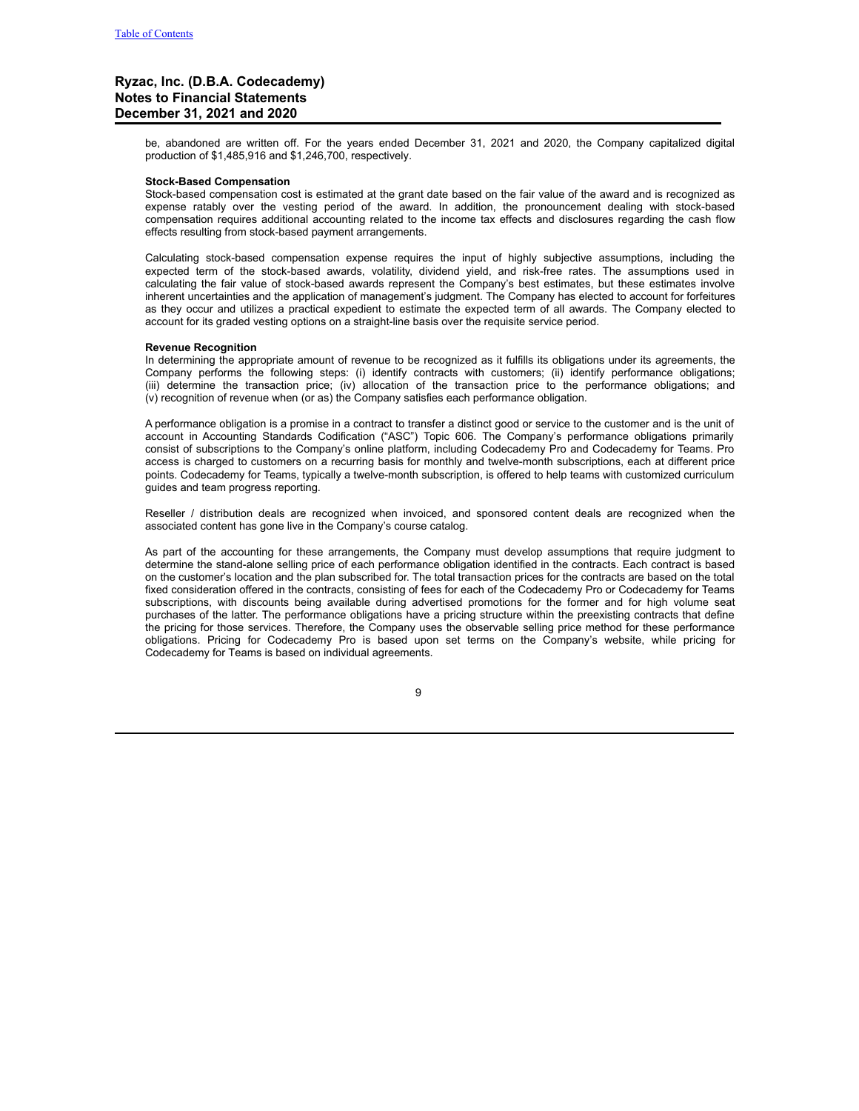be, abandoned are written off. For the years ended December 31, 2021 and 2020, the Company capitalized digital production of \$1,485,916 and \$1,246,700, respectively.

#### **Stock-Based Compensation**

Stock-based compensation cost is estimated at the grant date based on the fair value of the award and is recognized as expense ratably over the vesting period of the award. In addition, the pronouncement dealing with stock-based compensation requires additional accounting related to the income tax effects and disclosures regarding the cash flow effects resulting from stock-based payment arrangements.

Calculating stock-based compensation expense requires the input of highly subjective assumptions, including the expected term of the stock-based awards, volatility, dividend yield, and risk-free rates. The assumptions used in calculating the fair value of stock-based awards represent the Company's best estimates, but these estimates involve inherent uncertainties and the application of management's judgment. The Company has elected to account for forfeitures as they occur and utilizes a practical expedient to estimate the expected term of all awards. The Company elected to account for its graded vesting options on a straight-line basis over the requisite service period.

### **Revenue Recognition**

In determining the appropriate amount of revenue to be recognized as it fulfills its obligations under its agreements, the Company performs the following steps: (i) identify contracts with customers; (ii) identify performance obligations; (iii) determine the transaction price; (iv) allocation of the transaction price to the performance obligations; and (v) recognition of revenue when (or as) the Company satisfies each performance obligation.

A performance obligation is a promise in a contract to transfer a distinct good or service to the customer and is the unit of account in Accounting Standards Codification ("ASC") Topic 606. The Company's performance obligations primarily consist of subscriptions to the Company's online platform, including Codecademy Pro and Codecademy for Teams. Pro access is charged to customers on a recurring basis for monthly and twelve-month subscriptions, each at different price points. Codecademy for Teams, typically a twelve-month subscription, is offered to help teams with customized curriculum guides and team progress reporting.

Reseller / distribution deals are recognized when invoiced, and sponsored content deals are recognized when the associated content has gone live in the Company's course catalog.

As part of the accounting for these arrangements, the Company must develop assumptions that require judgment to determine the stand-alone selling price of each performance obligation identified in the contracts. Each contract is based on the customer's location and the plan subscribed for. The total transaction prices for the contracts are based on the total fixed consideration offered in the contracts, consisting of fees for each of the Codecademy Pro or Codecademy for Teams subscriptions, with discounts being available during advertised promotions for the former and for high volume seat purchases of the latter. The performance obligations have a pricing structure within the preexisting contracts that define the pricing for those services. Therefore, the Company uses the observable selling price method for these performance obligations. Pricing for Codecademy Pro is based upon set terms on the Company's website, while pricing for Codecademy for Teams is based on individual agreements.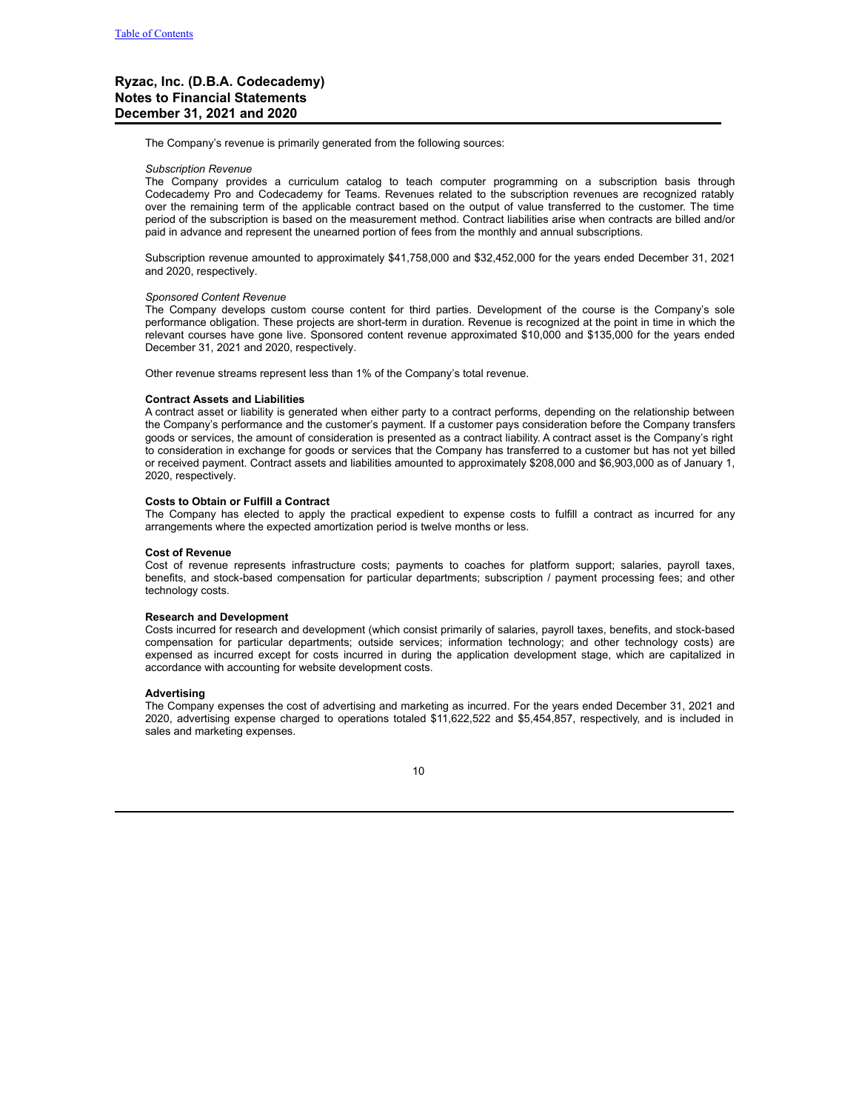<span id="page-14-0"></span>The Company's revenue is primarily generated from the following sources:

#### *Subscription Revenue*

The Company provides a curriculum catalog to teach computer programming on a subscription basis through Codecademy Pro and Codecademy for Teams. Revenues related to the subscription revenues are recognized ratably over the remaining term of the applicable contract based on the output of value transferred to the customer. The time period of the subscription is based on the measurement method. Contract liabilities arise when contracts are billed and/or paid in advance and represent the unearned portion of fees from the monthly and annual subscriptions.

Subscription revenue amounted to approximately \$41,758,000 and \$32,452,000 for the years ended December 31, 2021 and 2020, respectively.

### *Sponsored Content Revenue*

The Company develops custom course content for third parties. Development of the course is the Company's sole performance obligation. These projects are short-term in duration. Revenue is recognized at the point in time in which the relevant courses have gone live. Sponsored content revenue approximated \$10,000 and \$135,000 for the years ended December 31, 2021 and 2020, respectively.

Other revenue streams represent less than 1% of the Company's total revenue.

### **Contract Assets and Liabilities**

A contract asset or liability is generated when either party to a contract performs, depending on the relationship between the Company's performance and the customer's payment. If a customer pays consideration before the Company transfers goods or services, the amount of consideration is presented as a contract liability. A contract asset is the Company's right to consideration in exchange for goods or services that the Company has transferred to a customer but has not yet billed or received payment. Contract assets and liabilities amounted to approximately \$208,000 and \$6,903,000 as of January 1, 2020, respectively.

### **Costs to Obtain or Fulfill a Contract**

The Company has elected to apply the practical expedient to expense costs to fulfill a contract as incurred for any arrangements where the expected amortization period is twelve months or less.

### **Cost of Revenue**

Cost of revenue represents infrastructure costs; payments to coaches for platform support; salaries, payroll taxes, benefits, and stock-based compensation for particular departments; subscription / payment processing fees; and other technology costs.

#### **Research and Development**

Costs incurred for research and development (which consist primarily of salaries, payroll taxes, benefits, and stock-based compensation for particular departments; outside services; information technology; and other technology costs) are expensed as incurred except for costs incurred in during the application development stage, which are capitalized in accordance with accounting for website development costs.

### **Advertising**

The Company expenses the cost of advertising and marketing as incurred. For the years ended December 31, 2021 and 2020, advertising expense charged to operations totaled \$11,622,522 and \$5,454,857, respectively, and is included in sales and marketing expenses.

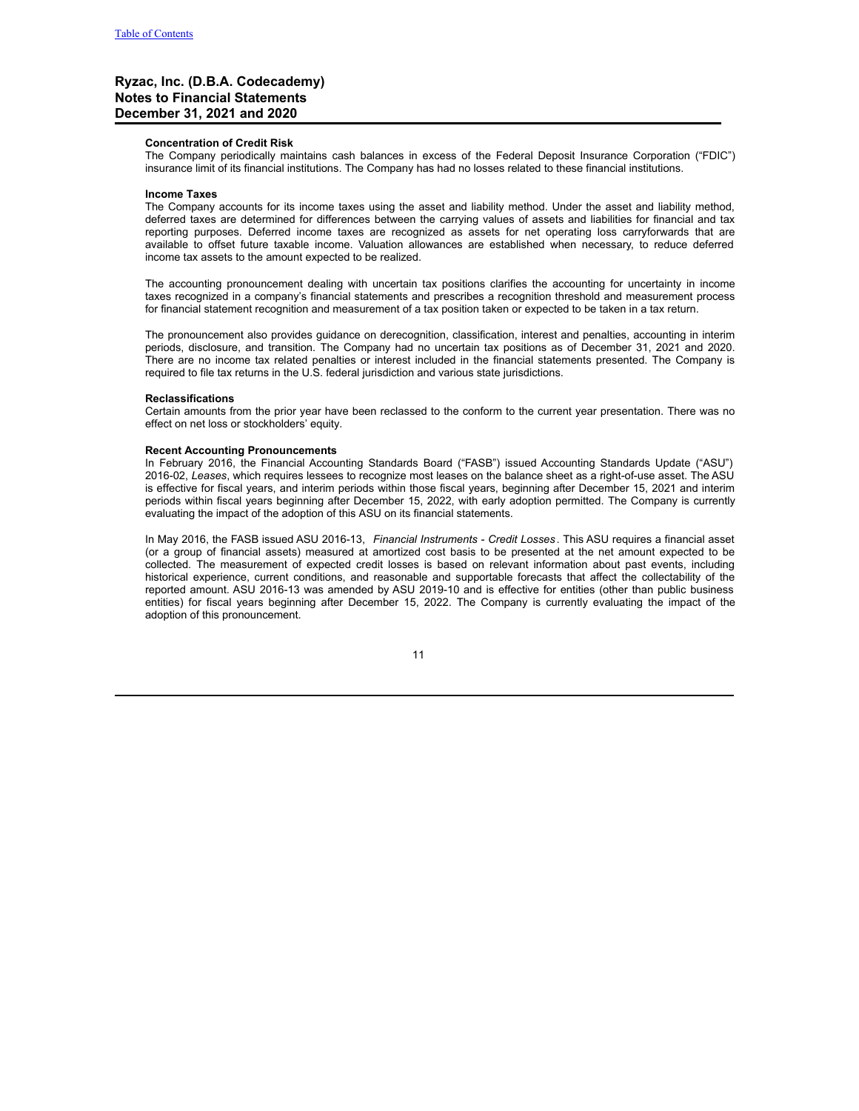#### **Concentration of Credit Risk**

The Company periodically maintains cash balances in excess of the Federal Deposit Insurance Corporation ("FDIC") insurance limit of its financial institutions. The Company has had no losses related to these financial institutions.

#### **Income Taxes**

The Company accounts for its income taxes using the asset and liability method. Under the asset and liability method, deferred taxes are determined for differences between the carrying values of assets and liabilities for financial and tax reporting purposes. Deferred income taxes are recognized as assets for net operating loss carryforwards that are available to offset future taxable income. Valuation allowances are established when necessary, to reduce deferred income tax assets to the amount expected to be realized.

The accounting pronouncement dealing with uncertain tax positions clarifies the accounting for uncertainty in income taxes recognized in a company's financial statements and prescribes a recognition threshold and measurement process for financial statement recognition and measurement of a tax position taken or expected to be taken in a tax return.

The pronouncement also provides guidance on derecognition, classification, interest and penalties, accounting in interim periods, disclosure, and transition. The Company had no uncertain tax positions as of December 31, 2021 and 2020. There are no income tax related penalties or interest included in the financial statements presented. The Company is required to file tax returns in the U.S. federal jurisdiction and various state jurisdictions.

### **Reclassifications**

Certain amounts from the prior year have been reclassed to the conform to the current year presentation. There was no effect on net loss or stockholders' equity.

#### **Recent Accounting Pronouncements**

In February 2016, the Financial Accounting Standards Board ("FASB") issued Accounting Standards Update ("ASU") 2016-02, *Leases*, which requires lessees to recognize most leases on the balance sheet as a right-of-use asset. The ASU is effective for fiscal years, and interim periods within those fiscal years, beginning after December 15, 2021 and interim periods within fiscal years beginning after December 15, 2022, with early adoption permitted. The Company is currently evaluating the impact of the adoption of this ASU on its financial statements.

In May 2016, the FASB issued ASU 2016-13, *Financial Instruments - Credit Losses* . This ASU requires a financial asset (or a group of financial assets) measured at amortized cost basis to be presented at the net amount expected to be collected. The measurement of expected credit losses is based on relevant information about past events, including historical experience, current conditions, and reasonable and supportable forecasts that affect the collectability of the reported amount. ASU 2016-13 was amended by ASU 2019-10 and is effective for entities (other than public business entities) for fiscal years beginning after December 15, 2022. The Company is currently evaluating the impact of the adoption of this pronouncement.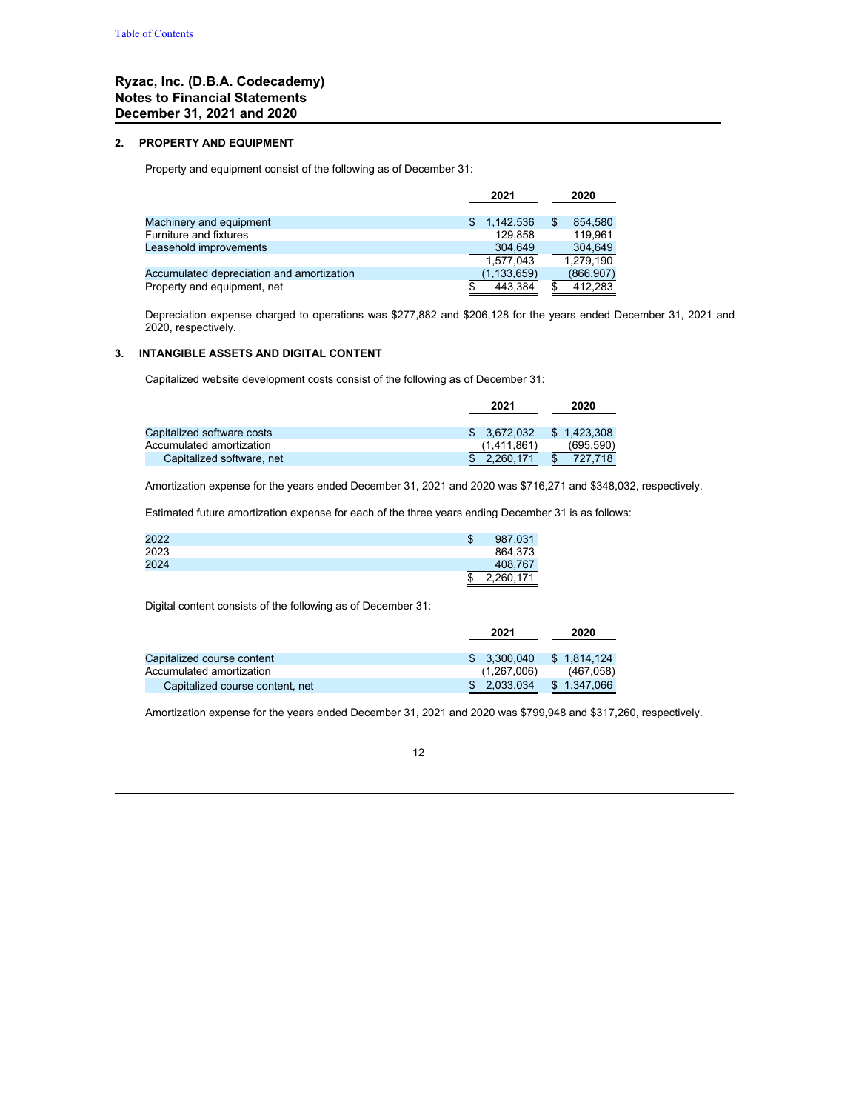### **2. PROPERTY AND EQUIPMENT**

Property and equipment consist of the following as of December 31:

|                                           | 2021        | 2020       |
|-------------------------------------------|-------------|------------|
| Machinery and equipment                   | 1.142.536   | 854.580    |
| <b>Furniture and fixtures</b>             | 129.858     | 119.961    |
| Leasehold improvements                    | 304,649     | 304,649    |
|                                           | 1.577.043   | 1,279,190  |
| Accumulated depreciation and amortization | (1,133,659) | (866, 907) |
| Property and equipment, net               | 443.384     | 412.283    |

Depreciation expense charged to operations was \$277,882 and \$206,128 for the years ended December 31, 2021 and 2020, respectively.

### **3. INTANGIBLE ASSETS AND DIGITAL CONTENT**

Capitalized website development costs consist of the following as of December 31:

|                            | 2021         | 2020        |
|----------------------------|--------------|-------------|
|                            |              |             |
| Capitalized software costs | \$ 3.672.032 | \$1.423.308 |
| Accumulated amortization   | (1.411.861)  | (695, 590)  |
| Capitalized software, net  | \$2.260.171  | 727.718     |

Amortization expense for the years ended December 31, 2021 and 2020 was \$716,271 and \$348,032, respectively.

Estimated future amortization expense for each of the three years ending December 31 is as follows:

| 2022 | 987,031   |
|------|-----------|
| 2023 | 864,373   |
| 2024 | 408,767   |
|      | 2,260,171 |

Digital content consists of the following as of December 31:

|                                 | 2021         | 2020        |
|---------------------------------|--------------|-------------|
|                                 |              |             |
| Capitalized course content      | \$ 3.300,040 | \$1.814.124 |
| Accumulated amortization        | (1,267,006)  | (467.058)   |
| Capitalized course content, net | \$2.033.034  | \$1.347.066 |

Amortization expense for the years ended December 31, 2021 and 2020 was \$799,948 and \$317,260, respectively.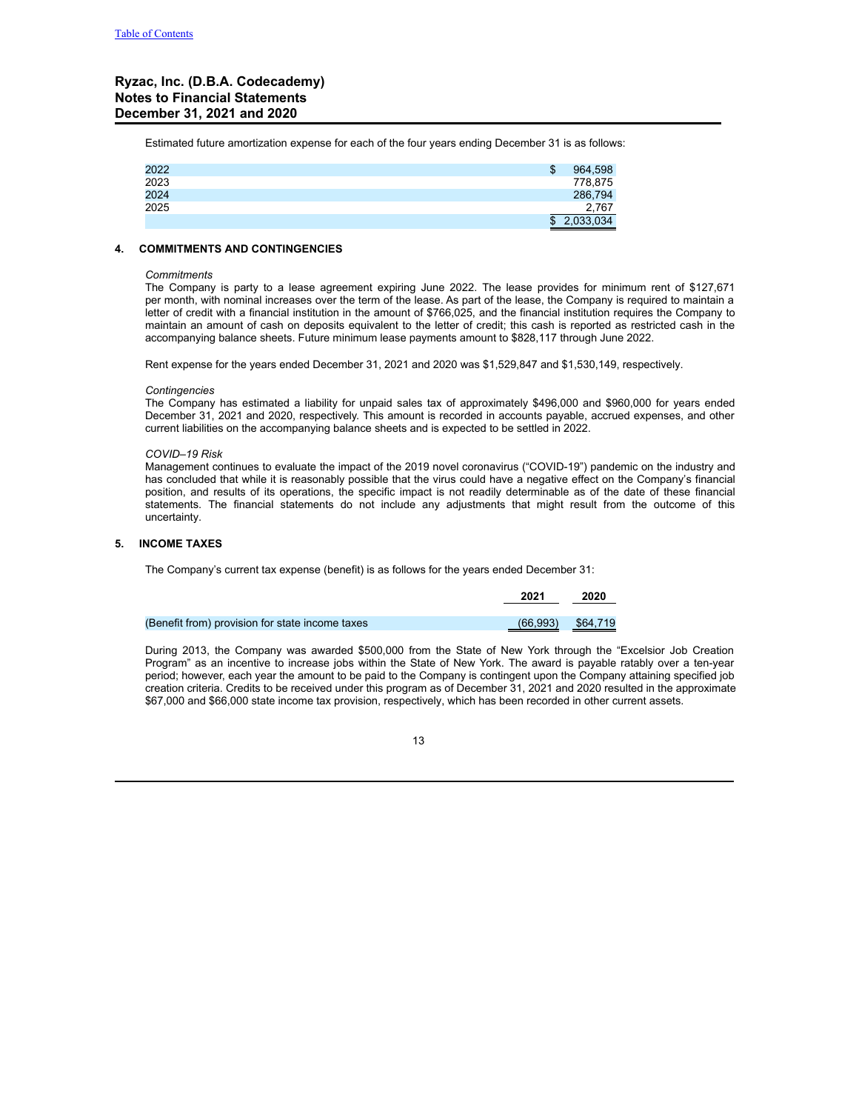Estimated future amortization expense for each of the four years ending December 31 is as follows:

| 2022 | \$<br>964,598   |
|------|-----------------|
| 2023 | 778,875         |
| 2024 | 286,794         |
| 2025 | 2.767           |
|      | 2,033,034<br>\$ |

### **4. COMMITMENTS AND CONTINGENCIES**

### *Commitments*

The Company is party to a lease agreement expiring June 2022. The lease provides for minimum rent of \$127,671 per month, with nominal increases over the term of the lease. As part of the lease, the Company is required to maintain a letter of credit with a financial institution in the amount of \$766,025, and the financial institution requires the Company to maintain an amount of cash on deposits equivalent to the letter of credit; this cash is reported as restricted cash in the accompanying balance sheets. Future minimum lease payments amount to \$828,117 through June 2022.

Rent expense for the years ended December 31, 2021 and 2020 was \$1,529,847 and \$1,530,149, respectively.

### *Contingencies*

The Company has estimated a liability for unpaid sales tax of approximately \$496,000 and \$960,000 for years ended December 31, 2021 and 2020, respectively. This amount is recorded in accounts payable, accrued expenses, and other current liabilities on the accompanying balance sheets and is expected to be settled in 2022.

### *COVID–19 Risk*

Management continues to evaluate the impact of the 2019 novel coronavirus ("COVID-19") pandemic on the industry and has concluded that while it is reasonably possible that the virus could have a negative effect on the Company's financial position, and results of its operations, the specific impact is not readily determinable as of the date of these financial statements. The financial statements do not include any adjustments that might result from the outcome of this uncertainty.

### **5. INCOME TAXES**

The Company's current tax expense (benefit) is as follows for the years ended December 31:

|                                                 | 2021     | 2020     |
|-------------------------------------------------|----------|----------|
|                                                 |          |          |
| (Benefit from) provision for state income taxes | (66.993) | \$64,719 |

During 2013, the Company was awarded \$500,000 from the State of New York through the "Excelsior Job Creation Program" as an incentive to increase jobs within the State of New York. The award is payable ratably over a ten-year period; however, each year the amount to be paid to the Company is contingent upon the Company attaining specified job creation criteria. Credits to be received under this program as of December 31, 2021 and 2020 resulted in the approximate \$67,000 and \$66,000 state income tax provision, respectively, which has been recorded in other current assets.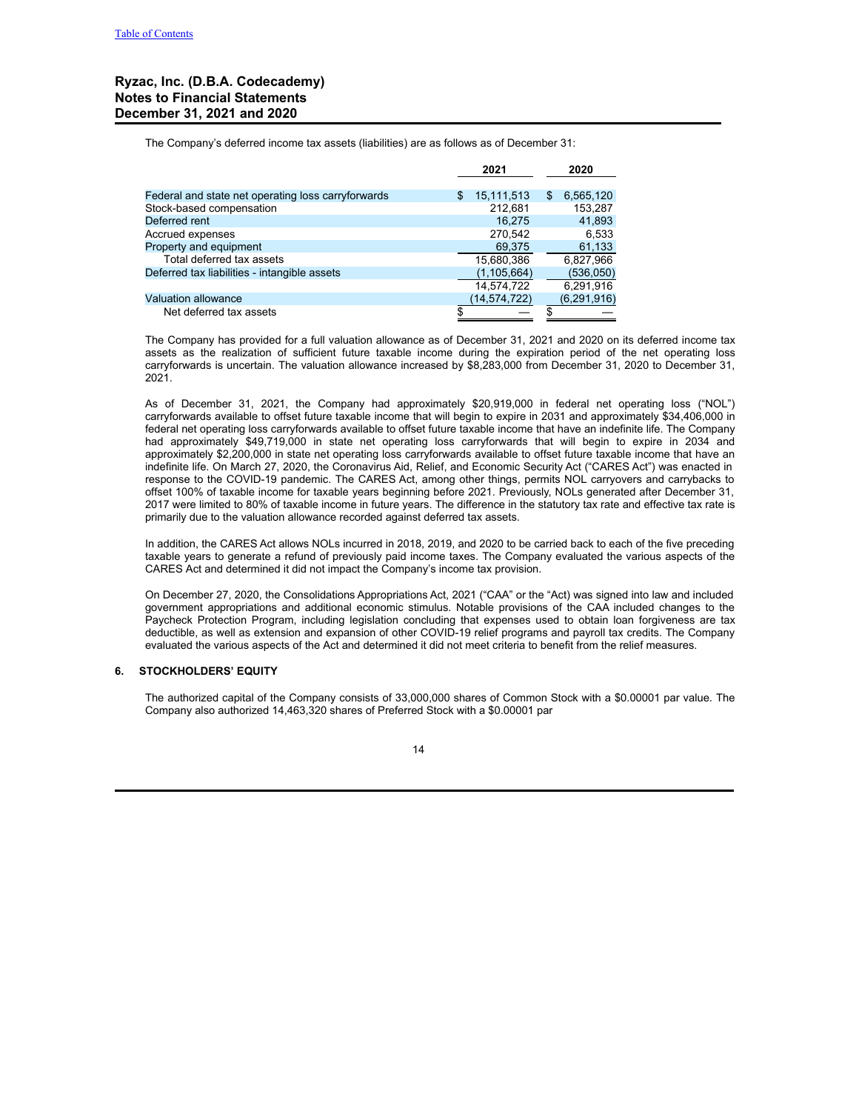The Company's deferred income tax assets (liabilities) are as follows as of December 31:

|                                                    | 2021            | 2020            |
|----------------------------------------------------|-----------------|-----------------|
| Federal and state net operating loss carryforwards | 15,111,513<br>S | 6,565,120<br>\$ |
| Stock-based compensation                           | 212.681         | 153.287         |
| Deferred rent                                      | 16.275          | 41,893          |
| Accrued expenses                                   | 270,542         | 6,533           |
| Property and equipment                             | 69,375          | 61,133          |
| Total deferred tax assets                          | 15,680,386      | 6.827.966       |
| Deferred tax liabilities - intangible assets       | (1, 105, 664)   | (536,050)       |
|                                                    | 14,574,722      | 6,291,916       |
| <b>Valuation allowance</b>                         | (14, 574, 722)  | (6, 291, 916)   |
| Net deferred tax assets                            | \$              |                 |

The Company has provided for a full valuation allowance as of December 31, 2021 and 2020 on its deferred income tax assets as the realization of sufficient future taxable income during the expiration period of the net operating loss carryforwards is uncertain. The valuation allowance increased by \$8,283,000 from December 31, 2020 to December 31, 2021.

As of December 31, 2021, the Company had approximately \$20,919,000 in federal net operating loss ("NOL") carryforwards available to offset future taxable income that will begin to expire in 2031 and approximately \$34,406,000 in federal net operating loss carryforwards available to offset future taxable income that have an indefinite life. The Company had approximately \$49,719,000 in state net operating loss carryforwards that will begin to expire in 2034 and approximately \$2,200,000 in state net operating loss carryforwards available to offset future taxable income that have an indefinite life. On March 27, 2020, the Coronavirus Aid, Relief, and Economic Security Act ("CARES Act") was enacted in response to the COVID-19 pandemic. The CARES Act, among other things, permits NOL carryovers and carrybacks to offset 100% of taxable income for taxable years beginning before 2021. Previously, NOLs generated after December 31, 2017 were limited to 80% of taxable income in future years. The difference in the statutory tax rate and effective tax rate is primarily due to the valuation allowance recorded against deferred tax assets.

In addition, the CARES Act allows NOLs incurred in 2018, 2019, and 2020 to be carried back to each of the five preceding taxable years to generate a refund of previously paid income taxes. The Company evaluated the various aspects of the CARES Act and determined it did not impact the Company's income tax provision.

On December 27, 2020, the Consolidations Appropriations Act, 2021 ("CAA" or the "Act) was signed into law and included government appropriations and additional economic stimulus. Notable provisions of the CAA included changes to the Paycheck Protection Program, including legislation concluding that expenses used to obtain loan forgiveness are tax deductible, as well as extension and expansion of other COVID-19 relief programs and payroll tax credits. The Company evaluated the various aspects of the Act and determined it did not meet criteria to benefit from the relief measures.

### **6. STOCKHOLDERS' EQUITY**

The authorized capital of the Company consists of 33,000,000 shares of Common Stock with a \$0.00001 par value. The Company also authorized 14,463,320 shares of Preferred Stock with a \$0.00001 par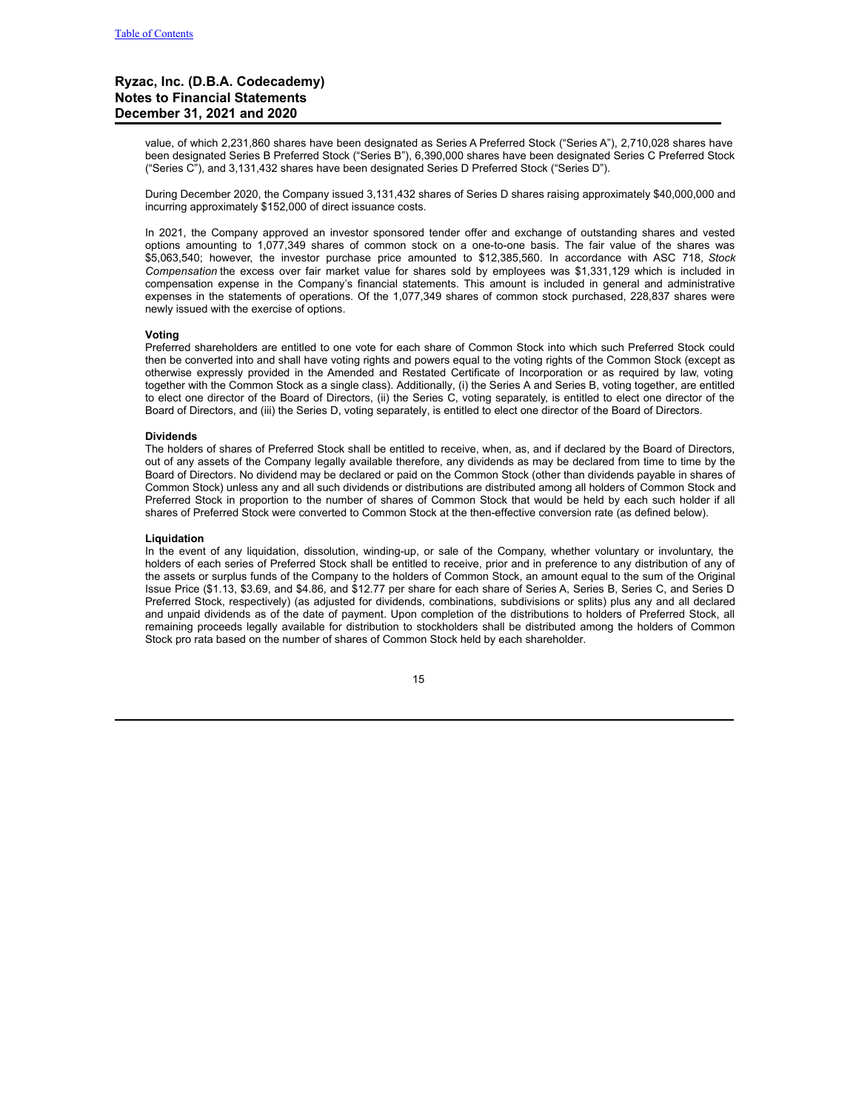value, of which 2,231,860 shares have been designated as Series A Preferred Stock ("Series A"), 2,710,028 shares have been designated Series B Preferred Stock ("Series B"), 6,390,000 shares have been designated Series C Preferred Stock ("Series C"), and 3,131,432 shares have been designated Series D Preferred Stock ("Series D").

During December 2020, the Company issued 3,131,432 shares of Series D shares raising approximately \$40,000,000 and incurring approximately \$152,000 of direct issuance costs.

In 2021, the Company approved an investor sponsored tender offer and exchange of outstanding shares and vested options amounting to 1,077,349 shares of common stock on a one-to-one basis. The fair value of the shares was \$5,063,540; however, the investor purchase price amounted to \$12,385,560. In accordance with ASC 718, *Stock Compensation* the excess over fair market value for shares sold by employees was \$1,331,129 which is included in compensation expense in the Company's financial statements. This amount is included in general and administrative expenses in the statements of operations. Of the 1,077,349 shares of common stock purchased, 228,837 shares were newly issued with the exercise of options.

### **Voting**

Preferred shareholders are entitled to one vote for each share of Common Stock into which such Preferred Stock could then be converted into and shall have voting rights and powers equal to the voting rights of the Common Stock (except as otherwise expressly provided in the Amended and Restated Certificate of Incorporation or as required by law, voting together with the Common Stock as a single class). Additionally, (i) the Series A and Series B, voting together, are entitled to elect one director of the Board of Directors, (ii) the Series C, voting separately, is entitled to elect one director of the Board of Directors, and (iii) the Series D, voting separately, is entitled to elect one director of the Board of Directors.

### **Dividends**

The holders of shares of Preferred Stock shall be entitled to receive, when, as, and if declared by the Board of Directors, out of any assets of the Company legally available therefore, any dividends as may be declared from time to time by the Board of Directors. No dividend may be declared or paid on the Common Stock (other than dividends payable in shares of Common Stock) unless any and all such dividends or distributions are distributed among all holders of Common Stock and Preferred Stock in proportion to the number of shares of Common Stock that would be held by each such holder if all shares of Preferred Stock were converted to Common Stock at the then-effective conversion rate (as defined below).

### **Liquidation**

In the event of any liquidation, dissolution, winding-up, or sale of the Company, whether voluntary or involuntary, the holders of each series of Preferred Stock shall be entitled to receive, prior and in preference to any distribution of any of the assets or surplus funds of the Company to the holders of Common Stock, an amount equal to the sum of the Original Issue Price (\$1.13, \$3.69, and \$4.86, and \$12.77 per share for each share of Series A, Series B, Series C, and Series D Preferred Stock, respectively) (as adjusted for dividends, combinations, subdivisions or splits) plus any and all declared and unpaid dividends as of the date of payment. Upon completion of the distributions to holders of Preferred Stock, all remaining proceeds legally available for distribution to stockholders shall be distributed among the holders of Common Stock pro rata based on the number of shares of Common Stock held by each shareholder.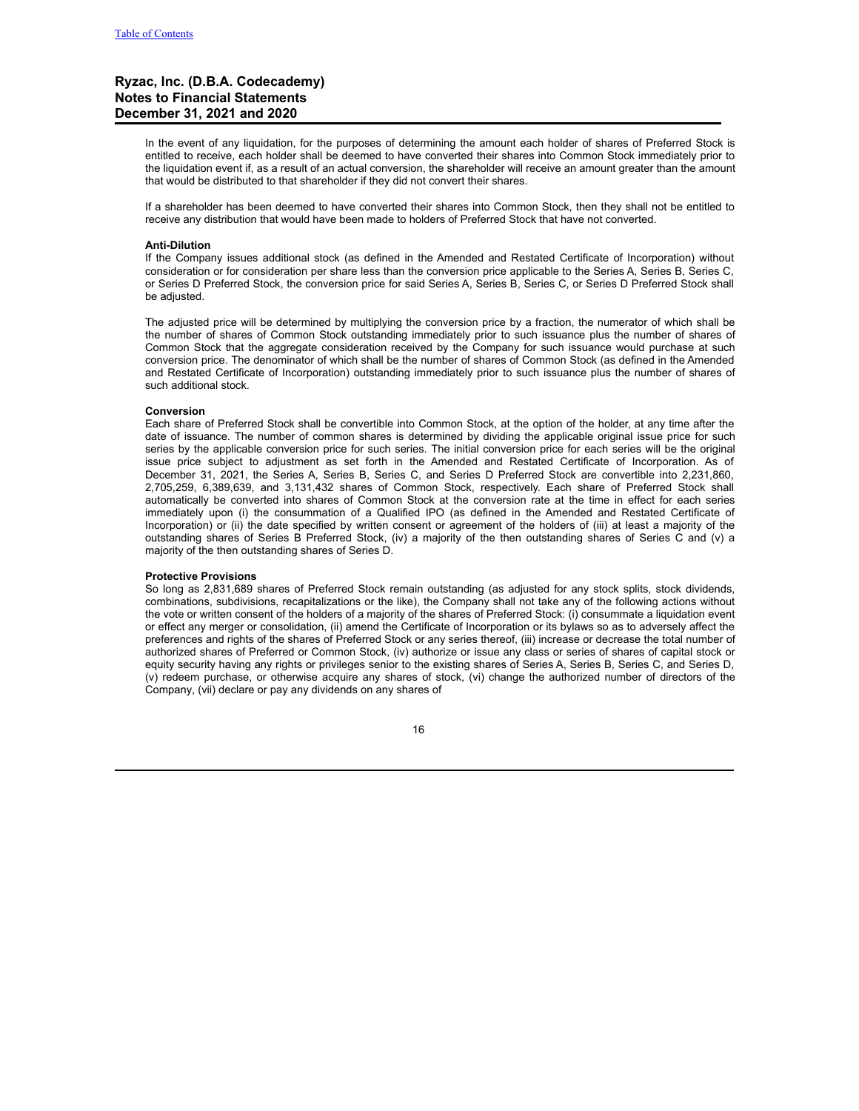In the event of any liquidation, for the purposes of determining the amount each holder of shares of Preferred Stock is entitled to receive, each holder shall be deemed to have converted their shares into Common Stock immediately prior to the liquidation event if, as a result of an actual conversion, the shareholder will receive an amount greater than the amount that would be distributed to that shareholder if they did not convert their shares.

If a shareholder has been deemed to have converted their shares into Common Stock, then they shall not be entitled to receive any distribution that would have been made to holders of Preferred Stock that have not converted.

### **Anti-Dilution**

If the Company issues additional stock (as defined in the Amended and Restated Certificate of Incorporation) without consideration or for consideration per share less than the conversion price applicable to the Series A, Series B, Series C, or Series D Preferred Stock, the conversion price for said Series A, Series B, Series C, or Series D Preferred Stock shall be adjusted.

The adjusted price will be determined by multiplying the conversion price by a fraction, the numerator of which shall be the number of shares of Common Stock outstanding immediately prior to such issuance plus the number of shares of Common Stock that the aggregate consideration received by the Company for such issuance would purchase at such conversion price. The denominator of which shall be the number of shares of Common Stock (as defined in the Amended and Restated Certificate of Incorporation) outstanding immediately prior to such issuance plus the number of shares of such additional stock.

### **Conversion**

Each share of Preferred Stock shall be convertible into Common Stock, at the option of the holder, at any time after the date of issuance. The number of common shares is determined by dividing the applicable original issue price for such series by the applicable conversion price for such series. The initial conversion price for each series will be the original issue price subject to adjustment as set forth in the Amended and Restated Certificate of Incorporation. As of December 31, 2021, the Series A, Series B, Series C, and Series D Preferred Stock are convertible into 2,231,860, 2,705,259, 6,389,639, and 3,131,432 shares of Common Stock, respectively. Each share of Preferred Stock shall automatically be converted into shares of Common Stock at the conversion rate at the time in effect for each series immediately upon (i) the consummation of a Qualified IPO (as defined in the Amended and Restated Certificate of Incorporation) or (ii) the date specified by written consent or agreement of the holders of (iii) at least a majority of the outstanding shares of Series B Preferred Stock, (iv) a majority of the then outstanding shares of Series C and (v) a majority of the then outstanding shares of Series D.

#### **Protective Provisions**

So long as 2,831,689 shares of Preferred Stock remain outstanding (as adjusted for any stock splits, stock dividends, combinations, subdivisions, recapitalizations or the like), the Company shall not take any of the following actions without the vote or written consent of the holders of a majority of the shares of Preferred Stock: (i) consummate a liquidation event or effect any merger or consolidation, (ii) amend the Certificate of Incorporation or its bylaws so as to adversely affect the preferences and rights of the shares of Preferred Stock or any series thereof, (iii) increase or decrease the total number of authorized shares of Preferred or Common Stock, (iv) authorize or issue any class or series of shares of capital stock or equity security having any rights or privileges senior to the existing shares of Series A, Series B, Series C, and Series D, (v) redeem purchase, or otherwise acquire any shares of stock, (vi) change the authorized number of directors of the Company, (vii) declare or pay any dividends on any shares of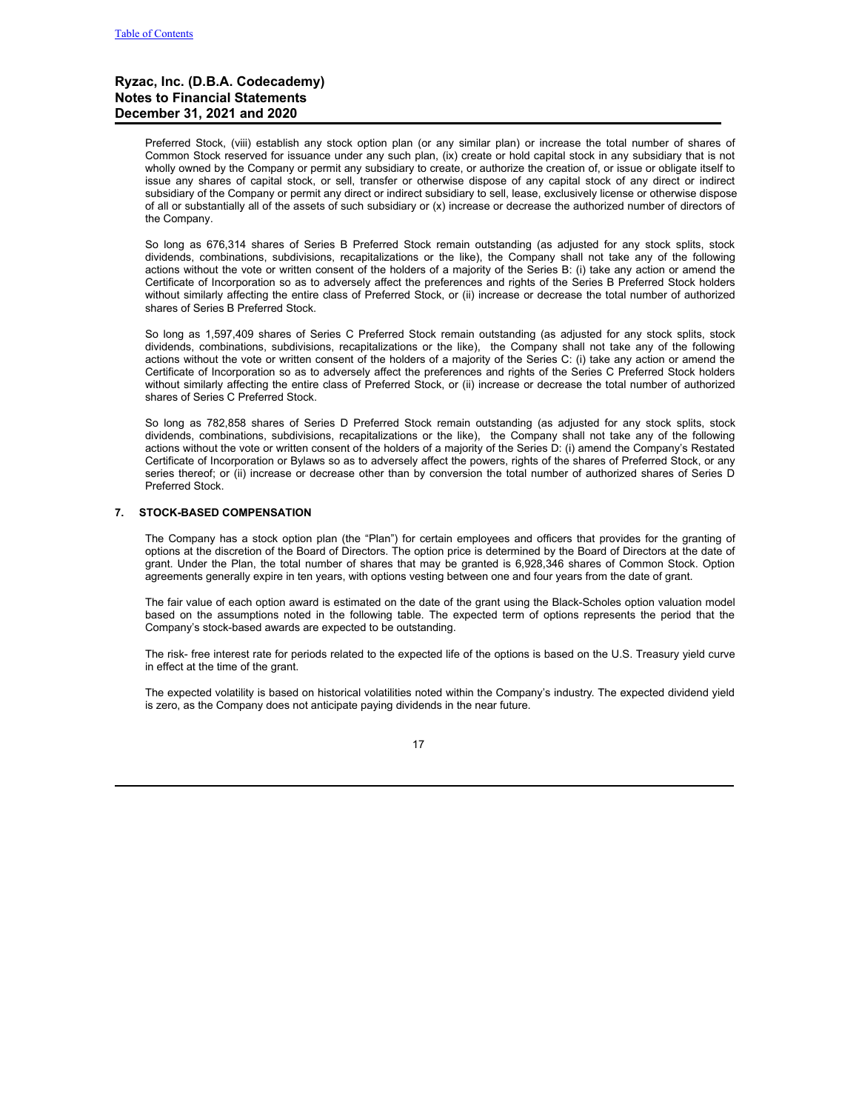Preferred Stock, (viii) establish any stock option plan (or any similar plan) or increase the total number of shares of Common Stock reserved for issuance under any such plan, (ix) create or hold capital stock in any subsidiary that is not wholly owned by the Company or permit any subsidiary to create, or authorize the creation of, or issue or obligate itself to issue any shares of capital stock, or sell, transfer or otherwise dispose of any capital stock of any direct or indirect subsidiary of the Company or permit any direct or indirect subsidiary to sell, lease, exclusively license or otherwise dispose of all or substantially all of the assets of such subsidiary or (x) increase or decrease the authorized number of directors of the Company.

So long as 676,314 shares of Series B Preferred Stock remain outstanding (as adjusted for any stock splits, stock dividends, combinations, subdivisions, recapitalizations or the like), the Company shall not take any of the following actions without the vote or written consent of the holders of a majority of the Series B: (i) take any action or amend the Certificate of Incorporation so as to adversely affect the preferences and rights of the Series B Preferred Stock holders without similarly affecting the entire class of Preferred Stock, or (ii) increase or decrease the total number of authorized shares of Series B Preferred Stock.

So long as 1,597,409 shares of Series C Preferred Stock remain outstanding (as adjusted for any stock splits, stock dividends, combinations, subdivisions, recapitalizations or the like), the Company shall not take any of the following actions without the vote or written consent of the holders of a majority of the Series C: (i) take any action or amend the Certificate of Incorporation so as to adversely affect the preferences and rights of the Series C Preferred Stock holders without similarly affecting the entire class of Preferred Stock, or (ii) increase or decrease the total number of authorized shares of Series C Preferred Stock.

So long as 782,858 shares of Series D Preferred Stock remain outstanding (as adjusted for any stock splits, stock dividends, combinations, subdivisions, recapitalizations or the like), the Company shall not take any of the following actions without the vote or written consent of the holders of a majority of the Series D: (i) amend the Company's Restated Certificate of Incorporation or Bylaws so as to adversely affect the powers, rights of the shares of Preferred Stock, or any series thereof; or (ii) increase or decrease other than by conversion the total number of authorized shares of Series D Preferred Stock.

### **7. STOCK-BASED COMPENSATION**

The Company has a stock option plan (the "Plan") for certain employees and officers that provides for the granting of options at the discretion of the Board of Directors. The option price is determined by the Board of Directors at the date of grant. Under the Plan, the total number of shares that may be granted is 6,928,346 shares of Common Stock. Option agreements generally expire in ten years, with options vesting between one and four years from the date of grant.

The fair value of each option award is estimated on the date of the grant using the Black-Scholes option valuation model based on the assumptions noted in the following table. The expected term of options represents the period that the Company's stock-based awards are expected to be outstanding.

The risk- free interest rate for periods related to the expected life of the options is based on the U.S. Treasury yield curve in effect at the time of the grant.

The expected volatility is based on historical volatilities noted within the Company's industry. The expected dividend yield is zero, as the Company does not anticipate paying dividends in the near future.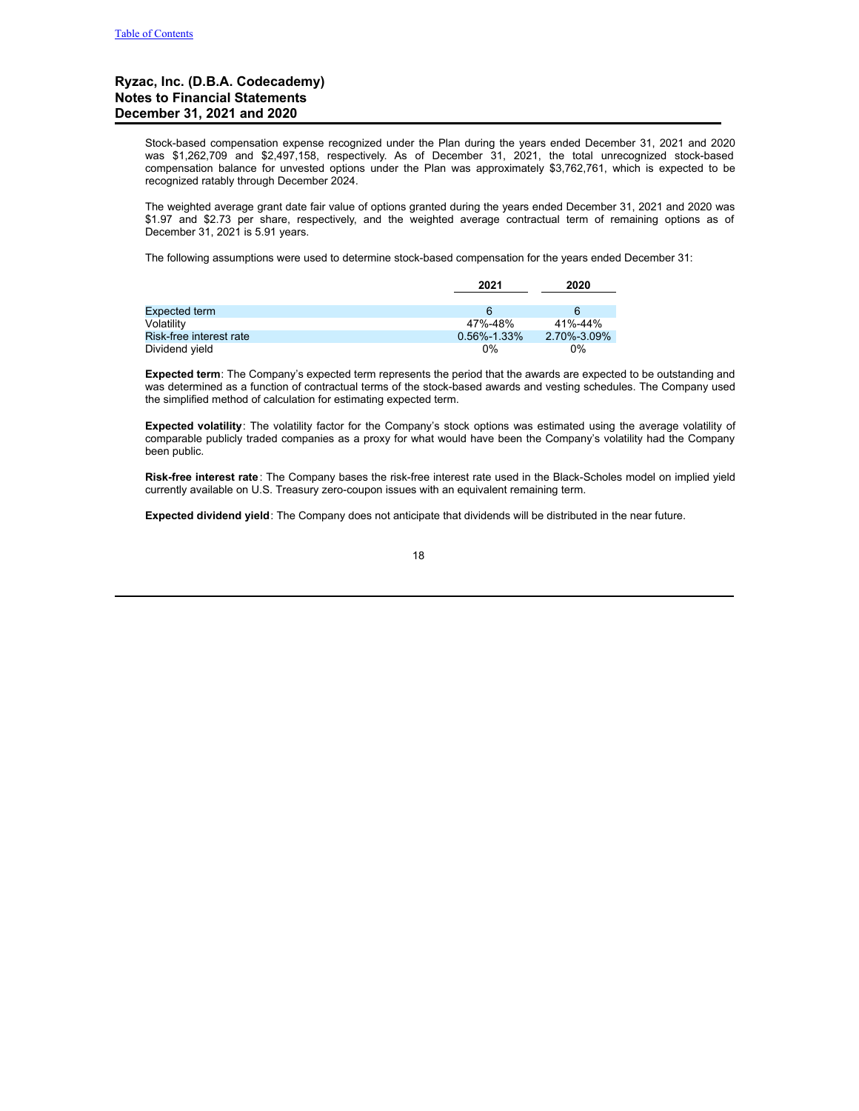Stock-based compensation expense recognized under the Plan during the years ended December 31, 2021 and 2020 was \$1,262,709 and \$2,497,158, respectively. As of December 31, 2021, the total unrecognized stock-based compensation balance for unvested options under the Plan was approximately \$3,762,761, which is expected to be recognized ratably through December 2024.

The weighted average grant date fair value of options granted during the years ended December 31, 2021 and 2020 was \$1.97 and \$2.73 per share, respectively, and the weighted average contractual term of remaining options as of December 31, 2021 is 5.91 years.

The following assumptions were used to determine stock-based compensation for the years ended December 31:

|                         | 2021              | 2020        |
|-------------------------|-------------------|-------------|
| Expected term           | 6                 | 6           |
| Volatility              | 47%-48%           | 41%-44%     |
| Risk-free interest rate | $0.56\% - 1.33\%$ | 2.70%-3.09% |
| Dividend yield          | $0\%$             | $0\%$       |

**Expected term**: The Company's expected term represents the period that the awards are expected to be outstanding and was determined as a function of contractual terms of the stock-based awards and vesting schedules. The Company used the simplified method of calculation for estimating expected term.

**Expected volatility**: The volatility factor for the Company's stock options was estimated using the average volatility of comparable publicly traded companies as a proxy for what would have been the Company's volatility had the Company been public.

**Risk-free interest rate**: The Company bases the risk-free interest rate used in the Black-Scholes model on implied yield currently available on U.S. Treasury zero-coupon issues with an equivalent remaining term.

**Expected dividend yield**: The Company does not anticipate that dividends will be distributed in the near future.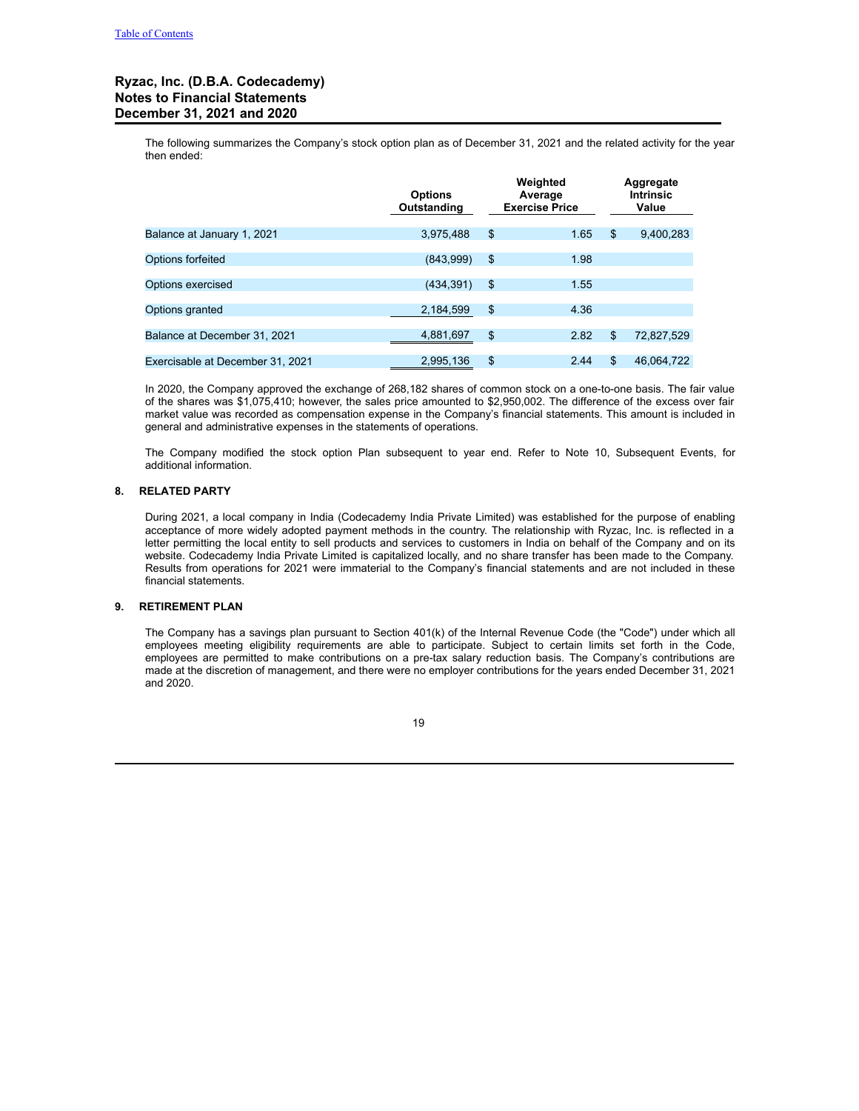The following summarizes the Company's stock option plan as of December 31, 2021 and the related activity for the year then ended:

|                                  | <b>Options</b><br>Outstanding | Weighted<br>Average<br><b>Exercise Price</b> |      | Aggregate<br><b>Intrinsic</b><br>Value |
|----------------------------------|-------------------------------|----------------------------------------------|------|----------------------------------------|
| Balance at January 1, 2021       | 3,975,488                     | \$                                           | 1.65 | \$<br>9,400,283                        |
| <b>Options forfeited</b>         | (843,999)                     | \$                                           | 1.98 |                                        |
| Options exercised                | (434, 391)                    | \$                                           | 1.55 |                                        |
| Options granted                  | 2,184,599                     | \$                                           | 4.36 |                                        |
| Balance at December 31, 2021     | 4,881,697                     | \$                                           | 2.82 | \$<br>72,827,529                       |
| Exercisable at December 31, 2021 | 2,995,136                     | \$                                           | 2.44 | \$<br>46.064.722                       |

In 2020, the Company approved the exchange of 268,182 shares of common stock on a one-to-one basis. The fair value of the shares was \$1,075,410; however, the sales price amounted to \$2,950,002. The difference of the excess over fair market value was recorded as compensation expense in the Company's financial statements. This amount is included in general and administrative expenses in the statements of operations.

The Company modified the stock option Plan subsequent to year end. Refer to Note 10, Subsequent Events, for additional information.

### **8. RELATED PARTY**

During 2021, a local company in India (Codecademy India Private Limited) was established for the purpose of enabling acceptance of more widely adopted payment methods in the country. The relationship with Ryzac, Inc. is reflected in a letter permitting the local entity to sell products and services to customers in India on behalf of the Company and on its website. Codecademy India Private Limited is capitalized locally, and no share transfer has been made to the Company. Results from operations for 2021 were immaterial to the Company's financial statements and are not included in these financial statements.

### **9. RETIREMENT PLAN**

The Company has a savings plan pursuant to Section 401(k) of the Internal Revenue Code (the "Code") under which all employees meeting eligibility requirements are able to participate. Subject to certain limits set forth in the Code, employees are permitted to make contributions on a pre-tax salary reduction basis. The Company's contributions are made at the discretion of management, and there were no employer contributions for the years ended December 31, 2021 and 2020.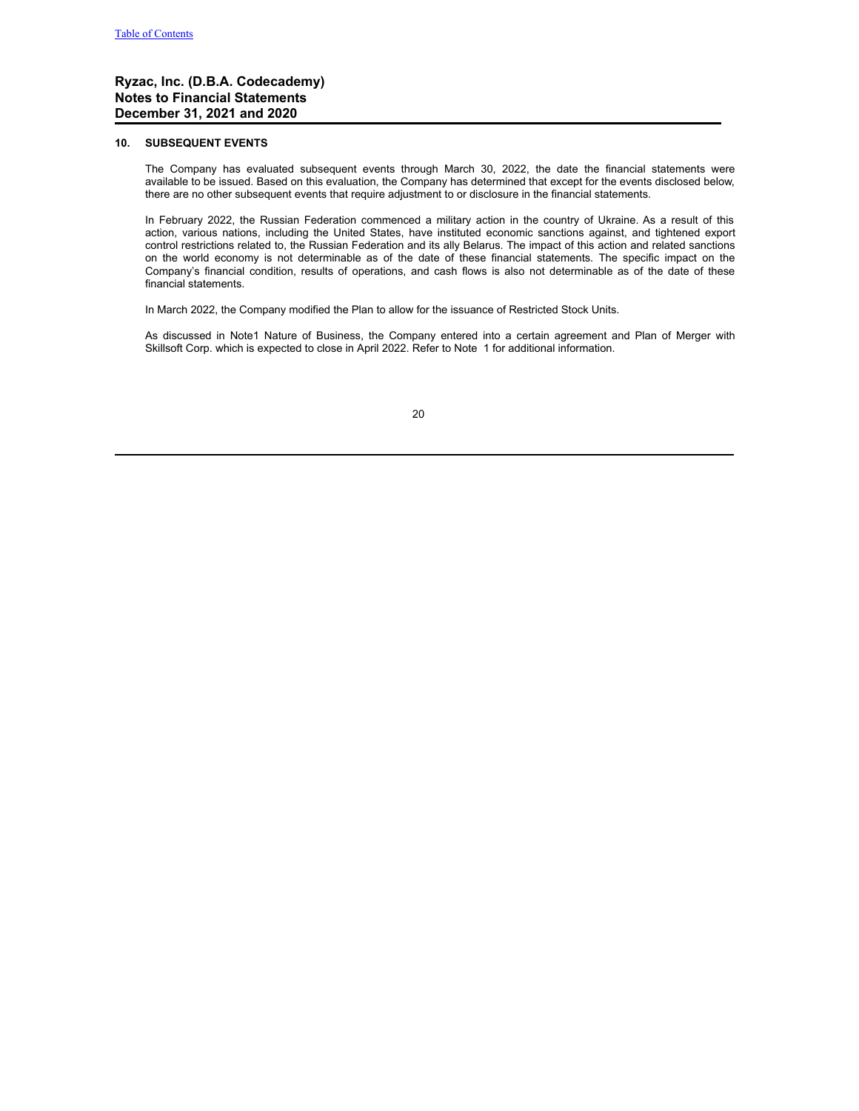### **10. SUBSEQUENT EVENTS**

The Company has evaluated subsequent events through March 30, 2022, the date the financial statements were available to be issued. Based on this evaluation, the Company has determined that except for the events disclosed below, there are no other subsequent events that require adjustment to or disclosure in the financial statements.

In February 2022, the Russian Federation commenced a military action in the country of Ukraine. As a result of this action, various nations, including the United States, have instituted economic sanctions against, and tightened export control restrictions related to, the Russian Federation and its ally Belarus. The impact of this action and related sanctions on the world economy is not determinable as of the date of these financial statements. The specific impact on the Company's financial condition, results of operations, and cash flows is also not determinable as of the date of these financial statements.

In March 2022, the Company modified the Plan to allow for the issuance of Restricted Stock Units.

As discussed in Note1 Nature of Business, the Company entered into a certain agreement and Plan of Merger with Skillsoft Corp. which is expected to close in April 2022. Refer to Note 1 for additional information.

<span id="page-24-0"></span>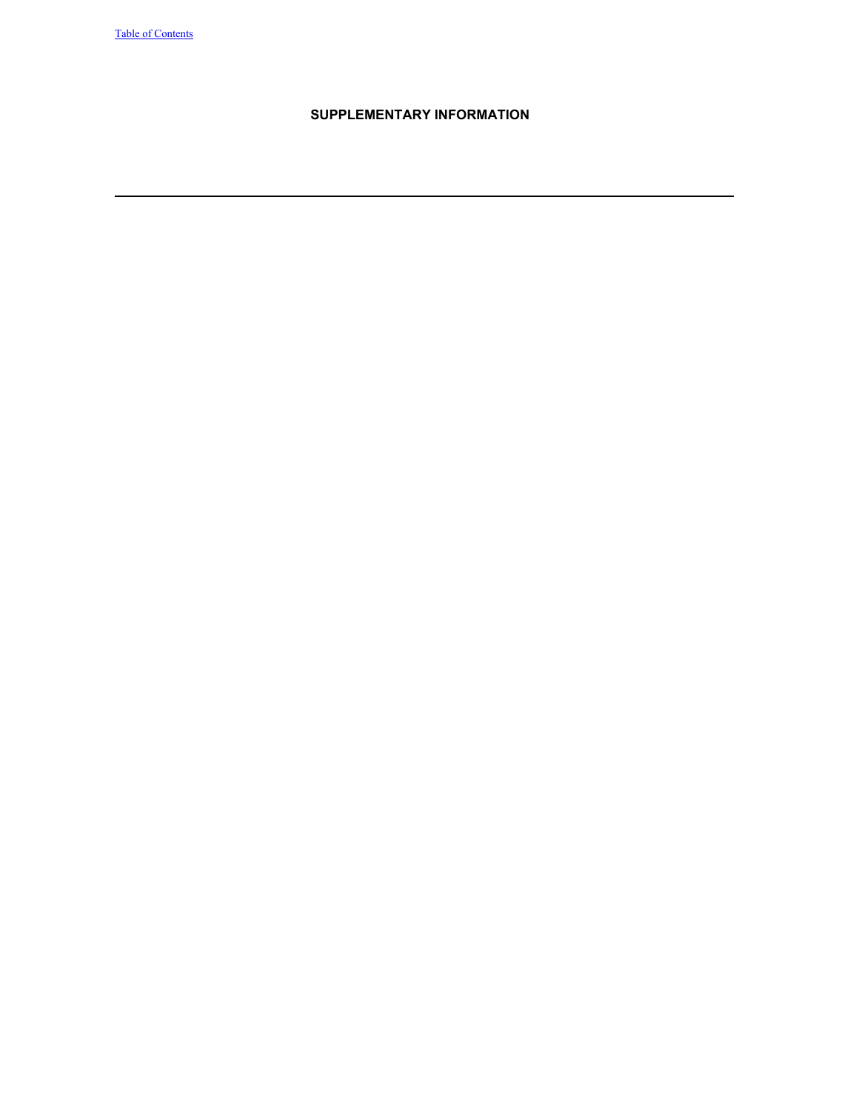## <span id="page-25-0"></span>**SUPPLEMENTARY INFORMATION**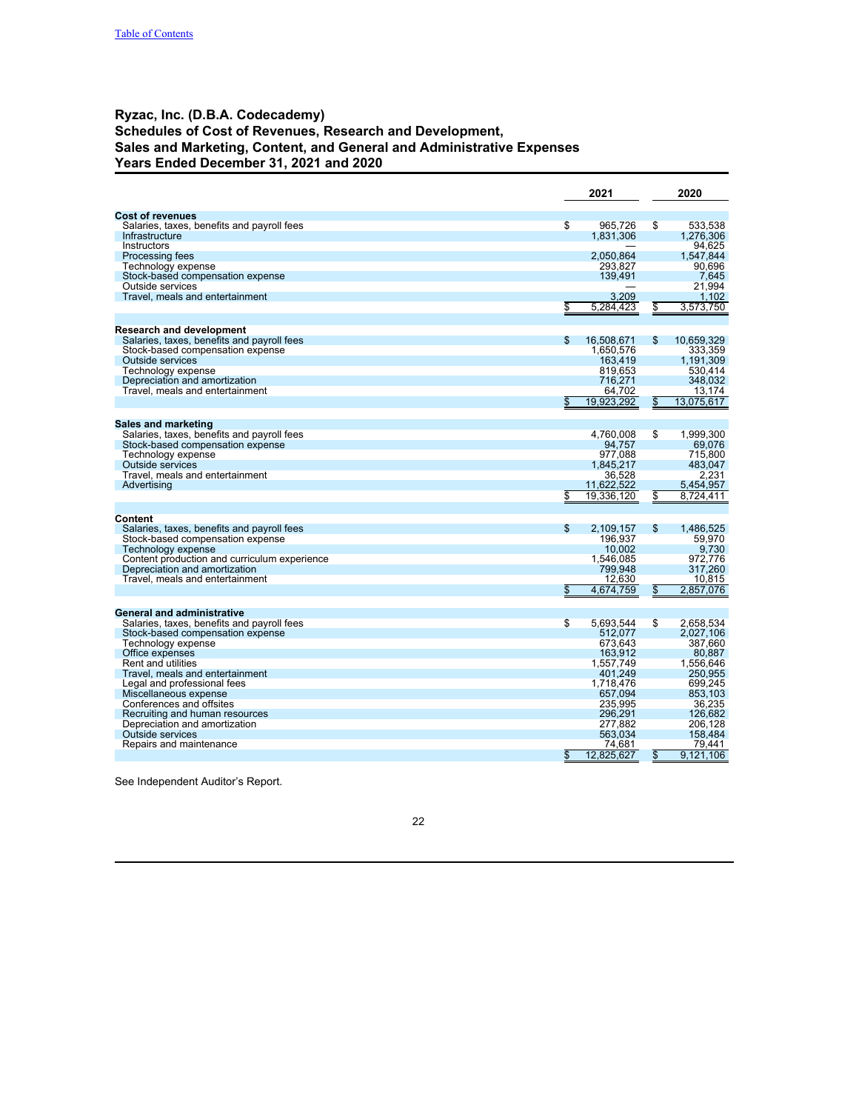### **Ryzac, Inc. (D.B.A. Codecademy) Schedules of Cost of Revenues, Research and Development, Sales and Marketing, Content, and General and Administrative Expenses Years Ended December 31, 2021 and 2020**

|                                              |                         | 2021       |                         | 2020       |
|----------------------------------------------|-------------------------|------------|-------------------------|------------|
| <b>Cost of revenues</b>                      |                         |            |                         |            |
| Salaries, taxes, benefits and payroll fees   | \$                      | 965,726    | \$                      | 533,538    |
| Infrastructure                               |                         | 1,831,306  |                         | 1.276.306  |
| Instructors                                  |                         |            |                         | 94,625     |
| Processing fees                              |                         | 2.050.864  |                         | 1,547,844  |
| Technology expense                           |                         | 293,827    |                         | 90.696     |
| Stock-based compensation expense             |                         | 139,491    |                         | 7.645      |
| Outside services                             |                         |            |                         | 21,994     |
| Travel, meals and entertainment              |                         | 3.209      |                         | 1.102      |
|                                              | \$                      | 5,284,423  | \$                      | 3,573,750  |
|                                              |                         |            |                         |            |
| <b>Research and development</b>              |                         |            |                         |            |
| Salaries, taxes, benefits and payroll fees   | \$                      | 16,508,671 | \$                      | 10,659,329 |
| Stock-based compensation expense             |                         | 1,650,576  |                         | 333,359    |
| Outside services                             |                         | 163,419    |                         | 1,191,309  |
| Technology expense                           |                         | 819,653    |                         | 530,414    |
| Depreciation and amortization                |                         | 716,271    |                         | 348,032    |
| Travel, meals and entertainment              |                         | 64.702     |                         | 13,174     |
|                                              | \$                      | 19.923.292 | \$                      | 13.075.617 |
|                                              |                         |            |                         |            |
| Sales and marketing                          |                         |            |                         |            |
| Salaries, taxes, benefits and payroll fees   |                         | 4.760.008  | \$                      | 1,999,300  |
| Stock-based compensation expense             |                         | 94,757     |                         | 69,076     |
| Technology expense                           |                         | 977.088    |                         | 715.800    |
| Outside services                             |                         | 1,845,217  |                         | 483,047    |
| Travel. meals and entertainment              |                         | 36.528     |                         | 2.231      |
| Advertising                                  |                         | 11,622,522 |                         | 5,454,957  |
|                                              | s                       | 19,336,120 | \$                      | 8.724.411  |
| <b>Content</b>                               |                         |            |                         |            |
| Salaries, taxes, benefits and payroll fees   | \$                      | 2,109,157  | \$                      | 1.486.525  |
| Stock-based compensation expense             |                         | 196.937    |                         | 59.970     |
| Technology expense                           |                         | 10,002     |                         | 9,730      |
| Content production and curriculum experience |                         | 1,546,085  |                         | 972,776    |
| Depreciation and amortization                |                         | 799,948    |                         | 317,260    |
| Travel, meals and entertainment              |                         | 12,630     |                         | 10,815     |
|                                              | $\overline{\mathbb{S}}$ | 4,674,759  | \$                      | 2,857,076  |
|                                              |                         |            |                         |            |
| <b>General and administrative</b>            |                         |            |                         |            |
| Salaries, taxes, benefits and payroll fees   | $\mathbf{s}$            | 5,693,544  | $\overline{\mathbb{S}}$ | 2.658.534  |
| Stock-based compensation expense             |                         | 512,077    |                         | 2,027,106  |
| Technology expense                           |                         | 673,643    |                         | 387,660    |
| Office expenses                              |                         | 163,912    |                         | 80.887     |
| <b>Rent and utilities</b>                    |                         | 1,557,749  |                         | 1,556,646  |
| Travel, meals and entertainment              |                         | 401,249    |                         | 250.955    |
| Legal and professional fees                  |                         | 1,718,476  |                         | 699,245    |
| Miscellaneous expense                        |                         | 657,094    |                         | 853.103    |
| Conferences and offsites                     |                         | 235,995    |                         | 36,235     |
| Recruiting and human resources               |                         | 296.291    |                         | 126.682    |
| Depreciation and amortization                |                         | 277,882    |                         | 206,128    |
| Outside services                             |                         | 563,034    |                         | 158,484    |
| Repairs and maintenance                      |                         | 74,681     |                         | 79,441     |
|                                              | \$                      | 12,825,627 | \$                      | 9,121,106  |
|                                              |                         |            |                         |            |

See Independent Auditor's Report.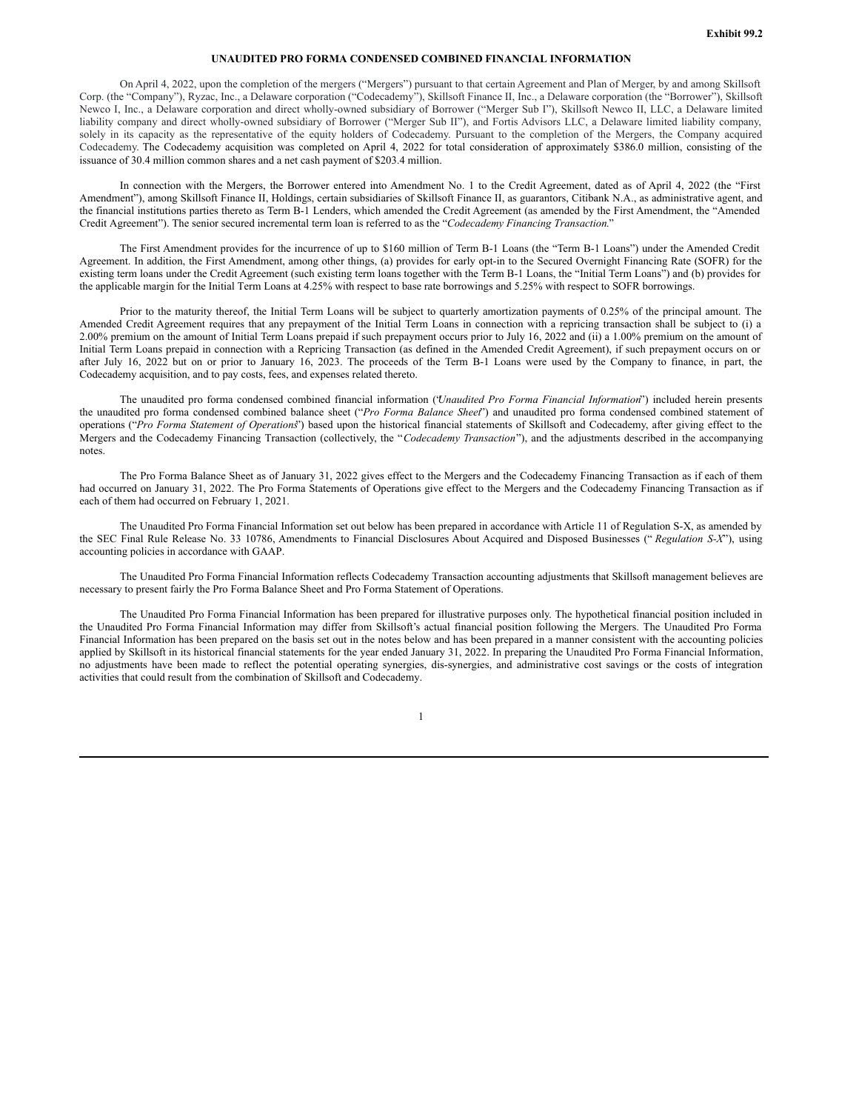### **UNAUDITED PRO FORMA CONDENSED COMBINED FINANCIAL INFORMATION**

On April 4, 2022, upon the completion of the mergers ("Mergers") pursuant to that certain Agreement and Plan of Merger, by and among Skillsoft Corp. (the "Company"), Ryzac, Inc., a Delaware corporation ("Codecademy"), Skillsoft Finance II, Inc., a Delaware corporation (the "Borrower"), Skillsoft Newco I, Inc., a Delaware corporation and direct wholly-owned subsidiary of Borrower ("Merger Sub I"), Skillsoft Newco II, LLC, a Delaware limited liability company and direct wholly-owned subsidiary of Borrower ("Merger Sub II"), and Fortis Advisors LLC, a Delaware limited liability company, solely in its capacity as the representative of the equity holders of Codecademy. Pursuant to the completion of the Mergers, the Company acquired Codecademy. The Codecademy acquisition was completed on April 4, 2022 for total consideration of approximately \$386.0 million, consisting of the issuance of 30.4 million common shares and a net cash payment of \$203.4 million.

In connection with the Mergers, the Borrower entered into Amendment No. 1 to the Credit Agreement, dated as of April 4, 2022 (the "First Amendment"), among Skillsoft Finance II, Holdings, certain subsidiaries of Skillsoft Finance II, as guarantors, Citibank N.A., as administrative agent, and the financial institutions parties thereto as Term B-1 Lenders, which amended the Credit Agreement (as amended by the First Amendment, the "Amended Credit Agreement"). The senior secured incremental term loan is referred to as the "*Codecademy Financing Transaction*."

The First Amendment provides for the incurrence of up to \$160 million of Term B-1 Loans (the "Term B-1 Loans") under the Amended Credit Agreement. In addition, the First Amendment, among other things, (a) provides for early opt-in to the Secured Overnight Financing Rate (SOFR) for the existing term loans under the Credit Agreement (such existing term loans together with the Term B-1 Loans, the "Initial Term Loans") and (b) provides for the applicable margin for the Initial Term Loans at 4.25% with respect to base rate borrowings and 5.25% with respect to SOFR borrowings.

Prior to the maturity thereof, the Initial Term Loans will be subject to quarterly amortization payments of 0.25% of the principal amount. The Amended Credit Agreement requires that any prepayment of the Initial Term Loans in connection with a repricing transaction shall be subject to (i) a 2.00% premium on the amount of Initial Term Loans prepaid if such prepayment occurs prior to July 16, 2022 and (ii) a 1.00% premium on the amount of Initial Term Loans prepaid in connection with a Repricing Transaction (as defined in the Amended Credit Agreement), if such prepayment occurs on or after July 16, 2022 but on or prior to January 16, 2023. The proceeds of the Term B-1 Loans were used by the Company to finance, in part, the Codecademy acquisition, and to pay costs, fees, and expenses related thereto.

The unaudited pro forma condensed combined financial information ("*Unaudited Pro Forma Financial Information*") included herein presents the unaudited pro forma condensed combined balance sheet ("*Pro Forma Balance Sheet*") and unaudited pro forma condensed combined statement of operations ("*Pro Forma Statement of Operations*") based upon the historical financial statements of Skillsoft and Codecademy, after giving effect to the Mergers and the Codecademy Financing Transaction (collectively, the "*Codecademy Transaction*"), and the adjustments described in the accompanying notes.

The Pro Forma Balance Sheet as of January 31, 2022 gives effect to the Mergers and the Codecademy Financing Transaction as if each of them had occurred on January 31, 2022. The Pro Forma Statements of Operations give effect to the Mergers and the Codecademy Financing Transaction as if each of them had occurred on February 1, 2021.

The Unaudited Pro Forma Financial Information set out below has been prepared in accordance with Article 11 of Regulation S-X, as amended by the SEC Final Rule Release No. 33 10786, Amendments to Financial Disclosures About Acquired and Disposed Businesses (" *Regulation S-X*"), using accounting policies in accordance with GAAP.

The Unaudited Pro Forma Financial Information reflects Codecademy Transaction accounting adjustments that Skillsoft management believes are necessary to present fairly the Pro Forma Balance Sheet and Pro Forma Statement of Operations.

The Unaudited Pro Forma Financial Information has been prepared for illustrative purposes only. The hypothetical financial position included in the Unaudited Pro Forma Financial Information may differ from Skillsoft's actual financial position following the Mergers. The Unaudited Pro Forma Financial Information has been prepared on the basis set out in the notes below and has been prepared in a manner consistent with the accounting policies applied by Skillsoft in its historical financial statements for the year ended January 31, 2022. In preparing the Unaudited Pro Forma Financial Information, no adjustments have been made to reflect the potential operating synergies, dis-synergies, and administrative cost savings or the costs of integration activities that could result from the combination of Skillsoft and Codecademy.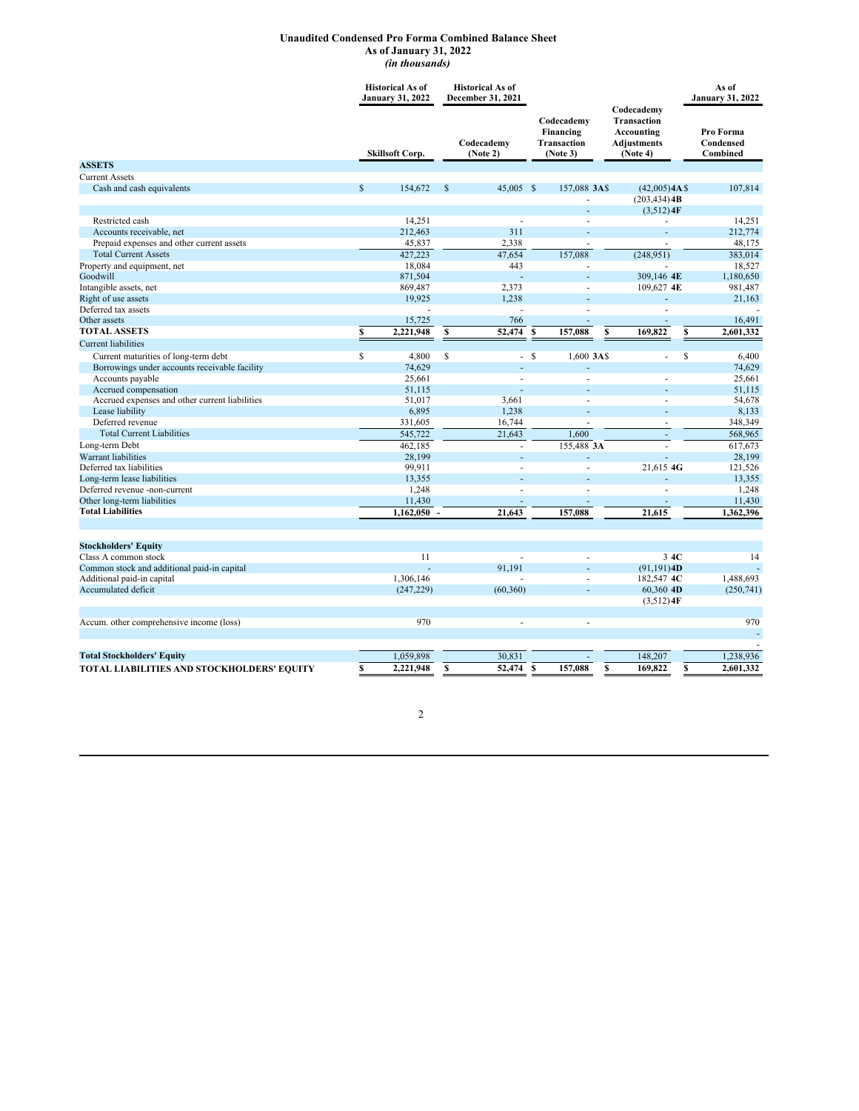### **Unaudited Condensed Pro Forma Combined Balance Sheet As of January 31, 2022** *(in thousands)*

|                                                | <b>Historical As of</b><br><b>January 31, 2022</b> |                        | <b>Historical As of</b><br><b>December 31, 2021</b> |                          |        |                                                    |                                                                           |    | As of<br><b>January 31, 2022</b>   |
|------------------------------------------------|----------------------------------------------------|------------------------|-----------------------------------------------------|--------------------------|--------|----------------------------------------------------|---------------------------------------------------------------------------|----|------------------------------------|
|                                                |                                                    | <b>Skillsoft Corp.</b> |                                                     | Codecademy<br>(Note 2)   |        | Codecademy<br>Financing<br>Transaction<br>(Note 3) | Codecademy<br>Transaction<br>Accounting<br><b>Adjustments</b><br>(Note 4) |    | Pro Forma<br>Condensed<br>Combined |
| <b>ASSETS</b>                                  |                                                    |                        |                                                     |                          |        |                                                    |                                                                           |    |                                    |
| <b>Current Assets</b>                          |                                                    |                        |                                                     |                          |        |                                                    |                                                                           |    |                                    |
| Cash and cash equivalents                      | $\mathbb{S}$                                       | 154,672                | S                                                   | 45,005 \$                |        | 157,088 3A\$                                       | $(42,005)$ 4A \$<br>$(203, 434)$ 4B                                       |    | 107.814                            |
| Restricted cash                                |                                                    | 14,251                 |                                                     |                          |        | J.                                                 | $(3,512)$ 4F                                                              |    | 14,251                             |
| Accounts receivable, net                       |                                                    | 212,463                |                                                     | 311                      |        |                                                    |                                                                           |    | 212,774                            |
| Prepaid expenses and other current assets      |                                                    | 45,837                 |                                                     | 2,338                    |        | ÷.                                                 | ÷.                                                                        |    | 48,175                             |
| <b>Total Current Assets</b>                    |                                                    | 427,223                |                                                     | 47,654                   |        | 157,088                                            | (248,951)                                                                 |    | 383,014                            |
| Property and equipment, net                    |                                                    | 18.084                 |                                                     | 443                      |        |                                                    |                                                                           |    | 18,527                             |
| Goodwill                                       |                                                    | 871,504                |                                                     | ä,                       |        |                                                    | 309,146 4E                                                                |    | 1,180,650                          |
| Intangible assets, net                         |                                                    | 869,487                |                                                     | 2,373                    |        | ä,                                                 | 109,627 4E                                                                |    | 981,487                            |
| Right of use assets                            |                                                    | 19,925                 |                                                     | 1,238                    |        | ä,                                                 |                                                                           |    | 21,163                             |
| Deferred tax assets                            |                                                    |                        |                                                     |                          |        | ÷,                                                 | $\overline{\phantom{a}}$                                                  |    |                                    |
| Other assets                                   |                                                    | 15,725                 |                                                     | 766                      |        |                                                    |                                                                           |    | 16,491                             |
| <b>TOTAL ASSETS</b>                            | \$                                                 | 2,221,948              | \$                                                  | 52,474                   | \$     | 157,088<br>S                                       | 169,822                                                                   | \$ | 2,601,332                          |
| <b>Current liabilities</b>                     |                                                    |                        |                                                     |                          |        |                                                    |                                                                           |    |                                    |
| Current maturities of long-term debt           | $\mathbf S$                                        | 4,800                  | S                                                   |                          | $-$ \$ | 1.600 3AS                                          | ÷.                                                                        | S  | 6,400                              |
| Borrowings under accounts receivable facility  |                                                    | 74,629                 |                                                     |                          |        |                                                    |                                                                           |    | 74,629                             |
| Accounts payable                               |                                                    | 25,661                 |                                                     | ÷.                       |        | J.                                                 | ä,                                                                        |    | 25,661                             |
| Accrued compensation                           |                                                    | 51,115                 |                                                     | L.                       |        | L,                                                 | L.                                                                        |    | 51,115                             |
| Accrued expenses and other current liabilities |                                                    | 51,017                 |                                                     | 3,661                    |        |                                                    |                                                                           |    | 54,678                             |
| Lease liability                                |                                                    | 6,895                  |                                                     | 1,238                    |        |                                                    | ä,                                                                        |    | 8,133                              |
| Deferred revenue                               |                                                    | 331,605                |                                                     | 16,744                   |        |                                                    | $\overline{\phantom{a}}$                                                  |    | 348,349                            |
| <b>Total Current Liabilities</b>               |                                                    | 545,722                |                                                     | 21,643                   |        | 1,600                                              | $\sim$                                                                    |    | 568,965                            |
| Long-term Debt                                 |                                                    | 462.185                |                                                     |                          |        | 155,488 3A                                         |                                                                           |    | 617.673                            |
| <b>Warrant liabilities</b>                     |                                                    | 28,199                 |                                                     | ÷.                       |        |                                                    | ä,                                                                        |    | 28,199                             |
| Deferred tax liabilities                       |                                                    | 99,911                 |                                                     | $\overline{\phantom{a}}$ |        | ä,                                                 | 21.615 4G                                                                 |    | 121,526                            |
| Long-term lease liabilities                    |                                                    | 13,355                 |                                                     | ٠                        |        | ä,                                                 |                                                                           |    | 13,355                             |
| Deferred revenue -non-current                  |                                                    | 1,248                  |                                                     | ä,                       |        | ä,                                                 | $\overline{\phantom{a}}$                                                  |    | 1,248                              |
| Other long-term liabilities                    |                                                    | 11,430                 |                                                     |                          |        | ÷.                                                 | ÷                                                                         |    | 11,430                             |
| <b>Total Liabilities</b>                       |                                                    | $1,162,050$ -          |                                                     | 21,643                   |        | 157,088                                            | 21,615                                                                    |    | 1,362,396                          |
| <b>Stockholders' Equity</b>                    |                                                    |                        |                                                     |                          |        |                                                    |                                                                           |    |                                    |
| Class A common stock                           |                                                    | 11                     |                                                     |                          |        |                                                    | 3 4C                                                                      |    | 14                                 |
| Common stock and additional paid-in capital    |                                                    |                        |                                                     | 91,191                   |        |                                                    | $(91,191)$ 4D                                                             |    |                                    |
| Additional paid-in capital                     |                                                    | 1,306,146              |                                                     |                          |        |                                                    | 182,547 4C                                                                |    | 1,488,693                          |
| Accumulated deficit                            |                                                    | (247, 229)             |                                                     | (60, 360)                |        |                                                    | 60,360 4D                                                                 |    | (250,741)                          |
|                                                |                                                    |                        |                                                     |                          |        |                                                    | $(3,512)$ <b>4F</b>                                                       |    |                                    |
| Accum. other comprehensive income (loss)       |                                                    | 970                    |                                                     |                          |        |                                                    |                                                                           |    | 970                                |
|                                                |                                                    |                        |                                                     |                          |        |                                                    |                                                                           |    |                                    |
| <b>Total Stockholders' Equity</b>              |                                                    | 1,059,898              |                                                     | 30,831                   |        |                                                    | 148,207                                                                   |    | 1,238,936                          |
| TOTAL LIABILITIES AND STOCKHOLDERS' EQUITY     | \$                                                 | 2,221,948              | \$                                                  | 52,474                   | S      | 157,088<br>S                                       | 169,822                                                                   | \$ | 2,601,332                          |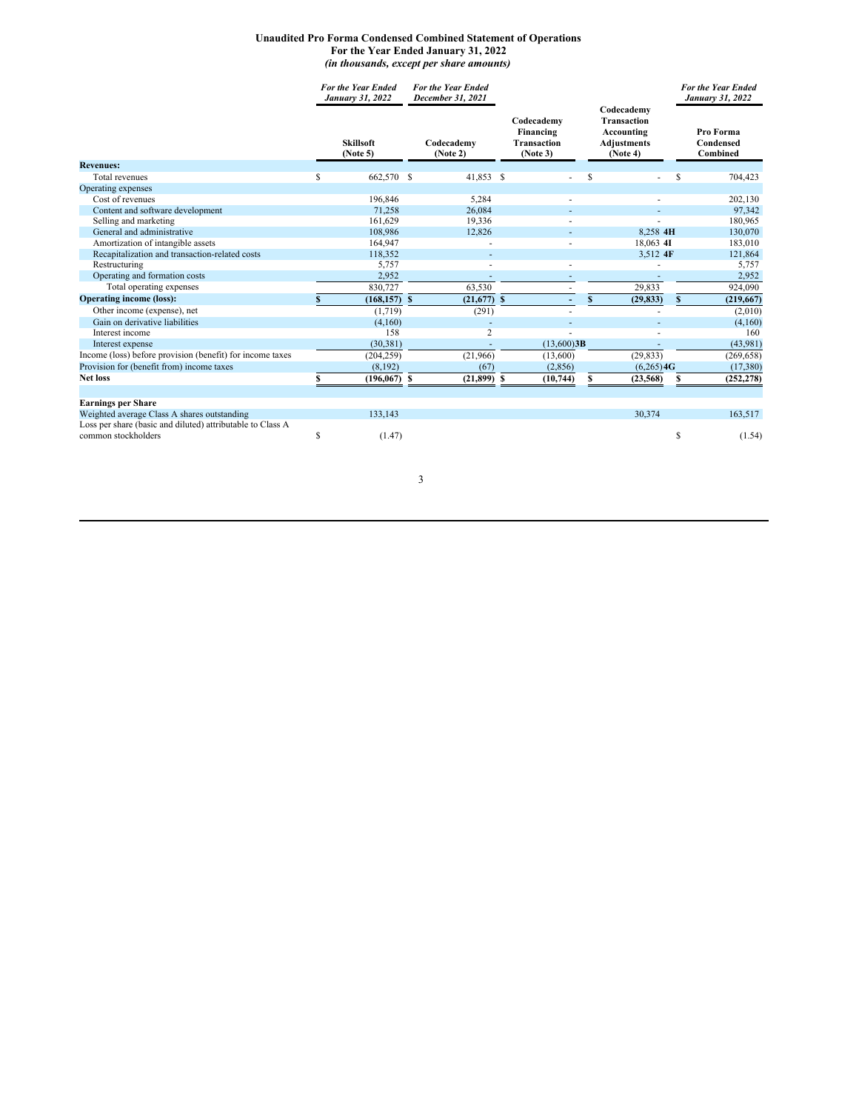### **Unaudited Pro Forma Condensed Combined Statement of Operations For the Year Ended January 31, 2022** *(in thousands, except per share amounts)*

|                                                            |   | <b>For the Year Ended</b><br>January 31, 2022 | <b>For the Year Ended</b><br>December 31, 2021 |                                                    |                                                                      |           |                                    | <b>For the Year Ended</b><br><b>January 31, 2022</b> |
|------------------------------------------------------------|---|-----------------------------------------------|------------------------------------------------|----------------------------------------------------|----------------------------------------------------------------------|-----------|------------------------------------|------------------------------------------------------|
|                                                            |   | <b>Skillsoft</b><br>(Note 5)                  | Codecademy<br>(Note 2)                         | Codecademy<br>Financing<br>Transaction<br>(Note 3) | Codecademy<br><b>Transaction</b><br>Accounting<br><b>Adjustments</b> |           | Pro Forma<br>Condensed<br>Combined |                                                      |
| <b>Revenues:</b>                                           |   |                                               |                                                |                                                    |                                                                      |           |                                    |                                                      |
| Total revenues                                             | S | 662,570 \$                                    | 41,853 \$                                      |                                                    | S                                                                    |           | S                                  | 704,423                                              |
| Operating expenses                                         |   |                                               |                                                |                                                    |                                                                      |           |                                    |                                                      |
| Cost of revenues                                           |   | 196,846                                       | 5,284                                          |                                                    |                                                                      |           |                                    | 202,130                                              |
| Content and software development                           |   | 71.258                                        | 26.084                                         |                                                    |                                                                      |           |                                    | 97,342                                               |
| Selling and marketing                                      |   | 161,629                                       | 19,336                                         |                                                    |                                                                      |           |                                    | 180,965                                              |
| General and administrative                                 |   | 108,986                                       | 12,826                                         |                                                    |                                                                      | 8,258 4H  |                                    | 130,070                                              |
| Amortization of intangible assets                          |   | 164,947                                       |                                                |                                                    |                                                                      | 18,063 4I |                                    | 183,010                                              |
| Recapitalization and transaction-related costs             |   | 118,352                                       |                                                |                                                    |                                                                      | 3,512 4F  |                                    | 121,864                                              |
| Restructuring                                              |   | 5,757                                         |                                                |                                                    |                                                                      |           |                                    | 5,757                                                |
| Operating and formation costs                              |   | 2,952                                         |                                                |                                                    |                                                                      |           |                                    | 2,952                                                |
| Total operating expenses                                   |   | 830,727                                       | 63,530                                         |                                                    |                                                                      | 29,833    |                                    | 924,090                                              |
| <b>Operating income (loss):</b>                            |   | $(168, 157)$ \$                               | $(21,677)$ \$                                  | ٠                                                  | S.                                                                   | (29, 833) | $\mathbf{s}$                       | (219,667)                                            |
| Other income (expense), net                                |   | (1,719)                                       | (291)                                          |                                                    |                                                                      |           |                                    | (2,010)                                              |
| Gain on derivative liabilities                             |   | (4,160)                                       |                                                |                                                    |                                                                      |           |                                    | (4,160)                                              |
| Interest income                                            |   | 158                                           | 2                                              |                                                    |                                                                      |           |                                    | 160                                                  |
| Interest expense                                           |   | (30, 381)                                     |                                                | $(13,600)$ <b>3B</b>                               |                                                                      |           |                                    | (43,981)                                             |
| Income (loss) before provision (benefit) for income taxes  |   | (204, 259)                                    | (21,966)                                       | (13,600)                                           |                                                                      | (29, 833) |                                    | (269, 658)                                           |
| Provision for (benefit from) income taxes                  |   | (8,192)                                       | (67)                                           | (2,856)                                            |                                                                      | (6,265)4G |                                    | (17,380)                                             |
| <b>Net loss</b>                                            | s | $(196,067)$ \$                                | $(21,899)$ \$                                  | (10, 744)                                          | s                                                                    | (23, 568) | s                                  | (252, 278)                                           |
|                                                            |   |                                               |                                                |                                                    |                                                                      |           |                                    |                                                      |
| <b>Earnings per Share</b>                                  |   |                                               |                                                |                                                    |                                                                      |           |                                    |                                                      |
| Weighted average Class A shares outstanding                |   | 133,143                                       |                                                |                                                    |                                                                      | 30.374    |                                    | 163,517                                              |
| Loss per share (basic and diluted) attributable to Class A |   |                                               |                                                |                                                    |                                                                      |           |                                    |                                                      |
| common stockholders                                        | S | (1.47)                                        |                                                |                                                    |                                                                      |           | \$                                 | (1.54)                                               |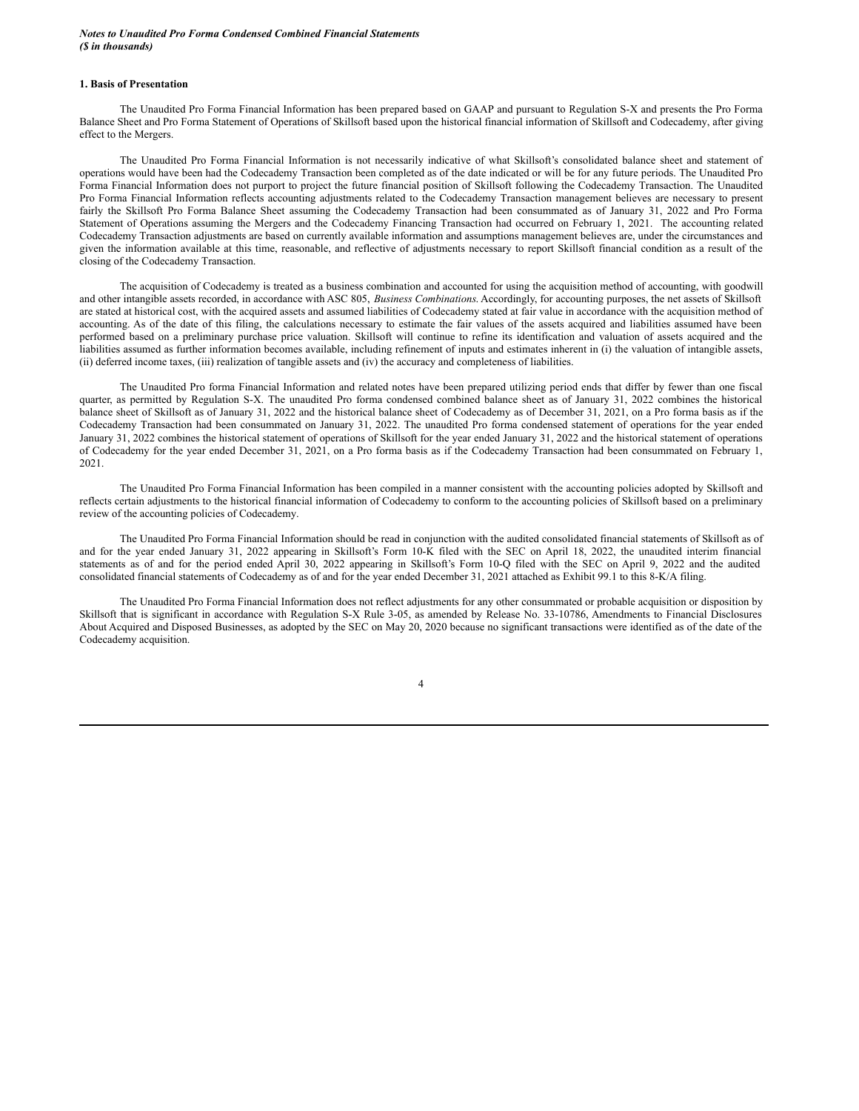#### *Notes to Unaudited Pro Forma Condensed Combined Financial Statements (\$ in thousands)*

### **1. Basis of Presentation**

The Unaudited Pro Forma Financial Information has been prepared based on GAAP and pursuant to Regulation S-X and presents the Pro Forma Balance Sheet and Pro Forma Statement of Operations of Skillsoft based upon the historical financial information of Skillsoft and Codecademy, after giving effect to the Mergers.

The Unaudited Pro Forma Financial Information is not necessarily indicative of what Skillsoft's consolidated balance sheet and statement of operations would have been had the Codecademy Transaction been completed as of the date indicated or will be for any future periods. The Unaudited Pro Forma Financial Information does not purport to project the future financial position of Skillsoft following the Codecademy Transaction. The Unaudited Pro Forma Financial Information reflects accounting adjustments related to the Codecademy Transaction management believes are necessary to present fairly the Skillsoft Pro Forma Balance Sheet assuming the Codecademy Transaction had been consummated as of January 31, 2022 and Pro Forma Statement of Operations assuming the Mergers and the Codecademy Financing Transaction had occurred on February 1, 2021. The accounting related Codecademy Transaction adjustments are based on currently available information and assumptions management believes are, under the circumstances and given the information available at this time, reasonable, and reflective of adjustments necessary to report Skillsoft financial condition as a result of the closing of the Codecademy Transaction.

The acquisition of Codecademy is treated as a business combination and accounted for using the acquisition method of accounting, with goodwill and other intangible assets recorded, in accordance with ASC 805, *Business Combinations*. Accordingly, for accounting purposes, the net assets of Skillsoft are stated at historical cost, with the acquired assets and assumed liabilities of Codecademy stated at fair value in accordance with the acquisition method of accounting. As of the date of this filing, the calculations necessary to estimate the fair values of the assets acquired and liabilities assumed have been performed based on a preliminary purchase price valuation. Skillsoft will continue to refine its identification and valuation of assets acquired and the liabilities assumed as further information becomes available, including refinement of inputs and estimates inherent in (i) the valuation of intangible assets, (ii) deferred income taxes, (iii) realization of tangible assets and (iv) the accuracy and completeness of liabilities.

The Unaudited Pro forma Financial Information and related notes have been prepared utilizing period ends that differ by fewer than one fiscal quarter, as permitted by Regulation S-X. The unaudited Pro forma condensed combined balance sheet as of January 31, 2022 combines the historical balance sheet of Skillsoft as of January 31, 2022 and the historical balance sheet of Codecademy as of December 31, 2021, on a Pro forma basis as if the Codecademy Transaction had been consummated on January 31, 2022. The unaudited Pro forma condensed statement of operations for the year ended January 31, 2022 combines the historical statement of operations of Skillsoft for the year ended January 31, 2022 and the historical statement of operations of Codecademy for the year ended December 31, 2021, on a Pro forma basis as if the Codecademy Transaction had been consummated on February 1, 2021.

The Unaudited Pro Forma Financial Information has been compiled in a manner consistent with the accounting policies adopted by Skillsoft and reflects certain adjustments to the historical financial information of Codecademy to conform to the accounting policies of Skillsoft based on a preliminary review of the accounting policies of Codecademy.

The Unaudited Pro Forma Financial Information should be read in conjunction with the audited consolidated financial statements of Skillsoft as of and for the year ended January 31, 2022 appearing in Skillsoft's Form 10-K filed with the SEC on April 18, 2022, the unaudited interim financial statements as of and for the period ended April 30, 2022 appearing in Skillsoft's Form 10-Q filed with the SEC on April 9, 2022 and the audited consolidated financial statements of Codecademy as of and for the year ended December 31, 2021 attached as Exhibit 99.1 to this 8-K/A filing.

The Unaudited Pro Forma Financial Information does not reflect adjustments for any other consummated or probable acquisition or disposition by Skillsoft that is significant in accordance with Regulation S-X Rule 3-05, as amended by Release No. 33-10786, Amendments to Financial Disclosures About Acquired and Disposed Businesses, as adopted by the SEC on May 20, 2020 because no significant transactions were identified as of the date of the Codecademy acquisition.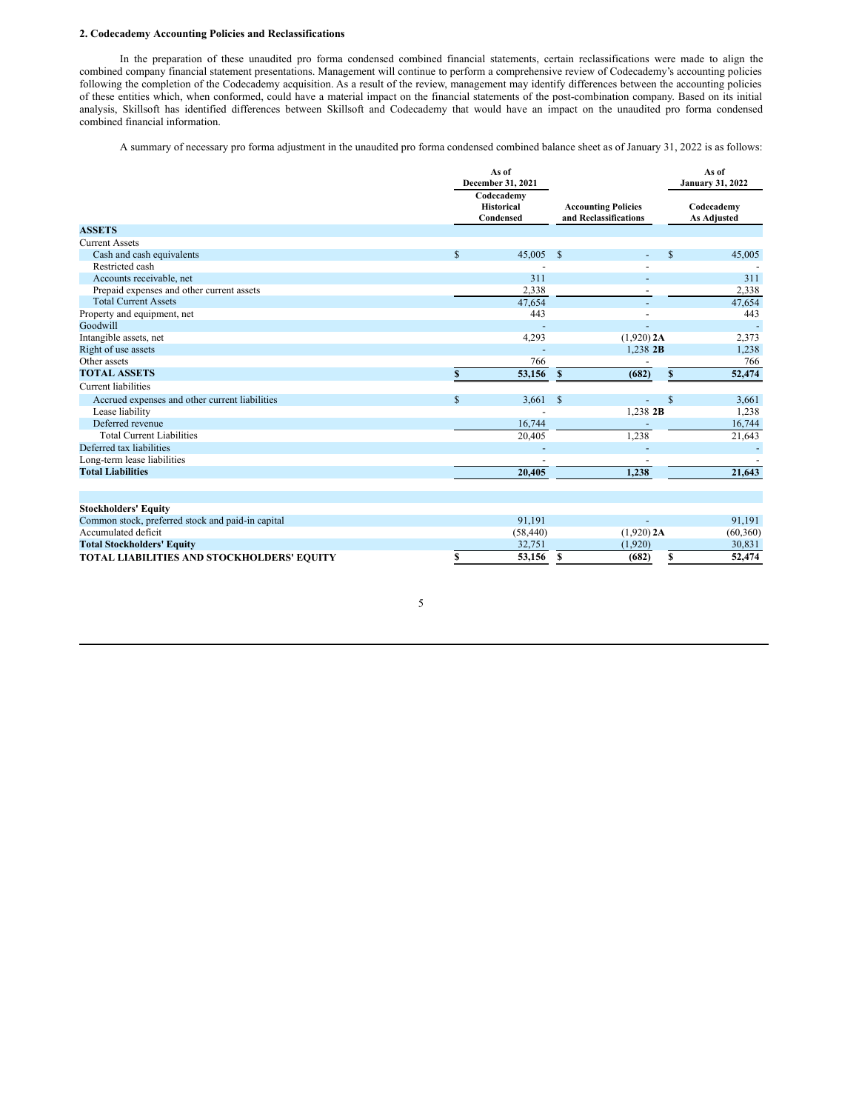### **2. Codecademy Accounting Policies and Reclassifications**

In the preparation of these unaudited pro forma condensed combined financial statements, certain reclassifications were made to align the combined company financial statement presentations. Management will continue to perform a comprehensive review of Codecademy's accounting policies following the completion of the Codecademy acquisition. As a result of the review, management may identify differences between the accounting policies of these entities which, when conformed, could have a material impact on the financial statements of the post-combination company. Based on its initial analysis, Skillsoft has identified differences between Skillsoft and Codecademy that would have an impact on the unaudited pro forma condensed combined financial information.

A summary of necessary pro forma adjustment in the unaudited pro forma condensed combined balance sheet as of January 31, 2022 is as follows:

| Codecademy<br><b>Historical</b><br><b>Accounting Policies</b><br>Codecademy<br>and Reclassifications<br>Condensed<br><b>As Adjusted</b><br><b>ASSETS</b><br><b>Current Assets</b><br>\$<br>Cash and cash equivalents<br>45,005<br>S<br>45,005<br>- \$<br>Restricted cash<br>Accounts receivable, net<br>311<br>311<br>Prepaid expenses and other current assets<br>2,338<br>2,338<br><b>Total Current Assets</b><br>47.654<br>47,654<br>Property and equipment, net<br>443<br>443<br>Goodwill<br>Intangible assets, net<br>4,293<br>$(1,920)$ 2A<br>2,373<br>Right of use assets<br>1,238 2B<br>1,238<br>766<br>Other assets<br>766<br><b>TOTAL ASSETS</b><br>(682)<br>52,474<br>S.<br>53,156<br>$\mathbf{s}$<br>S.<br><b>Current liabilities</b><br>$\mathbf S$<br>Accrued expenses and other current liabilities<br>S<br>$3,661$ \$<br>3,661<br>1,238 2B<br>Lease liability<br>1,238<br>Deferred revenue<br>16,744<br>16,744<br><b>Total Current Liabilities</b><br>1,238<br>21,643<br>20,405<br>Deferred tax liabilities<br>Long-term lease liabilities<br><b>Total Liabilities</b><br>21.643<br>20,405<br>1,238<br><b>Stockholders' Equity</b><br>Common stock, preferred stock and paid-in capital<br>91,191<br>91,191<br>Accumulated deficit<br>$(1,920)$ 2A<br>(58, 440)<br>(60, 360)<br>32,751<br><b>Total Stockholders' Equity</b><br>(1,920)<br>30,831<br>(682)<br>52,474<br>TOTAL LIABILITIES AND STOCKHOLDERS' EQUITY<br>53,156<br>s<br>S |  | As of<br>December 31, 2021 |  |  | As of<br><b>January 31, 2022</b> |
|-------------------------------------------------------------------------------------------------------------------------------------------------------------------------------------------------------------------------------------------------------------------------------------------------------------------------------------------------------------------------------------------------------------------------------------------------------------------------------------------------------------------------------------------------------------------------------------------------------------------------------------------------------------------------------------------------------------------------------------------------------------------------------------------------------------------------------------------------------------------------------------------------------------------------------------------------------------------------------------------------------------------------------------------------------------------------------------------------------------------------------------------------------------------------------------------------------------------------------------------------------------------------------------------------------------------------------------------------------------------------------------------------------------------------------------------------------|--|----------------------------|--|--|----------------------------------|
|                                                                                                                                                                                                                                                                                                                                                                                                                                                                                                                                                                                                                                                                                                                                                                                                                                                                                                                                                                                                                                                                                                                                                                                                                                                                                                                                                                                                                                                       |  |                            |  |  |                                  |
|                                                                                                                                                                                                                                                                                                                                                                                                                                                                                                                                                                                                                                                                                                                                                                                                                                                                                                                                                                                                                                                                                                                                                                                                                                                                                                                                                                                                                                                       |  |                            |  |  |                                  |
|                                                                                                                                                                                                                                                                                                                                                                                                                                                                                                                                                                                                                                                                                                                                                                                                                                                                                                                                                                                                                                                                                                                                                                                                                                                                                                                                                                                                                                                       |  |                            |  |  |                                  |
|                                                                                                                                                                                                                                                                                                                                                                                                                                                                                                                                                                                                                                                                                                                                                                                                                                                                                                                                                                                                                                                                                                                                                                                                                                                                                                                                                                                                                                                       |  |                            |  |  |                                  |
|                                                                                                                                                                                                                                                                                                                                                                                                                                                                                                                                                                                                                                                                                                                                                                                                                                                                                                                                                                                                                                                                                                                                                                                                                                                                                                                                                                                                                                                       |  |                            |  |  |                                  |
|                                                                                                                                                                                                                                                                                                                                                                                                                                                                                                                                                                                                                                                                                                                                                                                                                                                                                                                                                                                                                                                                                                                                                                                                                                                                                                                                                                                                                                                       |  |                            |  |  |                                  |
|                                                                                                                                                                                                                                                                                                                                                                                                                                                                                                                                                                                                                                                                                                                                                                                                                                                                                                                                                                                                                                                                                                                                                                                                                                                                                                                                                                                                                                                       |  |                            |  |  |                                  |
|                                                                                                                                                                                                                                                                                                                                                                                                                                                                                                                                                                                                                                                                                                                                                                                                                                                                                                                                                                                                                                                                                                                                                                                                                                                                                                                                                                                                                                                       |  |                            |  |  |                                  |
|                                                                                                                                                                                                                                                                                                                                                                                                                                                                                                                                                                                                                                                                                                                                                                                                                                                                                                                                                                                                                                                                                                                                                                                                                                                                                                                                                                                                                                                       |  |                            |  |  |                                  |
|                                                                                                                                                                                                                                                                                                                                                                                                                                                                                                                                                                                                                                                                                                                                                                                                                                                                                                                                                                                                                                                                                                                                                                                                                                                                                                                                                                                                                                                       |  |                            |  |  |                                  |
|                                                                                                                                                                                                                                                                                                                                                                                                                                                                                                                                                                                                                                                                                                                                                                                                                                                                                                                                                                                                                                                                                                                                                                                                                                                                                                                                                                                                                                                       |  |                            |  |  |                                  |
|                                                                                                                                                                                                                                                                                                                                                                                                                                                                                                                                                                                                                                                                                                                                                                                                                                                                                                                                                                                                                                                                                                                                                                                                                                                                                                                                                                                                                                                       |  |                            |  |  |                                  |
|                                                                                                                                                                                                                                                                                                                                                                                                                                                                                                                                                                                                                                                                                                                                                                                                                                                                                                                                                                                                                                                                                                                                                                                                                                                                                                                                                                                                                                                       |  |                            |  |  |                                  |
|                                                                                                                                                                                                                                                                                                                                                                                                                                                                                                                                                                                                                                                                                                                                                                                                                                                                                                                                                                                                                                                                                                                                                                                                                                                                                                                                                                                                                                                       |  |                            |  |  |                                  |
|                                                                                                                                                                                                                                                                                                                                                                                                                                                                                                                                                                                                                                                                                                                                                                                                                                                                                                                                                                                                                                                                                                                                                                                                                                                                                                                                                                                                                                                       |  |                            |  |  |                                  |
|                                                                                                                                                                                                                                                                                                                                                                                                                                                                                                                                                                                                                                                                                                                                                                                                                                                                                                                                                                                                                                                                                                                                                                                                                                                                                                                                                                                                                                                       |  |                            |  |  |                                  |
|                                                                                                                                                                                                                                                                                                                                                                                                                                                                                                                                                                                                                                                                                                                                                                                                                                                                                                                                                                                                                                                                                                                                                                                                                                                                                                                                                                                                                                                       |  |                            |  |  |                                  |
|                                                                                                                                                                                                                                                                                                                                                                                                                                                                                                                                                                                                                                                                                                                                                                                                                                                                                                                                                                                                                                                                                                                                                                                                                                                                                                                                                                                                                                                       |  |                            |  |  |                                  |
|                                                                                                                                                                                                                                                                                                                                                                                                                                                                                                                                                                                                                                                                                                                                                                                                                                                                                                                                                                                                                                                                                                                                                                                                                                                                                                                                                                                                                                                       |  |                            |  |  |                                  |
|                                                                                                                                                                                                                                                                                                                                                                                                                                                                                                                                                                                                                                                                                                                                                                                                                                                                                                                                                                                                                                                                                                                                                                                                                                                                                                                                                                                                                                                       |  |                            |  |  |                                  |
|                                                                                                                                                                                                                                                                                                                                                                                                                                                                                                                                                                                                                                                                                                                                                                                                                                                                                                                                                                                                                                                                                                                                                                                                                                                                                                                                                                                                                                                       |  |                            |  |  |                                  |
|                                                                                                                                                                                                                                                                                                                                                                                                                                                                                                                                                                                                                                                                                                                                                                                                                                                                                                                                                                                                                                                                                                                                                                                                                                                                                                                                                                                                                                                       |  |                            |  |  |                                  |
|                                                                                                                                                                                                                                                                                                                                                                                                                                                                                                                                                                                                                                                                                                                                                                                                                                                                                                                                                                                                                                                                                                                                                                                                                                                                                                                                                                                                                                                       |  |                            |  |  |                                  |
|                                                                                                                                                                                                                                                                                                                                                                                                                                                                                                                                                                                                                                                                                                                                                                                                                                                                                                                                                                                                                                                                                                                                                                                                                                                                                                                                                                                                                                                       |  |                            |  |  |                                  |
|                                                                                                                                                                                                                                                                                                                                                                                                                                                                                                                                                                                                                                                                                                                                                                                                                                                                                                                                                                                                                                                                                                                                                                                                                                                                                                                                                                                                                                                       |  |                            |  |  |                                  |
|                                                                                                                                                                                                                                                                                                                                                                                                                                                                                                                                                                                                                                                                                                                                                                                                                                                                                                                                                                                                                                                                                                                                                                                                                                                                                                                                                                                                                                                       |  |                            |  |  |                                  |
|                                                                                                                                                                                                                                                                                                                                                                                                                                                                                                                                                                                                                                                                                                                                                                                                                                                                                                                                                                                                                                                                                                                                                                                                                                                                                                                                                                                                                                                       |  |                            |  |  |                                  |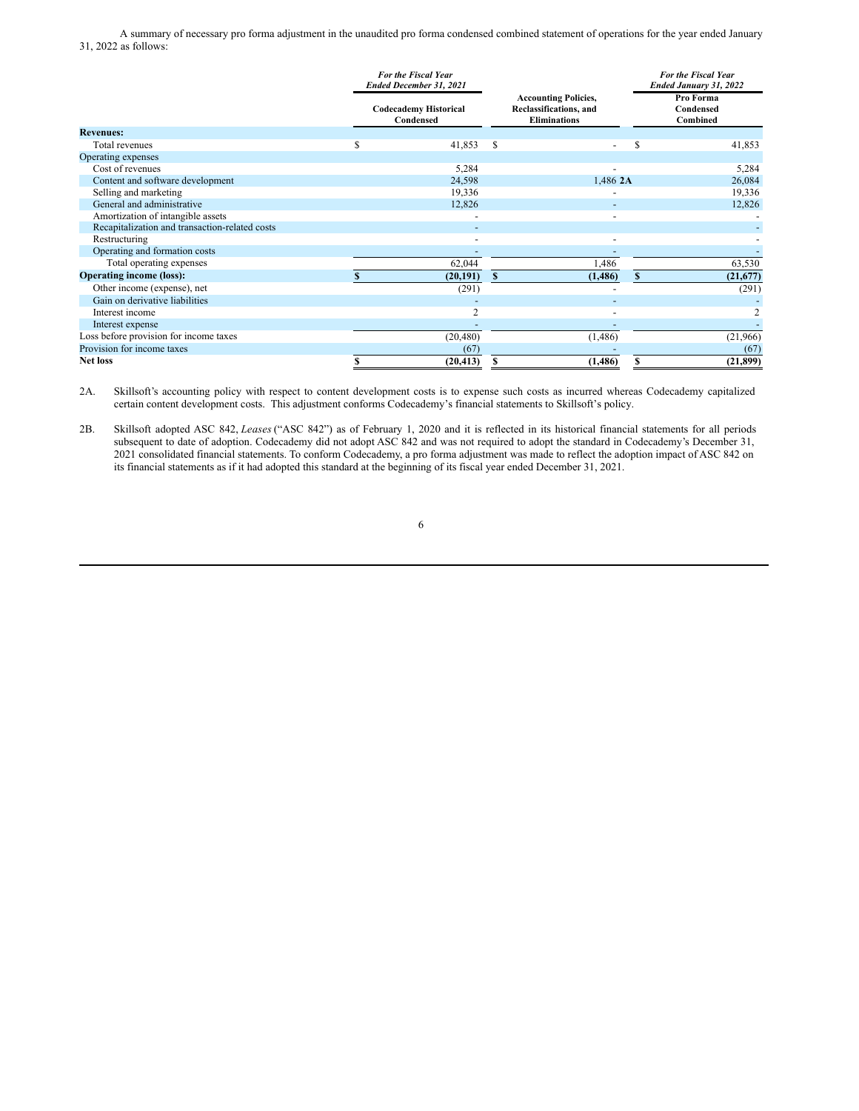A summary of necessary pro forma adjustment in the unaudited pro forma condensed combined statement of operations for the year ended January 31, 2022 as follows:

|                                                |              | <b>For the Fiscal Year</b><br>Ended December 31, 2021 |                                                                              |          |              | <b>For the Fiscal Year</b><br>Ended January 31, 2022 |
|------------------------------------------------|--------------|-------------------------------------------------------|------------------------------------------------------------------------------|----------|--------------|------------------------------------------------------|
|                                                |              | <b>Codecademy Historical</b><br>Condensed             | <b>Accounting Policies,</b><br>Reclassifications, and<br><b>Eliminations</b> |          |              | Pro Forma<br>Condensed<br>Combined                   |
| <b>Revenues:</b>                               |              |                                                       |                                                                              |          |              |                                                      |
| Total revenues                                 | \$           | 41,853                                                | <sup>\$</sup>                                                                |          | \$           | 41,853                                               |
| Operating expenses                             |              |                                                       |                                                                              |          |              |                                                      |
| Cost of revenues                               |              | 5,284                                                 |                                                                              |          |              | 5,284                                                |
| Content and software development               |              | 24,598                                                |                                                                              | 1,486 2A |              | 26,084                                               |
| Selling and marketing                          |              | 19,336                                                |                                                                              |          |              | 19,336                                               |
| General and administrative                     |              | 12,826                                                |                                                                              |          |              | 12,826                                               |
| Amortization of intangible assets              |              |                                                       |                                                                              |          |              |                                                      |
| Recapitalization and transaction-related costs |              |                                                       |                                                                              |          |              |                                                      |
| Restructuring                                  |              |                                                       |                                                                              |          |              |                                                      |
| Operating and formation costs                  |              |                                                       |                                                                              |          |              |                                                      |
| Total operating expenses                       |              | 62,044                                                |                                                                              | 1,486    |              | 63,530                                               |
| <b>Operating income (loss):</b>                | $\mathbf{s}$ | (20, 191)                                             | <sup>S</sup>                                                                 | (1, 486) | $\mathbf{s}$ | (21,677)                                             |
| Other income (expense), net                    |              | (291)                                                 |                                                                              |          |              | (291)                                                |
| Gain on derivative liabilities                 |              |                                                       |                                                                              |          |              |                                                      |
| Interest income                                |              |                                                       |                                                                              |          |              |                                                      |
| Interest expense                               |              |                                                       |                                                                              |          |              |                                                      |
| Loss before provision for income taxes         |              | (20, 480)                                             |                                                                              | (1, 486) |              | (21,966)                                             |
| Provision for income taxes                     |              | (67)                                                  |                                                                              |          |              | (67)                                                 |
| <b>Net loss</b>                                |              | (20, 413)                                             | S                                                                            | (1, 486) |              | (21, 899)                                            |

2A. Skillsoft's accounting policy with respect to content development costs is to expense such costs as incurred whereas Codecademy capitalized certain content development costs. This adjustment conforms Codecademy's financial statements to Skillsoft's policy.

2B. Skillsoft adopted ASC 842, *Leases* ("ASC 842") as of February 1, 2020 and it is reflected in its historical financial statements for all periods subsequent to date of adoption. Codecademy did not adopt ASC 842 and was not required to adopt the standard in Codecademy's December 31, 2021 consolidated financial statements. To conform Codecademy, a pro forma adjustment was made to reflect the adoption impact of ASC 842 on its financial statements as if it had adopted this standard at the beginning of its fiscal year ended December 31, 2021.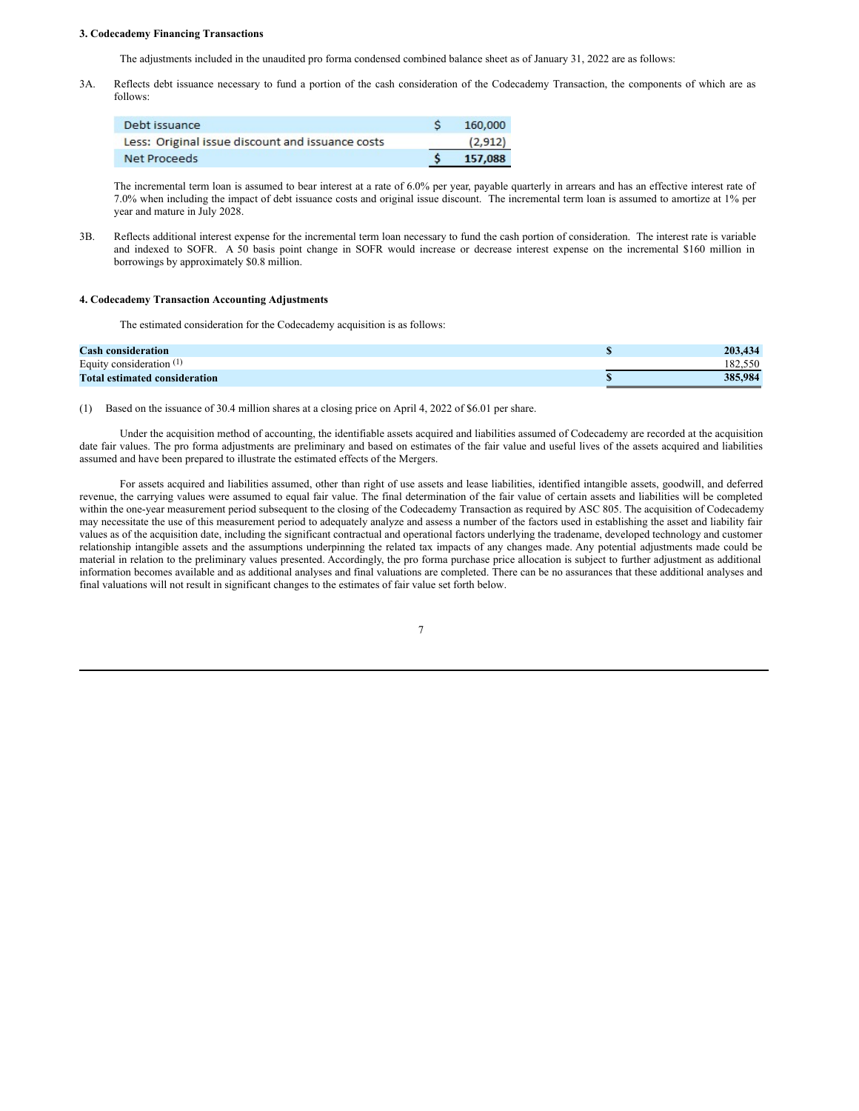#### <span id="page-33-0"></span>**3. Codecademy Financing Transactions**

The adjustments included in the unaudited pro forma condensed combined balance sheet as of January 31, 2022 are as follows:

3A. Reflects debt issuance necessary to fund a portion of the cash consideration of the Codecademy Transaction, the components of which are as follows:

| Debt issuance                                    | 160,000 |
|--------------------------------------------------|---------|
| Less: Original issue discount and issuance costs | (2,912) |
| Net Proceeds                                     | 157,088 |

The incremental term loan is assumed to bear interest at a rate of 6.0% per year, payable quarterly in arrears and has an effective interest rate of 7.0% when including the impact of debt issuance costs and original issue discount. The incremental term loan is assumed to amortize at 1% per year and mature in July 2028.

3B. Reflects additional interest expense for the incremental term loan necessary to fund the cash portion of consideration. The interest rate is variable and indexed to SOFR. A 50 basis point change in SOFR would increase or decrease interest expense on the incremental \$160 million in borrowings by approximately \$0.8 million.

### **4. Codecademy Transaction Accounting Adjustments**

The estimated consideration for the Codecademy acquisition is as follows:

| <b>Cash consideration</b>            | 203.434 |
|--------------------------------------|---------|
| Equity consideration $(1)$           | 182.550 |
| <b>Total estimated consideration</b> | 385,984 |

(1) Based on the issuance of 30.4 million shares at a closing price on April 4, 2022 of \$6.01 per share.

Under the acquisition method of accounting, the identifiable assets acquired and liabilities assumed of Codecademy are recorded at the acquisition date fair values. The pro forma adjustments are preliminary and based on estimates of the fair value and useful lives of the assets acquired and liabilities assumed and have been prepared to illustrate the estimated effects of the Mergers.

For assets acquired and liabilities assumed, other than right of use assets and lease liabilities, identified intangible assets, goodwill, and deferred revenue, the carrying values were assumed to equal fair value. The final determination of the fair value of certain assets and liabilities will be completed within the one-year measurement period subsequent to the closing of the Codecademy Transaction as required by ASC 805. The acquisition of Codecademy may necessitate the use of this measurement period to adequately analyze and assess a number of the factors used in establishing the asset and liability fair values as of the acquisition date, including the significant contractual and operational factors underlying the tradename, developed technology and customer relationship intangible assets and the assumptions underpinning the related tax impacts of any changes made. Any potential adjustments made could be material in relation to the preliminary values presented. Accordingly, the pro forma purchase price allocation is subject to further adjustment as additional information becomes available and as additional analyses and final valuations are completed. There can be no assurances that these additional analyses and final valuations will not result in significant changes to the estimates of fair value set forth below.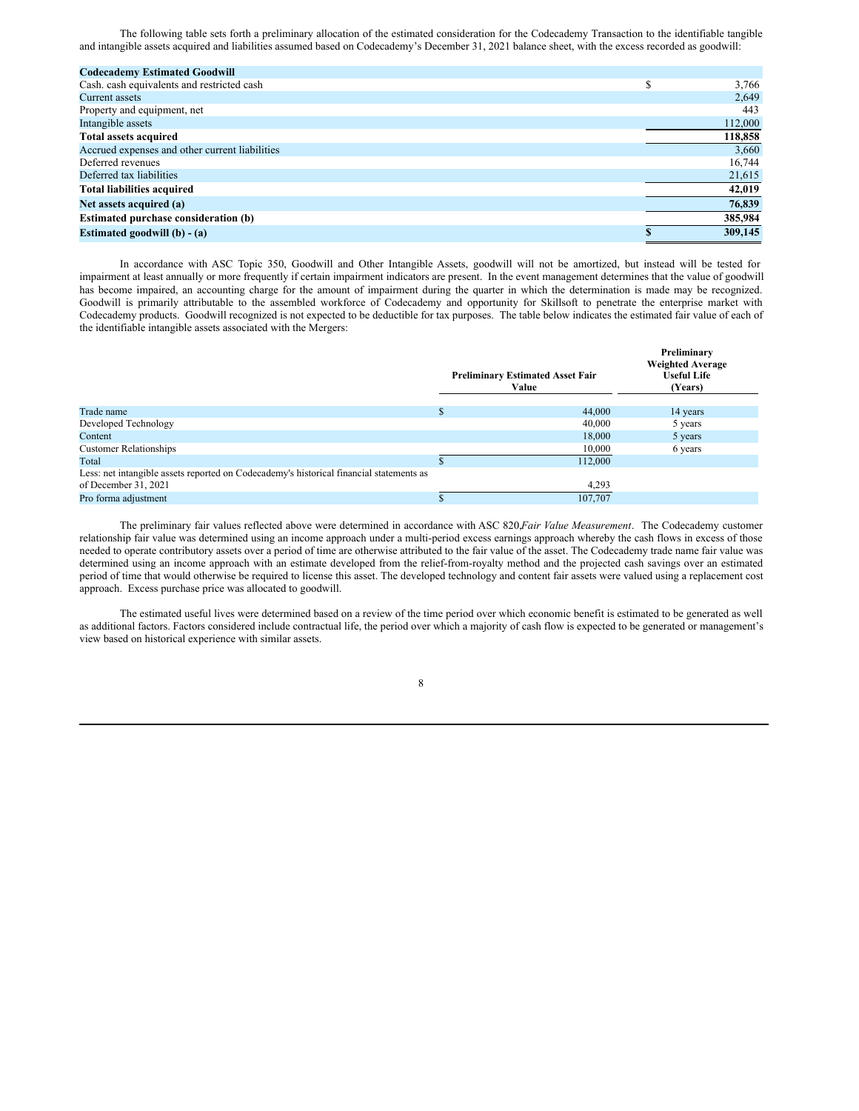The following table sets forth a preliminary allocation of the estimated consideration for the Codecademy Transaction to the identifiable tangible and intangible assets acquired and liabilities assumed based on Codecademy's December 31, 2021 balance sheet, with the excess recorded as goodwill:

| <b>Codecademy Estimated Goodwill</b>           |             |
|------------------------------------------------|-------------|
| Cash. cash equivalents and restricted cash     | \$<br>3,766 |
| <b>Current assets</b>                          | 2,649       |
| Property and equipment, net                    | 443         |
| Intangible assets                              | 112,000     |
| <b>Total assets acquired</b>                   | 118,858     |
| Accrued expenses and other current liabilities | 3.660       |
| Deferred revenues                              | 16,744      |
| Deferred tax liabilities                       | 21,615      |
| <b>Total liabilities acquired</b>              | 42,019      |
| Net assets acquired (a)                        | 76,839      |
| <b>Estimated purchase consideration (b)</b>    | 385,984     |
| Estimated goodwill $(b) - (a)$                 | 309,145     |

In accordance with ASC Topic 350, Goodwill and Other Intangible Assets, goodwill will not be amortized, but instead will be tested for impairment at least annually or more frequently if certain impairment indicators are present. In the event management determines that the value of goodwill has become impaired, an accounting charge for the amount of impairment during the quarter in which the determination is made may be recognized. Goodwill is primarily attributable to the assembled workforce of Codecademy and opportunity for Skillsoft to penetrate the enterprise market with Codecademy products. Goodwill recognized is not expected to be deductible for tax purposes. The table below indicates the estimated fair value of each of the identifiable intangible assets associated with the Mergers:

|                                                                                         |   | <b>Preliminary Estimated Asset Fair</b><br>Value | Preliminary<br><b>Weighted Average</b><br><b>Useful Life</b><br>(Years) |
|-----------------------------------------------------------------------------------------|---|--------------------------------------------------|-------------------------------------------------------------------------|
| Trade name                                                                              | ъ | 44,000                                           | 14 years                                                                |
| Developed Technology                                                                    |   | 40,000                                           | 5 years                                                                 |
| Content                                                                                 |   | 18,000                                           | 5 years                                                                 |
| <b>Customer Relationships</b>                                                           |   | 10,000                                           | 6 years                                                                 |
| Total                                                                                   |   | 112,000                                          |                                                                         |
| Less: net intangible assets reported on Codecademy's historical financial statements as |   |                                                  |                                                                         |
| of December 31, 2021                                                                    |   | 4,293                                            |                                                                         |
| Pro forma adjustment                                                                    |   | 107,707                                          |                                                                         |

The preliminary fair values reflected above were determined in accordance with ASC 820,*Fair Value Measurement*. The Codecademy customer relationship fair value was determined using an income approach under a multi-period excess earnings approach whereby the cash flows in excess of those needed to operate contributory assets over a period of time are otherwise attributed to the fair value of the asset. The Codecademy trade name fair value was determined using an income approach with an estimate developed from the relief-from-royalty method and the projected cash savings over an estimated period of time that would otherwise be required to license this asset. The developed technology and content fair assets were valued using a replacement cost approach. Excess purchase price was allocated to goodwill.

The estimated useful lives were determined based on a review of the time period over which economic benefit is estimated to be generated as well as additional factors. Factors considered include contractual life, the period over which a majority of cash flow is expected to be generated or management's view based on historical experience with similar assets.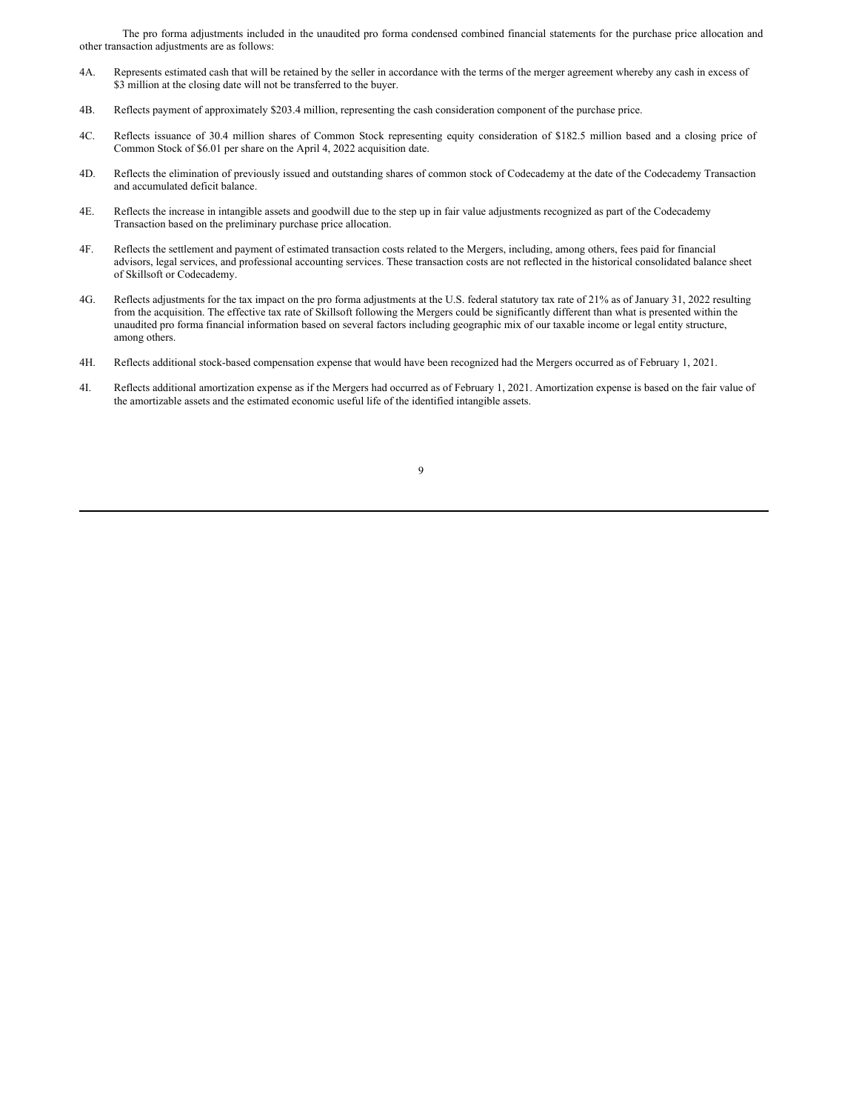The pro forma adjustments included in the unaudited pro forma condensed combined financial statements for the purchase price allocation and other transaction adjustments are as follows:

- 4A. Represents estimated cash that will be retained by the seller in accordance with the terms of the merger agreement whereby any cash in excess of \$3 million at the closing date will not be transferred to the buyer.
- 4B. Reflects payment of approximately \$203.4 million, representing the cash consideration component of the purchase price.
- 4C. Reflects issuance of 30.4 million shares of Common Stock representing equity consideration of \$182.5 million based and a closing price of Common Stock of \$6.01 per share on the April 4, 2022 acquisition date.
- 4D. Reflects the elimination of previously issued and outstanding shares of common stock of Codecademy at the date of the Codecademy Transaction and accumulated deficit balance.
- 4E. Reflects the increase in intangible assets and goodwill due to the step up in fair value adjustments recognized as part of the Codecademy Transaction based on the preliminary purchase price allocation.
- 4F. Reflects the settlement and payment of estimated transaction costs related to the Mergers, including, among others, fees paid for financial advisors, legal services, and professional accounting services. These transaction costs are not reflected in the historical consolidated balance sheet of Skillsoft or Codecademy.
- 4G. Reflects adjustments for the tax impact on the pro forma adjustments at the U.S. federal statutory tax rate of 21% as of January 31, 2022 resulting from the acquisition. The effective tax rate of Skillsoft following the Mergers could be significantly different than what is presented within the unaudited pro forma financial information based on several factors including geographic mix of our taxable income or legal entity structure, among others.
- 4H. Reflects additional stock-based compensation expense that would have been recognized had the Mergers occurred as of February 1, 2021.
- 4I. Reflects additional amortization expense as if the Mergers had occurred as of February 1, 2021. Amortization expense is based on the fair value of the amortizable assets and the estimated economic useful life of the identified intangible assets.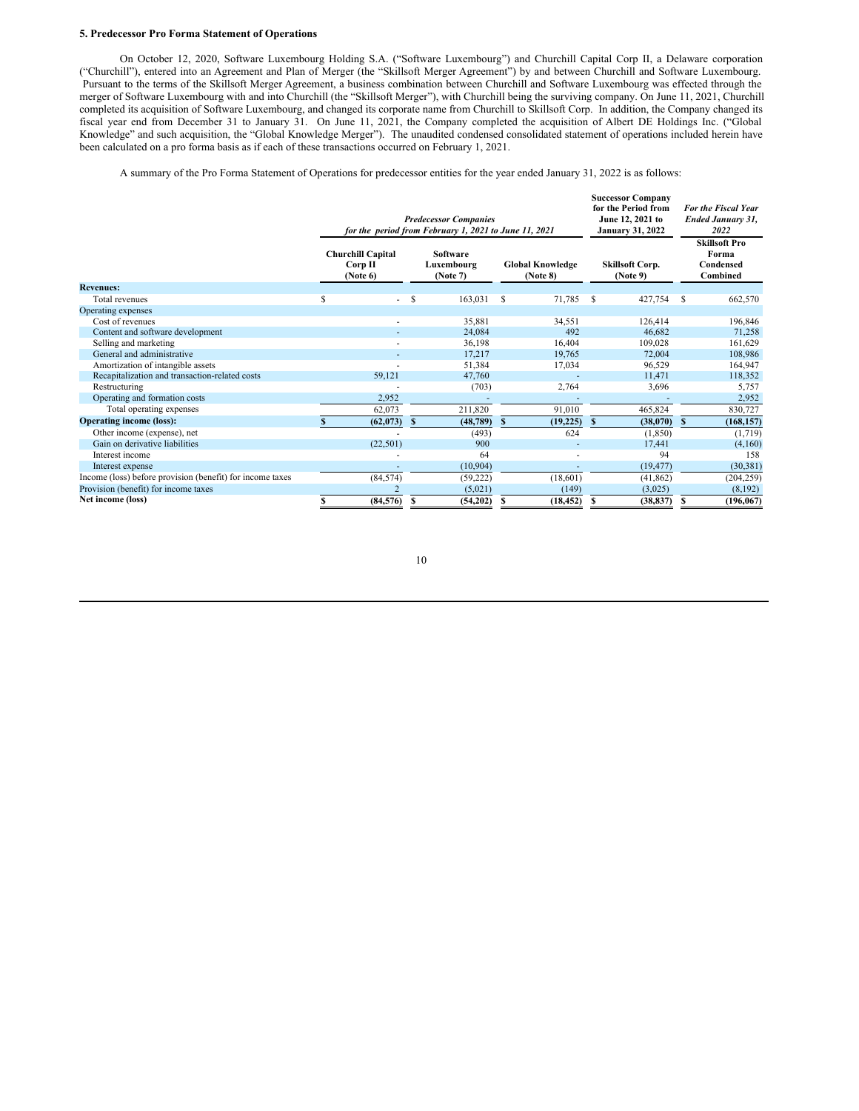### **5. Predecessor Pro Forma Statement of Operations**

On October 12, 2020, Software Luxembourg Holding S.A. ("Software Luxembourg") and Churchill Capital Corp II, a Delaware corporation ("Churchill"), entered into an Agreement and Plan of Merger (the "Skillsoft Merger Agreement") by and between Churchill and Software Luxembourg. Pursuant to the terms of the Skillsoft Merger Agreement, a business combination between Churchill and Software Luxembourg was effected through the merger of Software Luxembourg with and into Churchill (the "Skillsoft Merger"), with Churchill being the surviving company. On June 11, 2021, Churchill completed its acquisition of Software Luxembourg, and changed its corporate name from Churchill to Skillsoft Corp. In addition, the Company changed its fiscal year end from December 31 to January 31. On June 11, 2021, the Company completed the acquisition of Albert DE Holdings Inc. ("Global Knowledge" and such acquisition, the "Global Knowledge Merger"). The unaudited condensed consolidated statement of operations included herein have been calculated on a pro forma basis as if each of these transactions occurred on February 1, 2021.

A summary of the Pro Forma Statement of Operations for predecessor entities for the year ended January 31, 2022 is as follows:

|                                                           | <b>Predecessor Companies</b><br>for the period from February 1, 2021 to June 11, 2021 |                                                 |               |                                    |    | <b>Successor Company</b><br>for the Period from<br>June 12, 2021 to<br><b>January 31, 2022</b> |    |                                    | <b>For the Fiscal Year</b><br><b>Ended January 31,</b><br>2022 |                                                        |
|-----------------------------------------------------------|---------------------------------------------------------------------------------------|-------------------------------------------------|---------------|------------------------------------|----|------------------------------------------------------------------------------------------------|----|------------------------------------|----------------------------------------------------------------|--------------------------------------------------------|
|                                                           |                                                                                       | <b>Churchill Capital</b><br>Corp II<br>(Note 6) |               | Software<br>Luxembourg<br>(Note 7) |    | <b>Global Knowledge</b><br>(Note 8)                                                            |    | <b>Skillsoft Corp.</b><br>(Note 9) |                                                                | <b>Skillsoft Pro</b><br>Forma<br>Condensed<br>Combined |
| <b>Revenues:</b>                                          |                                                                                       |                                                 |               |                                    |    |                                                                                                |    |                                    |                                                                |                                                        |
| Total revenues                                            | <sup>\$</sup>                                                                         |                                                 | <sup>\$</sup> | 163,031                            | -S | 71,785                                                                                         | -S | 427,754                            | S                                                              | 662,570                                                |
| Operating expenses                                        |                                                                                       |                                                 |               |                                    |    |                                                                                                |    |                                    |                                                                |                                                        |
| Cost of revenues                                          |                                                                                       |                                                 |               | 35,881                             |    | 34,551                                                                                         |    | 126,414                            |                                                                | 196,846                                                |
| Content and software development                          |                                                                                       |                                                 |               | 24,084                             |    | 492                                                                                            |    | 46,682                             |                                                                | 71,258                                                 |
| Selling and marketing                                     |                                                                                       |                                                 |               | 36,198                             |    | 16,404                                                                                         |    | 109,028                            |                                                                | 161,629                                                |
| General and administrative                                |                                                                                       |                                                 |               | 17,217                             |    | 19,765                                                                                         |    | 72,004                             |                                                                | 108,986                                                |
| Amortization of intangible assets                         |                                                                                       |                                                 |               | 51,384                             |    | 17,034                                                                                         |    | 96,529                             |                                                                | 164,947                                                |
| Recapitalization and transaction-related costs            |                                                                                       | 59,121                                          |               | 47,760                             |    |                                                                                                |    | 11,471                             |                                                                | 118,352                                                |
| Restructuring                                             |                                                                                       |                                                 |               | (703)                              |    | 2,764                                                                                          |    | 3,696                              |                                                                | 5,757                                                  |
| Operating and formation costs                             |                                                                                       | 2,952                                           |               |                                    |    |                                                                                                |    |                                    |                                                                | 2,952                                                  |
| Total operating expenses                                  |                                                                                       | 62,073                                          |               | 211,820                            |    | 91,010                                                                                         |    | 465,824                            |                                                                | 830,727                                                |
| <b>Operating income (loss):</b>                           |                                                                                       | (62,073)                                        | S             | (48, 789)                          | S  | (19, 225)                                                                                      | S. | (38,070)                           | S                                                              | (168, 157)                                             |
| Other income (expense), net                               |                                                                                       |                                                 |               | (493)                              |    | 624                                                                                            |    | (1, 850)                           |                                                                | (1,719)                                                |
| Gain on derivative liabilities                            |                                                                                       | (22, 501)                                       |               | 900                                |    |                                                                                                |    | 17,441                             |                                                                | (4,160)                                                |
| Interest income                                           |                                                                                       |                                                 |               | 64                                 |    | ٠                                                                                              |    | 94                                 |                                                                | 158                                                    |
| Interest expense                                          |                                                                                       |                                                 |               | (10,904)                           |    |                                                                                                |    | (19, 477)                          |                                                                | (30, 381)                                              |
| Income (loss) before provision (benefit) for income taxes |                                                                                       | (84, 574)                                       |               | (59, 222)                          |    | (18,601)                                                                                       |    | (41, 862)                          |                                                                | (204, 259)                                             |
| Provision (benefit) for income taxes                      |                                                                                       |                                                 |               | (5,021)                            |    | (149)                                                                                          |    | (3,025)                            |                                                                | (8,192)                                                |
| Net income (loss)                                         | S                                                                                     | (84, 576)                                       | S             | (54,202)                           | s  | (18, 452)                                                                                      | \$ | (38, 837)                          | \$                                                             | (196, 067)                                             |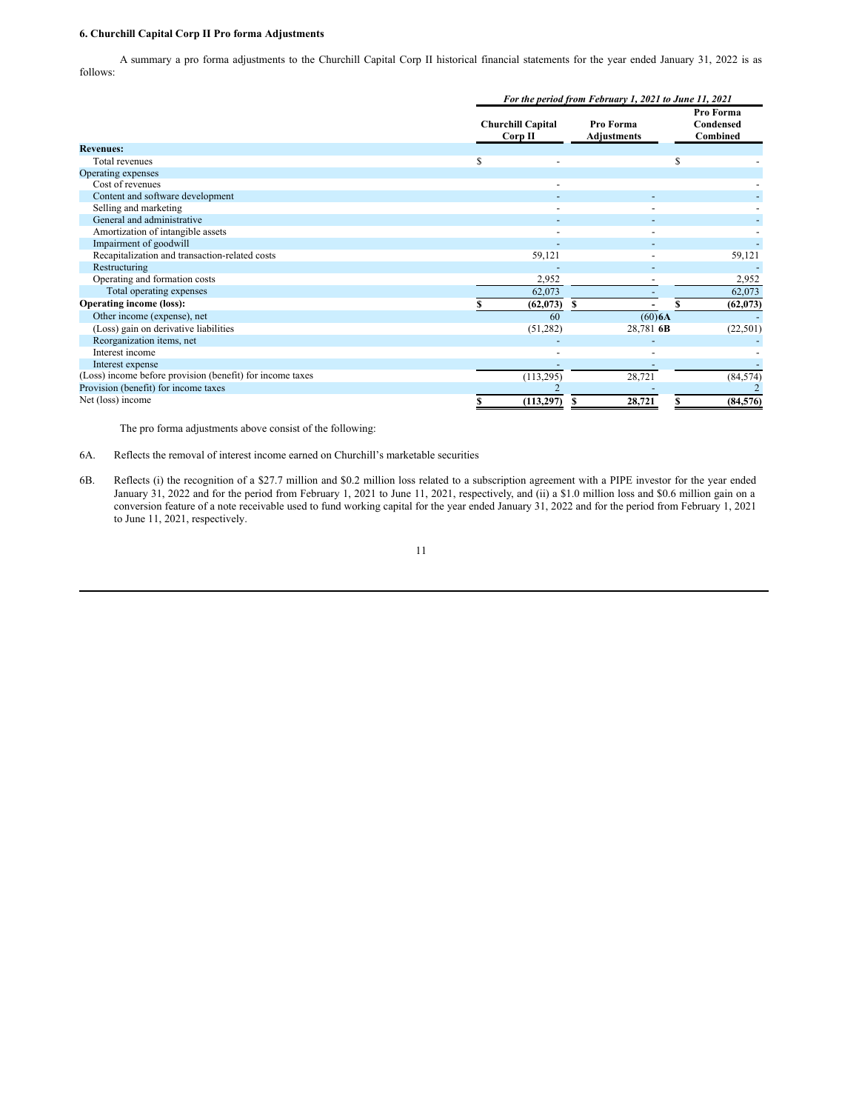### **6. Churchill Capital Corp II Pro forma Adjustments**

A summary a pro forma adjustments to the Churchill Capital Corp II historical financial statements for the year ended January 31, 2022 is as follows:

|                                                           | For the period from February 1, 2021 to June 11, 2021 |                                     |   |                          |    |                                    |
|-----------------------------------------------------------|-------------------------------------------------------|-------------------------------------|---|--------------------------|----|------------------------------------|
|                                                           |                                                       | <b>Churchill Capital</b><br>Corp II |   | Pro Forma<br>Adjustments |    | Pro Forma<br>Condensed<br>Combined |
| <b>Revenues:</b>                                          |                                                       |                                     |   |                          |    |                                    |
| Total revenues                                            | S                                                     | ۰                                   |   |                          | \$ |                                    |
| Operating expenses                                        |                                                       |                                     |   |                          |    |                                    |
| Cost of revenues                                          |                                                       |                                     |   |                          |    |                                    |
| Content and software development                          |                                                       |                                     |   |                          |    |                                    |
| Selling and marketing                                     |                                                       |                                     |   |                          |    |                                    |
| General and administrative                                |                                                       |                                     |   |                          |    |                                    |
| Amortization of intangible assets                         |                                                       |                                     |   |                          |    |                                    |
| Impairment of goodwill                                    |                                                       |                                     |   |                          |    |                                    |
| Recapitalization and transaction-related costs            |                                                       | 59,121                              |   |                          |    | 59,121                             |
| Restructuring                                             |                                                       |                                     |   |                          |    |                                    |
| Operating and formation costs                             |                                                       | 2,952                               |   |                          |    | 2,952                              |
| Total operating expenses                                  |                                                       | 62,073                              |   |                          |    | 62,073                             |
| <b>Operating income (loss):</b>                           |                                                       | (62,073)                            | S |                          |    | (62,073)                           |
| Other income (expense), net                               |                                                       | 60                                  |   | $(60)$ 6A                |    |                                    |
| (Loss) gain on derivative liabilities                     |                                                       | (51, 282)                           |   | 28,781 6B                |    | (22, 501)                          |
| Reorganization items, net                                 |                                                       |                                     |   |                          |    |                                    |
| Interest income                                           |                                                       |                                     |   |                          |    |                                    |
| Interest expense                                          |                                                       |                                     |   |                          |    |                                    |
| (Loss) income before provision (benefit) for income taxes |                                                       | (113, 295)                          |   | 28,721                   |    | (84, 574)                          |
| Provision (benefit) for income taxes                      |                                                       |                                     |   |                          |    |                                    |
| Net (loss) income                                         | s                                                     | (113, 297)                          | S | 28,721                   | S  | (84, 576)                          |

The pro forma adjustments above consist of the following:

6A. Reflects the removal of interest income earned on Churchill's marketable securities

6B. Reflects (i) the recognition of a \$27.7 million and \$0.2 million loss related to a subscription agreement with a PIPE investor for the year ended January 31, 2022 and for the period from February 1, 2021 to June 11, 2021, respectively, and (ii) a \$1.0 million loss and \$0.6 million gain on a conversion feature of a note receivable used to fund working capital for the year ended January 31, 2022 and for the period from February 1, 2021 to June 11, 2021, respectively.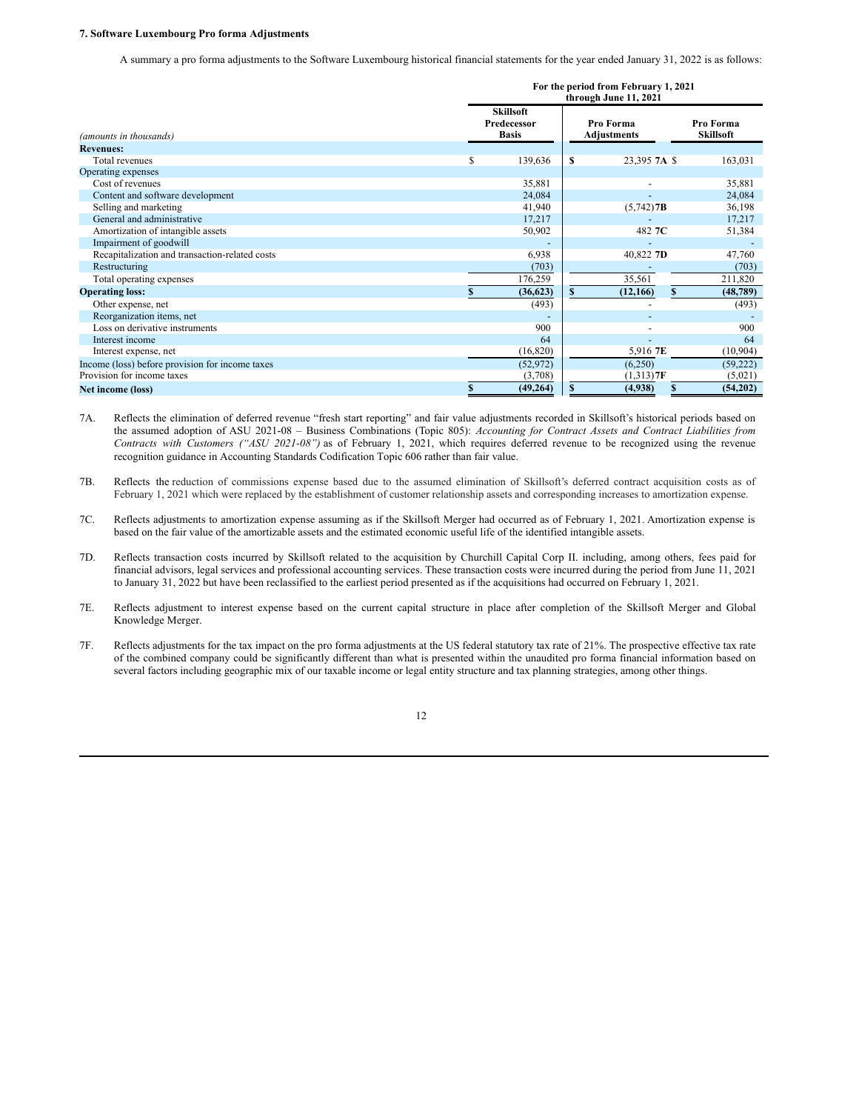#### **7. Software Luxembourg Pro forma Adjustments**

A summary a pro forma adjustments to the Software Luxembourg historical financial statements for the year ended January 31, 2022 is as follows:

|                                                 | For the period from February 1, 2021<br>through June 11, 2021 |           |     |                                 |                               |  |
|-------------------------------------------------|---------------------------------------------------------------|-----------|-----|---------------------------------|-------------------------------|--|
| (amounts in thousands)                          | <b>Skillsoft</b><br>Predecessor<br><b>Basis</b>               |           |     | Pro Forma<br><b>Adjustments</b> | Pro Forma<br><b>Skillsoft</b> |  |
| <b>Revenues:</b>                                |                                                               |           |     |                                 |                               |  |
| Total revenues                                  | \$                                                            | 139,636   | S   | 23,395 7A \$                    | 163,031                       |  |
| Operating expenses                              |                                                               |           |     |                                 |                               |  |
| Cost of revenues                                |                                                               | 35,881    |     |                                 | 35,881                        |  |
| Content and software development                |                                                               | 24,084    |     |                                 | 24,084                        |  |
| Selling and marketing                           |                                                               | 41,940    |     | $(5,742)$ 7B                    | 36,198                        |  |
| General and administrative                      |                                                               | 17,217    |     |                                 | 17,217                        |  |
| Amortization of intangible assets               |                                                               | 50,902    |     | 482 7C                          | 51,384                        |  |
| Impairment of goodwill                          |                                                               |           |     |                                 |                               |  |
| Recapitalization and transaction-related costs  |                                                               | 6,938     |     | 40,822 7D                       | 47,760                        |  |
| Restructuring                                   |                                                               | (703)     |     |                                 | (703)                         |  |
| Total operating expenses                        |                                                               | 176,259   |     | 35,561                          | 211,820                       |  |
| <b>Operating loss:</b>                          |                                                               | (36, 623) | \$. | (12, 166)<br>S.                 | (48, 789)                     |  |
| Other expense, net                              |                                                               | (493)     |     |                                 | (493)                         |  |
| Reorganization items, net                       |                                                               |           |     |                                 |                               |  |
| Loss on derivative instruments                  |                                                               | 900       |     | $\overline{\phantom{a}}$        | 900                           |  |
| Interest income                                 |                                                               | 64        |     |                                 | 64                            |  |
| Interest expense, net                           |                                                               | (16, 820) |     | 5,916 7E                        | (10, 904)                     |  |
| Income (loss) before provision for income taxes |                                                               | (52, 972) |     | (6,250)                         | (59, 222)                     |  |
| Provision for income taxes                      |                                                               | (3,708)   |     | (1,313)7F                       | (5,021)                       |  |
| Net income (loss)                               |                                                               | (49, 264) | \$  | (4,938)                         | (54,202)                      |  |

7A. Reflects the elimination of deferred revenue "fresh start reporting" and fair value adjustments recorded in Skillsoft's historical periods based on the assumed adoption of ASU 2021-08 – Business Combinations (Topic 805): *Accounting for Contract Assets and Contract Liabilities from Contracts with Customers ("ASU 2021-08")* as of February 1, 2021, which requires deferred revenue to be recognized using the revenue recognition guidance in Accounting Standards Codification Topic 606 rather than fair value.

- 7B. Reflects the reduction of commissions expense based due to the assumed elimination of Skillsoft's deferred contract acquisition costs as of February 1, 2021 which were replaced by the establishment of customer relationship assets and corresponding increases to amortization expense.
- 7C. Reflects adjustments to amortization expense assuming as if the Skillsoft Merger had occurred as of February 1, 2021. Amortization expense is based on the fair value of the amortizable assets and the estimated economic useful life of the identified intangible assets.
- 7D. Reflects transaction costs incurred by Skillsoft related to the acquisition by Churchill Capital Corp II. including, among others, fees paid for financial advisors, legal services and professional accounting services. These transaction costs were incurred during the period from June 11, 2021 to January 31, 2022 but have been reclassified to the earliest period presented as if the acquisitions had occurred on February 1, 2021.
- 7E. Reflects adjustment to interest expense based on the current capital structure in place after completion of the Skillsoft Merger and Global Knowledge Merger.
- 7F. Reflects adjustments for the tax impact on the pro forma adjustments at the US federal statutory tax rate of 21%. The prospective effective tax rate of the combined company could be significantly different than what is presented within the unaudited pro forma financial information based on several factors including geographic mix of our taxable income or legal entity structure and tax planning strategies, among other things.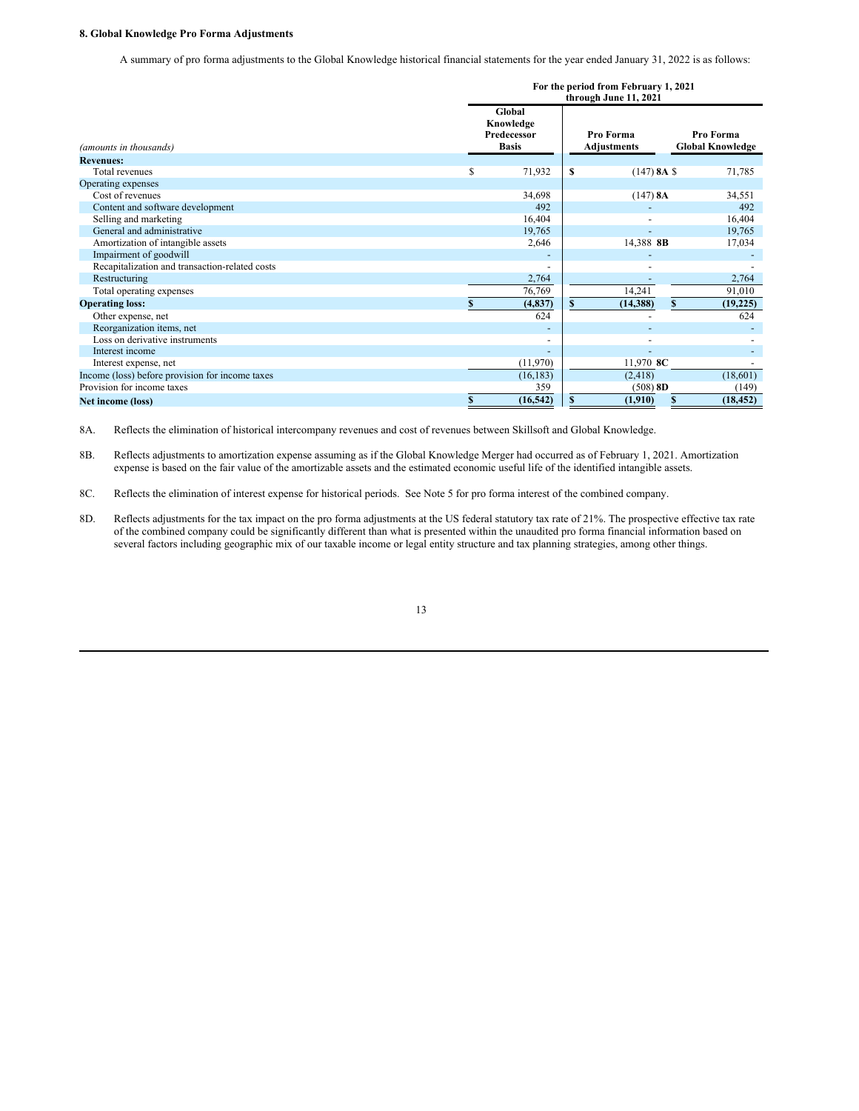### **8. Global Knowledge Pro Forma Adjustments**

A summary of pro forma adjustments to the Global Knowledge historical financial statements for the year ended January 31, 2022 is as follows:

|                                                 |    |                                                    | For the period from February 1, 2021<br>through June 11, 2021 |               |   |                                      |  |
|-------------------------------------------------|----|----------------------------------------------------|---------------------------------------------------------------|---------------|---|--------------------------------------|--|
| (amounts in thousands)                          |    | Global<br>Knowledge<br>Predecessor<br><b>Basis</b> |                                                               |               |   | Pro Forma<br><b>Global Knowledge</b> |  |
| <b>Revenues:</b>                                |    |                                                    |                                                               |               |   |                                      |  |
| Total revenues                                  | \$ | 71,932                                             | \$                                                            | $(147)$ 8A \$ |   | 71,785                               |  |
| Operating expenses                              |    |                                                    |                                                               |               |   |                                      |  |
| Cost of revenues                                |    | 34,698                                             |                                                               | $(147)$ 8A    |   | 34,551                               |  |
| Content and software development                |    | 492                                                |                                                               |               |   | 492                                  |  |
| Selling and marketing                           |    | 16,404                                             |                                                               |               |   | 16,404                               |  |
| General and administrative                      |    | 19,765                                             |                                                               |               |   | 19,765                               |  |
| Amortization of intangible assets               |    | 2,646                                              |                                                               | 14,388 8B     |   | 17,034                               |  |
| Impairment of goodwill                          |    |                                                    |                                                               |               |   |                                      |  |
| Recapitalization and transaction-related costs  |    |                                                    |                                                               |               |   |                                      |  |
| Restructuring                                   |    | 2,764                                              |                                                               |               |   | 2,764                                |  |
| Total operating expenses                        |    | 76,769                                             |                                                               | 14,241        |   | 91,010                               |  |
| <b>Operating loss:</b>                          |    | (4, 837)                                           | S                                                             | (14, 388)     | S | (19, 225)                            |  |
| Other expense, net                              |    | 624                                                |                                                               |               |   | 624                                  |  |
| Reorganization items, net                       |    |                                                    |                                                               |               |   |                                      |  |
| Loss on derivative instruments                  |    |                                                    |                                                               |               |   |                                      |  |
| Interest income                                 |    |                                                    |                                                               |               |   |                                      |  |
| Interest expense, net                           |    | (11,970)                                           |                                                               | 11,970 8C     |   |                                      |  |
| Income (loss) before provision for income taxes |    | (16, 183)                                          |                                                               | (2, 418)      |   | (18,601)                             |  |
| Provision for income taxes                      |    | 359                                                |                                                               | $(508)$ 8D    |   | (149)                                |  |
| Net income (loss)                               |    | (16, 542)                                          | \$                                                            | (1,910)       | S | (18, 452)                            |  |

8A. Reflects the elimination of historical intercompany revenues and cost of revenues between Skillsoft and Global Knowledge.

8B. Reflects adjustments to amortization expense assuming as if the Global Knowledge Merger had occurred as of February 1, 2021. Amortization expense is based on the fair value of the amortizable assets and the estimated economic useful life of the identified intangible assets.

8C. Reflects the elimination of interest expense for historical periods. See Note 5 for pro forma interest of the combined company.

8D. Reflects adjustments for the tax impact on the pro forma adjustments at the US federal statutory tax rate of 21%. The prospective effective tax rate of the combined company could be significantly different than what is presented within the unaudited pro forma financial information based on several factors including geographic mix of our taxable income or legal entity structure and tax planning strategies, among other things.